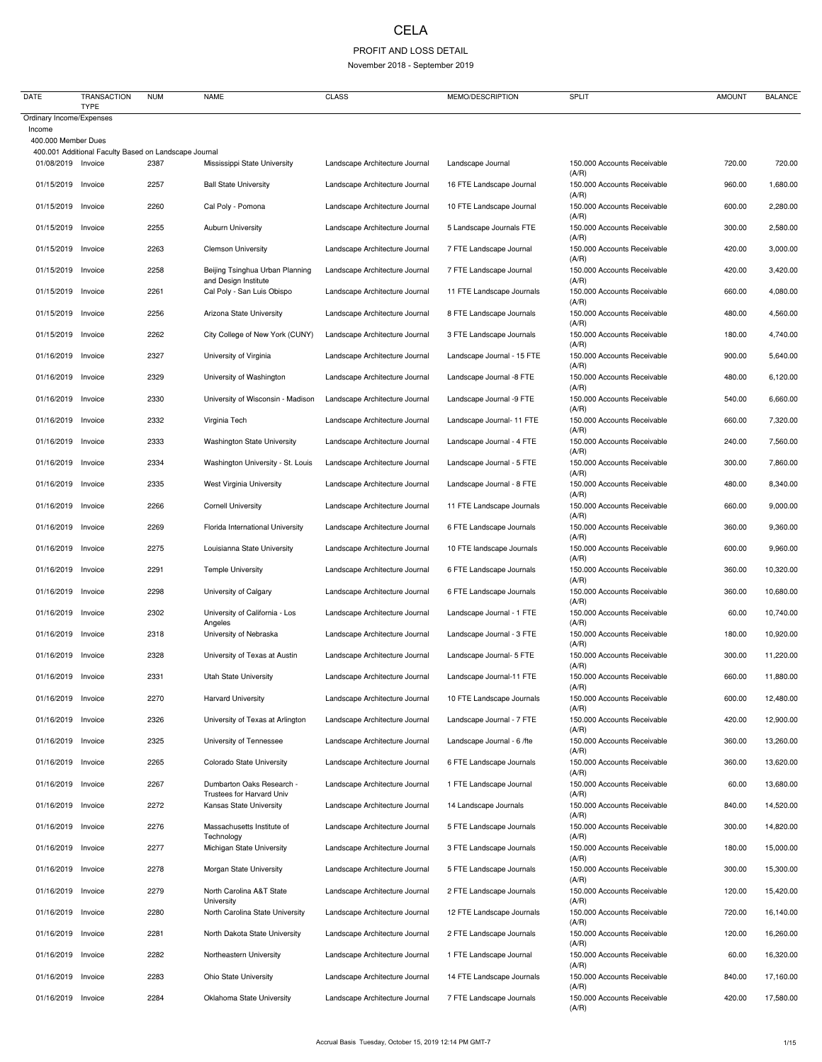## CELA

## PROFIT AND LOSS DETAIL

November 2018 - September 2019

| <b>DATE</b>                              | <b>TRANSACTION</b><br><b>TYPE</b>                     | <b>NUM</b>   | <b>NAME</b>                                                     | <b>CLASS</b>                                                     | MEMO/DESCRIPTION                                      | <b>SPLIT</b>                                                        | <b>AMOUNT</b>    | <b>BALANCE</b>       |
|------------------------------------------|-------------------------------------------------------|--------------|-----------------------------------------------------------------|------------------------------------------------------------------|-------------------------------------------------------|---------------------------------------------------------------------|------------------|----------------------|
| Ordinary Income/Expenses                 |                                                       |              |                                                                 |                                                                  |                                                       |                                                                     |                  |                      |
| Income<br>400.000 Member Dues            |                                                       |              |                                                                 |                                                                  |                                                       |                                                                     |                  |                      |
| 01/08/2019 Invoice                       | 400.001 Additional Faculty Based on Landscape Journal | 2387         | Mississippi State University                                    | Landscape Architecture Journal                                   | Landscape Journal                                     | 150.000 Accounts Receivable                                         | 720.00           | 720.00               |
| 01/15/2019                               | Invoice                                               | 2257         | <b>Ball State University</b>                                    | Landscape Architecture Journal                                   | 16 FTE Landscape Journal                              | (A/R)<br>150.000 Accounts Receivable                                | 960.00           | 1,680.00             |
| 01/15/2019                               | Invoice                                               | 2260         | Cal Poly - Pomona                                               | Landscape Architecture Journal                                   | 10 FTE Landscape Journal                              | (A/R)<br>150.000 Accounts Receivable<br>(A/R)                       | 600.00           | 2,280.00             |
| 01/15/2019                               | Invoice                                               | 2255         | <b>Auburn University</b>                                        | Landscape Architecture Journal                                   | 5 Landscape Journals FTE                              | 150.000 Accounts Receivable<br>(A/R)                                | 300.00           | 2,580.00             |
| 01/15/2019                               | Invoice                                               | 2263         | <b>Clemson University</b>                                       | Landscape Architecture Journal                                   | 7 FTE Landscape Journal                               | 150.000 Accounts Receivable<br>(A/R)                                | 420.00           | 3,000.00             |
| 01/15/2019 Invoice                       |                                                       | 2258         | Beijing Tsinghua Urban Planning<br>and Design Institute         | Landscape Architecture Journal                                   | 7 FTE Landscape Journal                               | 150.000 Accounts Receivable<br>(A/R)                                | 420.00           | 3,420.00             |
| 01/15/2019                               | Invoice                                               | 2261         | Cal Poly - San Luis Obispo                                      | Landscape Architecture Journal                                   | 11 FTE Landscape Journals                             | 150.000 Accounts Receivable<br>(A/R)                                | 660.00           | 4,080.00             |
| 01/15/2019                               | Invoice                                               | 2256         | Arizona State University                                        | Landscape Architecture Journal                                   | 8 FTE Landscape Journals                              | 150.000 Accounts Receivable<br>(A/R)                                | 480.00           | 4,560.00             |
| 01/15/2019                               | Invoice                                               | 2262         | City College of New York (CUNY)                                 | Landscape Architecture Journal                                   | 3 FTE Landscape Journals                              | 150.000 Accounts Receivable<br>(A/R)                                | 180.00           | 4,740.00             |
| 01/16/2019 Invoice                       |                                                       | 2327         | University of Virginia                                          | Landscape Architecture Journal                                   | Landscape Journal - 15 FTE                            | 150.000 Accounts Receivable<br>(A/R)                                | 900.00           | 5,640.00             |
| 01/16/2019 Invoice                       |                                                       | 2329         | University of Washington                                        | Landscape Architecture Journal                                   | Landscape Journal -8 FTE                              | 150.000 Accounts Receivable<br>(A/R)                                | 480.00           | 6,120.00             |
| 01/16/2019                               | Invoice                                               | 2330         | University of Wisconsin - Madison                               | Landscape Architecture Journal                                   | Landscape Journal -9 FTE                              | 150.000 Accounts Receivable<br>(A/R)                                | 540.00           | 6,660.00             |
| 01/16/2019                               | Invoice                                               | 2332         | Virginia Tech                                                   | Landscape Architecture Journal                                   | Landscape Journal- 11 FTE                             | 150.000 Accounts Receivable<br>(A/R)                                | 660.00           | 7,320.00             |
| 01/16/2019                               | Invoice                                               | 2333         | <b>Washington State University</b>                              | Landscape Architecture Journal                                   | Landscape Journal - 4 FTE                             | 150.000 Accounts Receivable<br>(A/R)                                | 240.00           | 7,560.00             |
| 01/16/2019 Invoice                       |                                                       | 2334         | Washington University - St. Louis                               | Landscape Architecture Journal                                   | Landscape Journal - 5 FTE                             | 150.000 Accounts Receivable<br>(A/R)                                | 300.00           | 7,860.00             |
| 01/16/2019                               | Invoice                                               | 2335         | West Virginia University                                        | Landscape Architecture Journal                                   | Landscape Journal - 8 FTE                             | 150.000 Accounts Receivable<br>(A/R)                                | 480.00           | 8,340.00             |
| 01/16/2019 Invoice                       |                                                       | 2266         | <b>Cornell University</b>                                       | Landscape Architecture Journal                                   | 11 FTE Landscape Journals                             | 150.000 Accounts Receivable<br>(A/R)                                | 660.00           | 9,000.00             |
| 01/16/2019 Invoice<br>01/16/2019 Invoice |                                                       | 2269<br>2275 | Florida International University<br>Louisianna State University | Landscape Architecture Journal<br>Landscape Architecture Journal | 6 FTE Landscape Journals<br>10 FTE landscape Journals | 150.000 Accounts Receivable<br>(A/R)<br>150.000 Accounts Receivable | 360.00<br>600.00 | 9,360.00<br>9,960.00 |
| 01/16/2019                               | Invoice                                               | 2291         | <b>Temple University</b>                                        | Landscape Architecture Journal                                   | 6 FTE Landscape Journals                              | (A/R)<br>150.000 Accounts Receivable                                | 360.00           | 10,320.00            |
| 01/16/2019                               | Invoice                                               | 2298         | University of Calgary                                           | Landscape Architecture Journal                                   | 6 FTE Landscape Journals                              | (A/R)<br>150.000 Accounts Receivable                                | 360.00           | 10,680.00            |
| 01/16/2019 Invoice                       |                                                       | 2302         | University of California - Los                                  | Landscape Architecture Journal                                   | Landscape Journal - 1 FTE                             | (A/R)<br>150.000 Accounts Receivable                                | 60.00            | 10,740.00            |
| 01/16/2019                               | Invoice                                               | 2318         | Angeles<br>University of Nebraska                               | Landscape Architecture Journal                                   | Landscape Journal - 3 FTE                             | (A/R)<br>150.000 Accounts Receivable                                | 180.00           | 10,920.00            |
| 01/16/2019                               | Invoice                                               | 2328         | University of Texas at Austin                                   | Landscape Architecture Journal                                   | Landscape Journal- 5 FTE                              | (A/R)<br>150.000 Accounts Receivable                                | 300.00           | 11,220.00            |
| 01/16/2019 Invoice                       |                                                       | 2331         | <b>Utah State University</b>                                    | Landscape Architecture Journal                                   | Landscape Journal-11 FTE                              | (A/R)<br>150.000 Accounts Receivable                                | 660.00           | 11,880.00            |
| 01/16/2019                               | Invoice                                               | 2270         | <b>Harvard University</b>                                       | Landscape Architecture Journal                                   | 10 FTE Landscape Journals                             | (A/R)<br>150.000 Accounts Receivable                                | 600.00           | 12,480.00            |
| 01/16/2019                               | Invoice                                               | 2326         | University of Texas at Arlington                                | Landscape Architecture Journal                                   | Landscape Journal - 7 FTE                             | (A/R)<br>150.000 Accounts Receivable                                | 420.00           | 12,900.00            |
| 01/16/2019                               | Invoice                                               | 2325         | University of Tennessee                                         | Landscape Architecture Journal                                   | Landscape Journal - 6 /fte                            | (A/R)<br>150.000 Accounts Receivable                                | 360.00           | 13,260.00            |
| 01/16/2019 Invoice                       |                                                       | 2265         | Colorado State University                                       | Landscape Architecture Journal                                   | 6 FTE Landscape Journals                              | (A/R)<br>150.000 Accounts Receivable                                | 360.00           | 13,620.00            |
| 01/16/2019 Invoice                       |                                                       | 2267         | Dumbarton Oaks Research -                                       | Landscape Architecture Journal                                   | 1 FTE Landscape Journal                               | (A/R)<br>150.000 Accounts Receivable                                | 60.00            | 13,680.00            |
| 01/16/2019                               | Invoice                                               | 2272         | <b>Trustees for Harvard Univ</b><br>Kansas State University     | Landscape Architecture Journal                                   | 14 Landscape Journals                                 | (A/R)<br>150.000 Accounts Receivable                                | 840.00           | 14,520.00            |
| 01/16/2019 Invoice                       |                                                       | 2276         | Massachusetts Institute of                                      | Landscape Architecture Journal                                   | 5 FTE Landscape Journals                              | (A/R)<br>150.000 Accounts Receivable<br>(A/R)                       | 300.00           | 14,820.00            |
| 01/16/2019 Invoice                       |                                                       | 2277         | Technology<br>Michigan State University                         | Landscape Architecture Journal                                   | 3 FTE Landscape Journals                              | 150.000 Accounts Receivable<br>(A/R)                                | 180.00           | 15,000.00            |
| 01/16/2019                               | Invoice                                               | 2278         | Morgan State University                                         | Landscape Architecture Journal                                   | 5 FTE Landscape Journals                              | 150.000 Accounts Receivable                                         | 300.00           | 15,300.00            |
| 01/16/2019                               | Invoice                                               | 2279         | North Carolina A&T State<br>University                          | Landscape Architecture Journal                                   | 2 FTE Landscape Journals                              | (A/R)<br>150.000 Accounts Receivable<br>(A/R)                       | 120.00           | 15,420.00            |
| 01/16/2019 Invoice                       |                                                       | 2280         | North Carolina State University                                 | Landscape Architecture Journal                                   | 12 FTE Landscape Journals                             | 150.000 Accounts Receivable<br>(A/R)                                | 720.00           | 16,140.00            |
| 01/16/2019 Invoice                       |                                                       | 2281         | North Dakota State University                                   | Landscape Architecture Journal                                   | 2 FTE Landscape Journals                              | 150.000 Accounts Receivable<br>(A/R)                                | 120.00           | 16,260.00            |
| 01/16/2019 Invoice                       |                                                       | 2282         | Northeastern University                                         | Landscape Architecture Journal                                   | 1 FTE Landscape Journal                               | 150.000 Accounts Receivable<br>(A/R)                                | 60.00            | 16,320.00            |
| 01/16/2019                               | Invoice                                               | 2283         | <b>Ohio State University</b>                                    | Landscape Architecture Journal                                   | 14 FTE Landscape Journals                             | 150.000 Accounts Receivable<br>(A/R)                                | 840.00           | 17,160.00            |
| 01/16/2019                               | Invoice                                               | 2284         | Oklahoma State University                                       | Landscape Architecture Journal                                   | 7 FTE Landscape Journals                              | 150.000 Accounts Receivable<br>(A/R)                                | 420.00           | 17,580.00            |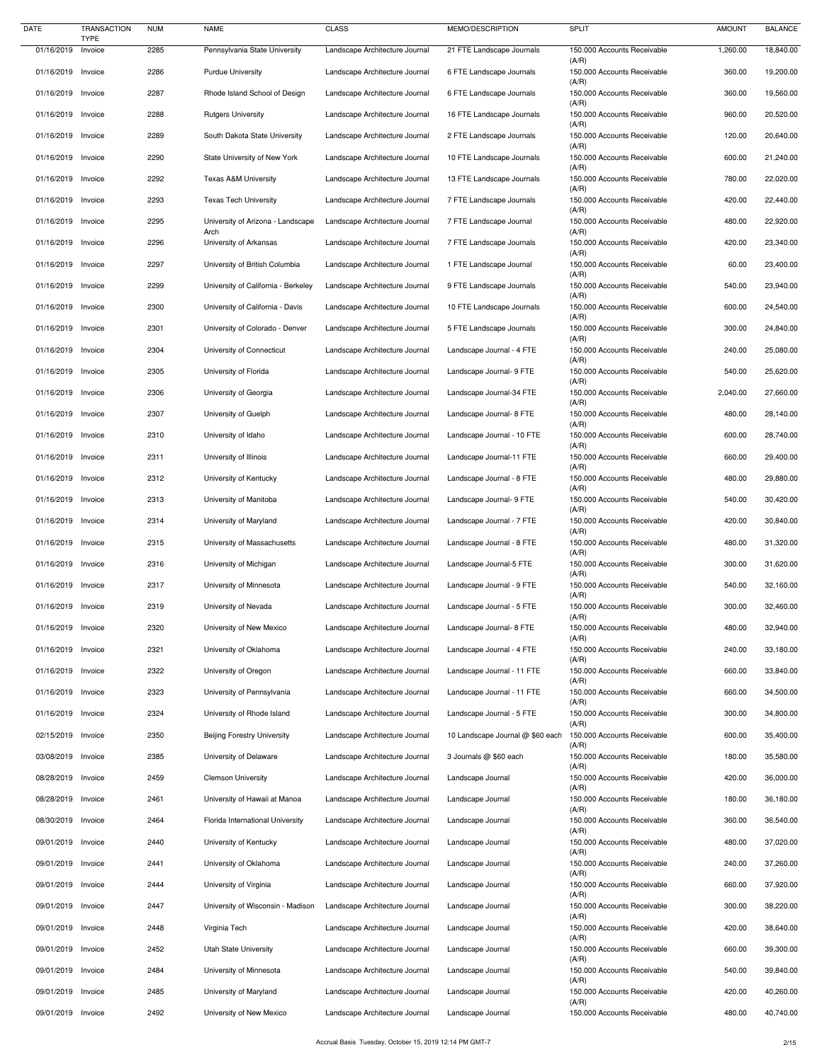| <b>DATE</b>        | <b>TRANSACTION</b><br><b>TYPE</b> | <b>NUM</b> | <b>NAME</b>                         | <b>CLASS</b>                   | MEMO/DESCRIPTION                 | <b>SPLIT</b>                         | <b>AMOUNT</b> | <b>BALANCE</b> |
|--------------------|-----------------------------------|------------|-------------------------------------|--------------------------------|----------------------------------|--------------------------------------|---------------|----------------|
| 01/16/2019         | Invoice                           | 2285       | Pennsylvania State University       | Landscape Architecture Journal | 21 FTE Landscape Journals        | 150.000 Accounts Receivable          | 1,260.00      | 18,840.00      |
| 01/16/2019 Invoice |                                   | 2286       | <b>Purdue University</b>            | Landscape Architecture Journal | 6 FTE Landscape Journals         | (A/R)<br>150.000 Accounts Receivable | 360.00        | 19,200.00      |
| 01/16/2019 Invoice |                                   | 2287       | Rhode Island School of Design       | Landscape Architecture Journal | 6 FTE Landscape Journals         | (A/R)<br>150.000 Accounts Receivable | 360.00        | 19,560.00      |
| 01/16/2019 Invoice |                                   | 2288       | <b>Rutgers University</b>           | Landscape Architecture Journal | 16 FTE Landscape Journals        | (A/R)<br>150.000 Accounts Receivable | 960.00        | 20,520.00      |
| 01/16/2019 Invoice |                                   | 2289       | South Dakota State University       | Landscape Architecture Journal | 2 FTE Landscape Journals         | (A/R)<br>150.000 Accounts Receivable | 120.00        | 20,640.00      |
| 01/16/2019 Invoice |                                   | 2290       | State University of New York        | Landscape Architecture Journal | 10 FTE Landscape Journals        | (A/R)<br>150.000 Accounts Receivable | 600.00        | 21,240.00      |
| 01/16/2019 Invoice |                                   | 2292       | <b>Texas A&amp;M University</b>     | Landscape Architecture Journal | 13 FTE Landscape Journals        | (A/R)<br>150.000 Accounts Receivable | 780.00        | 22,020.00      |
| 01/16/2019 Invoice |                                   | 2293       | <b>Texas Tech University</b>        | Landscape Architecture Journal | 7 FTE Landscape Journals         | (A/R)<br>150.000 Accounts Receivable | 420.00        | 22,440.00      |
| 01/16/2019 Invoice |                                   | 2295       | University of Arizona - Landscape   | Landscape Architecture Journal | 7 FTE Landscape Journal          | (A/R)<br>150.000 Accounts Receivable | 480.00        | 22,920.00      |
| 01/16/2019 Invoice |                                   | 2296       | Arch<br>University of Arkansas      | Landscape Architecture Journal | 7 FTE Landscape Journals         | (A/R)<br>150.000 Accounts Receivable | 420.00        | 23,340.00      |
| 01/16/2019 Invoice |                                   | 2297       | University of British Columbia      | Landscape Architecture Journal | 1 FTE Landscape Journal          | (A/R)<br>150.000 Accounts Receivable | 60.00         | 23,400.00      |
| 01/16/2019 Invoice |                                   | 2299       | University of California - Berkeley | Landscape Architecture Journal | 9 FTE Landscape Journals         | (A/R)<br>150.000 Accounts Receivable | 540.00        | 23,940.00      |
| 01/16/2019         | Invoice                           | 2300       | University of California - Davis    | Landscape Architecture Journal | 10 FTE Landscape Journals        | (A/R)<br>150.000 Accounts Receivable | 600.00        | 24,540.00      |
| 01/16/2019 Invoice |                                   | 2301       | University of Colorado - Denver     | Landscape Architecture Journal | 5 FTE Landscape Journals         | (A/R)<br>150.000 Accounts Receivable | 300.00        | 24,840.00      |
| 01/16/2019 Invoice |                                   | 2304       | University of Connecticut           | Landscape Architecture Journal | Landscape Journal - 4 FTE        | (A/R)<br>150.000 Accounts Receivable | 240.00        | 25,080.00      |
| 01/16/2019 Invoice |                                   | 2305       | University of Florida               | Landscape Architecture Journal | Landscape Journal- 9 FTE         | (A/R)<br>150.000 Accounts Receivable | 540.00        | 25,620.00      |
| 01/16/2019 Invoice |                                   | 2306       | University of Georgia               | Landscape Architecture Journal | Landscape Journal-34 FTE         | (A/R)<br>150.000 Accounts Receivable | 2,040.00      | 27,660.00      |
| 01/16/2019 Invoice |                                   | 2307       | University of Guelph                | Landscape Architecture Journal | Landscape Journal- 8 FTE         | (A/R)<br>150.000 Accounts Receivable | 480.00        | 28,140.00      |
| 01/16/2019 Invoice |                                   | 2310       | University of Idaho                 | Landscape Architecture Journal | Landscape Journal - 10 FTE       | (A/R)<br>150.000 Accounts Receivable | 600.00        | 28,740.00      |
| 01/16/2019 Invoice |                                   | 2311       | University of Illinois              | Landscape Architecture Journal | Landscape Journal-11 FTE         | (A/R)<br>150.000 Accounts Receivable | 660.00        | 29,400.00      |
| 01/16/2019 Invoice |                                   | 2312       | University of Kentucky              | Landscape Architecture Journal | Landscape Journal - 8 FTE        | (A/R)<br>150.000 Accounts Receivable | 480.00        | 29,880.00      |
| 01/16/2019 Invoice |                                   | 2313       | University of Manitoba              | Landscape Architecture Journal | Landscape Journal- 9 FTE         | (A/R)<br>150.000 Accounts Receivable | 540.00        | 30,420.00      |
| 01/16/2019 Invoice |                                   | 2314       | University of Maryland              | Landscape Architecture Journal | Landscape Journal - 7 FTE        | (A/R)<br>150.000 Accounts Receivable | 420.00        | 30,840.00      |
| 01/16/2019 Invoice |                                   | 2315       | University of Massachusetts         | Landscape Architecture Journal | Landscape Journal - 8 FTE        | (A/R)<br>150.000 Accounts Receivable | 480.00        | 31,320.00      |
| 01/16/2019 Invoice |                                   | 2316       |                                     | Landscape Architecture Journal | Landscape Journal-5 FTE          | (A/R)<br>150.000 Accounts Receivable | 300.00        | 31,620.00      |
|                    |                                   |            | University of Michigan              |                                |                                  | (A/R)                                |               |                |
| 01/16/2019 Invoice |                                   | 2317       | University of Minnesota             | Landscape Architecture Journal | Landscape Journal - 9 FTE        | 150.000 Accounts Receivable<br>(A/R) | 540.00        | 32,160.00      |
| 01/16/2019 Invoice |                                   | 2319       | University of Nevada                | Landscape Architecture Journal | Landscape Journal - 5 FTE        | 150.000 Accounts Receivable<br>(A/R) | 300.00        | 32,460.00      |
| 01/16/2019 Invoice |                                   | 2320       | University of New Mexico            | Landscape Architecture Journal | Landscape Journal- 8 FTE         | 150.000 Accounts Receivable<br>(A/R) | 480.00        | 32,940.00      |
| 01/16/2019 Invoice |                                   | 2321       | University of Oklahoma              | Landscape Architecture Journal | Landscape Journal - 4 FTE        | 150.000 Accounts Receivable<br>(A/R) | 240.00        | 33,180.00      |
| 01/16/2019 Invoice |                                   | 2322       | University of Oregon                | Landscape Architecture Journal | Landscape Journal - 11 FTE       | 150.000 Accounts Receivable<br>(A/R) | 660.00        | 33,840.00      |
| 01/16/2019 Invoice |                                   | 2323       | University of Pennsylvania          | Landscape Architecture Journal | Landscape Journal - 11 FTE       | 150.000 Accounts Receivable<br>(A/R) | 660.00        | 34,500.00      |
| 01/16/2019 Invoice |                                   | 2324       | University of Rhode Island          | Landscape Architecture Journal | Landscape Journal - 5 FTE        | 150.000 Accounts Receivable<br>(A/R) | 300.00        | 34,800.00      |
| 02/15/2019 Invoice |                                   | 2350       | <b>Beijing Forestry University</b>  | Landscape Architecture Journal | 10 Landscape Journal @ \$60 each | 150.000 Accounts Receivable<br>(A/R) | 600.00        | 35,400.00      |
| 03/08/2019 Invoice |                                   | 2385       | University of Delaware              | Landscape Architecture Journal | 3 Journals @ \$60 each           | 150.000 Accounts Receivable<br>(A/R) | 180.00        | 35,580.00      |
| 08/28/2019 Invoice |                                   | 2459       | <b>Clemson University</b>           | Landscape Architecture Journal | Landscape Journal                | 150.000 Accounts Receivable<br>(A/R) | 420.00        | 36,000.00      |
| 08/28/2019 Invoice |                                   | 2461       | University of Hawaii at Manoa       | Landscape Architecture Journal | Landscape Journal                | 150.000 Accounts Receivable<br>(A/R) | 180.00        | 36,180.00      |
| 08/30/2019 Invoice |                                   | 2464       | Florida International University    | Landscape Architecture Journal | Landscape Journal                | 150.000 Accounts Receivable<br>(A/R) | 360.00        | 36,540.00      |
| 09/01/2019 Invoice |                                   | 2440       | University of Kentucky              | Landscape Architecture Journal | Landscape Journal                | 150.000 Accounts Receivable<br>(A/R) | 480.00        | 37,020.00      |
| 09/01/2019 Invoice |                                   | 2441       | University of Oklahoma              | Landscape Architecture Journal | Landscape Journal                | 150.000 Accounts Receivable<br>(A/R) | 240.00        | 37,260.00      |
| 09/01/2019 Invoice |                                   | 2444       | University of Virginia              | Landscape Architecture Journal | Landscape Journal                | 150.000 Accounts Receivable<br>(A/R) | 660.00        | 37,920.00      |
| 09/01/2019 Invoice |                                   | 2447       | University of Wisconsin - Madison   | Landscape Architecture Journal | Landscape Journal                | 150.000 Accounts Receivable<br>(A/R) | 300.00        | 38,220.00      |
| 09/01/2019 Invoice |                                   | 2448       | Virginia Tech                       | Landscape Architecture Journal | Landscape Journal                | 150.000 Accounts Receivable<br>(A/R) | 420.00        | 38,640.00      |
| 09/01/2019 Invoice |                                   | 2452       | <b>Utah State University</b>        | Landscape Architecture Journal | Landscape Journal                | 150.000 Accounts Receivable<br>(A/R) | 660.00        | 39,300.00      |
| 09/01/2019         | Invoice                           | 2484       | University of Minnesota             | Landscape Architecture Journal | Landscape Journal                | 150.000 Accounts Receivable<br>(A/R) | 540.00        | 39,840.00      |
| 09/01/2019         | Invoice                           | 2485       | University of Maryland              | Landscape Architecture Journal | Landscape Journal                | 150.000 Accounts Receivable<br>(A/R) | 420.00        | 40,260.00      |
| 09/01/2019 Invoice |                                   | 2492       | University of New Mexico            | Landscape Architecture Journal | Landscape Journal                | 150.000 Accounts Receivable          | 480.00        | 40,740.00      |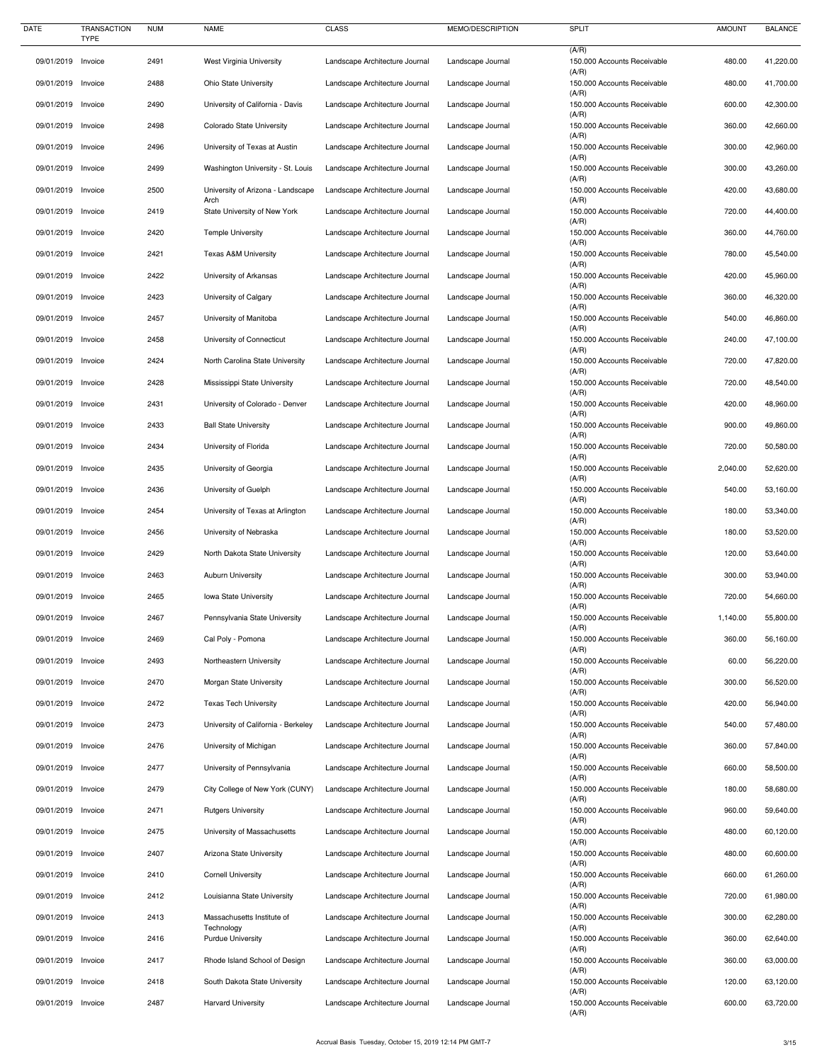| <b>DATE</b>                      | <b>TRANSACTION</b><br><b>TYPE</b> | <b>NUM</b>   | <b>NAME</b>                                             | <b>CLASS</b>                                                     | MEMO/DESCRIPTION                       | <b>SPLIT</b>                                                        | <b>AMOUNT</b>    | <b>BALANCE</b>         |
|----------------------------------|-----------------------------------|--------------|---------------------------------------------------------|------------------------------------------------------------------|----------------------------------------|---------------------------------------------------------------------|------------------|------------------------|
| 09/01/2019                       | Invoice                           | 2491         | West Virginia University                                | Landscape Architecture Journal                                   | Landscape Journal                      | (A/R)<br>150.000 Accounts Receivable<br>(A/R)                       | 480.00           | 41,220.00              |
| 09/01/2019                       | Invoice                           | 2488         | <b>Ohio State University</b>                            | Landscape Architecture Journal                                   | Landscape Journal                      | 150.000 Accounts Receivable                                         | 480.00           | 41,700.00              |
| 09/01/2019                       | Invoice                           | 2490         | University of California - Davis                        | Landscape Architecture Journal                                   | Landscape Journal                      | (A/R)<br>150.000 Accounts Receivable<br>(A/R)                       | 600.00           | 42,300.00              |
| 09/01/2019 Invoice               |                                   | 2498         | Colorado State University                               | Landscape Architecture Journal                                   | Landscape Journal                      | 150.000 Accounts Receivable<br>(A/R)                                | 360.00           | 42,660.00              |
| 09/01/2019 Invoice               |                                   | 2496         | University of Texas at Austin                           | Landscape Architecture Journal                                   | Landscape Journal                      | 150.000 Accounts Receivable<br>(A/R)                                | 300.00           | 42,960.00              |
| 09/01/2019                       | Invoice                           | 2499         | Washington University - St. Louis                       | Landscape Architecture Journal                                   | Landscape Journal                      | 150.000 Accounts Receivable<br>(A/R)                                | 300.00           | 43,260.00              |
| 09/01/2019                       | Invoice                           | 2500         | University of Arizona - Landscape<br>Arch               | Landscape Architecture Journal                                   | Landscape Journal                      | 150.000 Accounts Receivable<br>(A/R)                                | 420.00           | 43,680.00              |
| 09/01/2019 Invoice               |                                   | 2419         | State University of New York                            | Landscape Architecture Journal                                   | Landscape Journal                      | 150.000 Accounts Receivable<br>(A/R)                                | 720.00           | 44,400.00              |
| 09/01/2019                       | Invoice                           | 2420         | <b>Temple University</b>                                | Landscape Architecture Journal                                   | Landscape Journal                      | 150.000 Accounts Receivable<br>(A/R)                                | 360.00           | 44,760.00              |
| 09/01/2019                       | Invoice                           | 2421         | <b>Texas A&amp;M University</b>                         | Landscape Architecture Journal                                   | Landscape Journal                      | 150.000 Accounts Receivable<br>(A/R)                                | 780.00           | 45,540.00              |
| 09/01/2019                       | Invoice                           | 2422         | University of Arkansas                                  | Landscape Architecture Journal                                   | Landscape Journal                      | 150.000 Accounts Receivable<br>(A/R)                                | 420.00           | 45,960.00              |
| 09/01/2019                       | Invoice                           | 2423         | University of Calgary                                   | Landscape Architecture Journal                                   | Landscape Journal                      | 150.000 Accounts Receivable<br>(A/R)                                | 360.00           | 46,320.00              |
| 09/01/2019                       | Invoice                           | 2457         | University of Manitoba                                  | Landscape Architecture Journal                                   | Landscape Journal                      | 150.000 Accounts Receivable<br>(A/R)                                | 540.00           | 46,860.00              |
| 09/01/2019                       | Invoice                           | 2458         | University of Connecticut                               | Landscape Architecture Journal                                   | Landscape Journal                      | 150.000 Accounts Receivable<br>(A/R)                                | 240.00           | 47,100.00              |
| 09/01/2019                       | Invoice                           | 2424         | North Carolina State University                         | Landscape Architecture Journal                                   | Landscape Journal                      | 150.000 Accounts Receivable<br>(A/R)                                | 720.00           | 47,820.00              |
| 09/01/2019 Invoice               |                                   | 2428         | Mississippi State University                            | Landscape Architecture Journal                                   | Landscape Journal                      | 150.000 Accounts Receivable<br>(A/R)                                | 720.00           | 48,540.00              |
| 09/01/2019                       | Invoice                           | 2431         | University of Colorado - Denver                         | Landscape Architecture Journal                                   | Landscape Journal                      | 150.000 Accounts Receivable<br>(A/R)                                | 420.00           | 48,960.00              |
| 09/01/2019 Invoice               |                                   | 2433         | <b>Ball State University</b>                            | Landscape Architecture Journal                                   | Landscape Journal                      | 150.000 Accounts Receivable<br>(A/R)                                | 900.00           | 49,860.00              |
| 09/01/2019 Invoice               |                                   | 2434         | University of Florida                                   | Landscape Architecture Journal                                   | Landscape Journal                      | 150.000 Accounts Receivable<br>(A/R)                                | 720.00           | 50,580.00              |
| 09/01/2019                       | Invoice                           | 2435         | University of Georgia                                   | Landscape Architecture Journal                                   | Landscape Journal                      | 150.000 Accounts Receivable<br>(A/R)                                | 2,040.00         | 52,620.00              |
| 09/01/2019                       | Invoice                           | 2436         | University of Guelph                                    | Landscape Architecture Journal                                   | Landscape Journal                      | 150.000 Accounts Receivable<br>(A/R)                                | 540.00           | 53,160.00              |
| 09/01/2019                       | Invoice                           | 2454         | University of Texas at Arlington                        | Landscape Architecture Journal                                   | Landscape Journal                      | 150.000 Accounts Receivable<br>(A/R)                                | 180.00           | 53,340.00              |
| 09/01/2019<br>09/01/2019 Invoice | Invoice                           | 2456<br>2429 | University of Nebraska<br>North Dakota State University | Landscape Architecture Journal<br>Landscape Architecture Journal | Landscape Journal                      | 150.000 Accounts Receivable<br>(A/R)<br>150.000 Accounts Receivable | 180.00<br>120.00 | 53,520.00<br>53,640.00 |
| 09/01/2019                       | Invoice                           | 2463         | <b>Auburn University</b>                                | Landscape Architecture Journal                                   | Landscape Journal<br>Landscape Journal | (A/R)<br>150.000 Accounts Receivable                                | 300.00           | 53,940.00              |
| 09/01/2019                       | Invoice                           | 2465         | Iowa State University                                   | Landscape Architecture Journal                                   | Landscape Journal                      | (A/R)<br>150.000 Accounts Receivable                                | 720.00           | 54,660.00              |
| 09/01/2019                       | Invoice                           | 2467         | Pennsylvania State University                           | Landscape Architecture Journal                                   | Landscape Journal                      | (A/R)<br>150.000 Accounts Receivable                                | 1,140.00         | 55,800.00              |
| 09/01/2019                       | Invoice                           | 2469         | Cal Poly - Pomona                                       | Landscape Architecture Journal                                   | Landscape Journal                      | (A/R)<br>150.000 Accounts Receivable                                | 360.00           | 56,160.00              |
| 09/01/2019                       | Invoice                           | 2493         | Northeastern University                                 | Landscape Architecture Journal                                   | Landscape Journal                      | (A/R)<br>150.000 Accounts Receivable                                | 60.00            | 56,220.00              |
| 09/01/2019                       | Invoice                           | 2470         | Morgan State University                                 | Landscape Architecture Journal                                   | Landscape Journal                      | (A/R)<br>150.000 Accounts Receivable                                | 300.00           | 56,520.00              |
| 09/01/2019                       | Invoice                           | 2472         | <b>Texas Tech University</b>                            | Landscape Architecture Journal                                   | Landscape Journal                      | (A/R)<br>150.000 Accounts Receivable                                | 420.00           | 56,940.00              |
| 09/01/2019                       | Invoice                           | 2473         | University of California - Berkeley                     | Landscape Architecture Journal                                   | Landscape Journal                      | (A/R)<br>150.000 Accounts Receivable                                | 540.00           | 57,480.00              |
| 09/01/2019                       | Invoice                           | 2476         | University of Michigan                                  | Landscape Architecture Journal                                   | Landscape Journal                      | (A/R)<br>150.000 Accounts Receivable                                | 360.00           | 57,840.00              |
| 09/01/2019                       | Invoice                           | 2477         | University of Pennsylvania                              | Landscape Architecture Journal                                   | Landscape Journal                      | (A/R)<br>150.000 Accounts Receivable                                | 660.00           | 58,500.00              |
| 09/01/2019 Invoice               |                                   | 2479         | City College of New York (CUNY)                         | Landscape Architecture Journal                                   | Landscape Journal                      | (A/R)<br>150.000 Accounts Receivable                                | 180.00           | 58,680.00              |
| 09/01/2019                       | Invoice                           | 2471         | <b>Rutgers University</b>                               | Landscape Architecture Journal                                   | Landscape Journal                      | (A/R)<br>150.000 Accounts Receivable                                | 960.00           | 59,640.00              |
| 09/01/2019 Invoice               |                                   | 2475         | University of Massachusetts                             | Landscape Architecture Journal                                   | Landscape Journal                      | (A/R)<br>150.000 Accounts Receivable                                | 480.00           | 60,120.00              |
| 09/01/2019 Invoice               |                                   | 2407         | Arizona State University                                | Landscape Architecture Journal                                   | Landscape Journal                      | (A/R)<br>150.000 Accounts Receivable                                | 480.00           | 60,600.00              |
| 09/01/2019                       | Invoice                           | 2410         | <b>Cornell University</b>                               | Landscape Architecture Journal                                   | Landscape Journal                      | (A/R)<br>150.000 Accounts Receivable                                | 660.00           | 61,260.00              |
| 09/01/2019                       | Invoice                           | 2412         | Louisianna State University                             | Landscape Architecture Journal                                   | Landscape Journal                      | (A/R)<br>150.000 Accounts Receivable<br>(A/R)                       | 720.00           | 61,980.00              |
| 09/01/2019                       | Invoice                           | 2413         | Massachusetts Institute of<br>Technology                | Landscape Architecture Journal                                   | Landscape Journal                      | 150.000 Accounts Receivable<br>(A/R)                                | 300.00           | 62,280.00              |
| 09/01/2019 Invoice               |                                   | 2416         | <b>Purdue University</b>                                | Landscape Architecture Journal                                   | Landscape Journal                      | 150.000 Accounts Receivable<br>(A/R)                                | 360.00           | 62,640.00              |
| 09/01/2019 Invoice               |                                   | 2417         | Rhode Island School of Design                           | Landscape Architecture Journal                                   | Landscape Journal                      | 150.000 Accounts Receivable<br>(A/R)                                | 360.00           | 63,000.00              |
| 09/01/2019                       | Invoice                           | 2418         | South Dakota State University                           | Landscape Architecture Journal                                   | Landscape Journal                      | 150.000 Accounts Receivable<br>(A/R)                                | 120.00           | 63,120.00              |
| 09/01/2019                       | Invoice                           | 2487         | <b>Harvard University</b>                               | Landscape Architecture Journal                                   | Landscape Journal                      | 150.000 Accounts Receivable<br>(A/R)                                | 600.00           | 63,720.00              |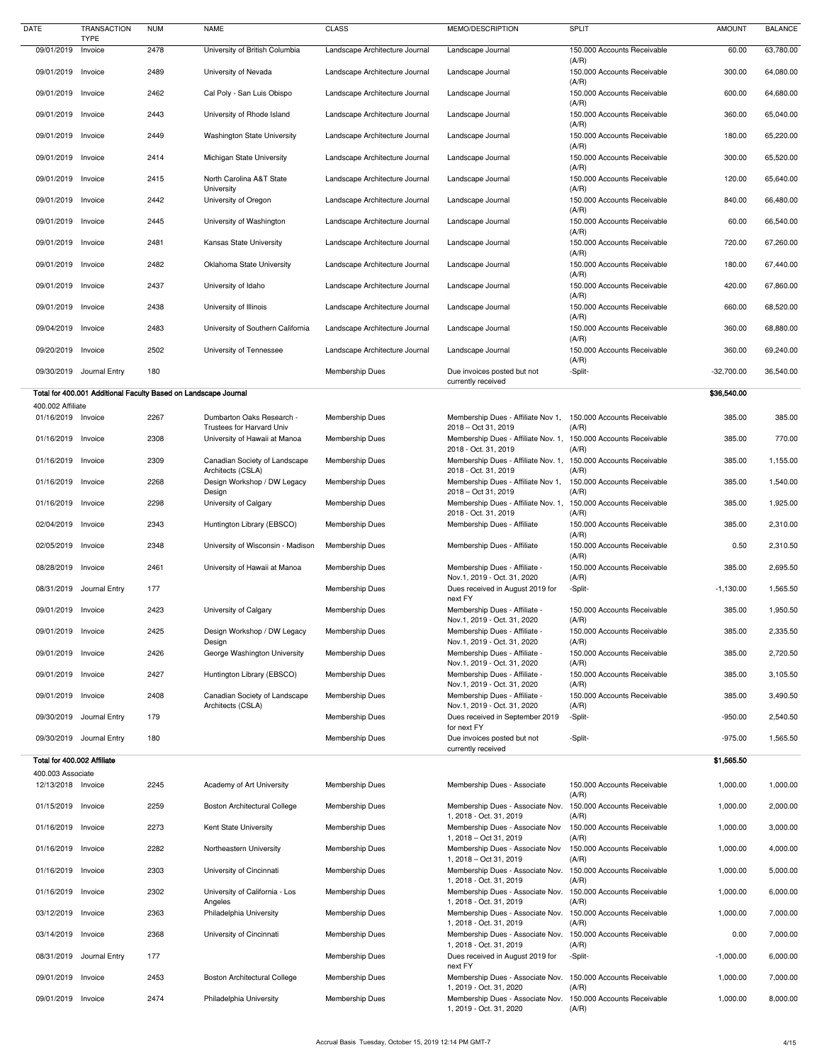| <b>DATE</b>                             | <b>TRANSACTION</b><br><b>TYPE</b>                               | <b>NUM</b> | <b>NAME</b>                                            | <b>CLASS</b>                   | MEMO/DESCRIPTION                                             | <b>SPLIT</b>                         | <b>AMOUNT</b> | <b>BALANCE</b> |
|-----------------------------------------|-----------------------------------------------------------------|------------|--------------------------------------------------------|--------------------------------|--------------------------------------------------------------|--------------------------------------|---------------|----------------|
| 09/01/2019                              | Invoice                                                         | 2478       | University of British Columbia                         | Landscape Architecture Journal | Landscape Journal                                            | 150.000 Accounts Receivable<br>(A/R) | 60.00         | 63,780.00      |
| 09/01/2019                              | Invoice                                                         | 2489       | University of Nevada                                   | Landscape Architecture Journal | Landscape Journal                                            | 150.000 Accounts Receivable          | 300.00        | 64,080.00      |
| 09/01/2019                              | Invoice                                                         | 2462       | Cal Poly - San Luis Obispo                             | Landscape Architecture Journal | Landscape Journal                                            | (A/R)<br>150.000 Accounts Receivable | 600.00        | 64,680.00      |
| 09/01/2019 Invoice                      |                                                                 | 2443       | University of Rhode Island                             | Landscape Architecture Journal | Landscape Journal                                            | (A/R)<br>150.000 Accounts Receivable | 360.00        | 65,040.00      |
| 09/01/2019 Invoice                      |                                                                 | 2449       | <b>Washington State University</b>                     | Landscape Architecture Journal | Landscape Journal                                            | (A/R)<br>150.000 Accounts Receivable | 180.00        | 65,220.00      |
| 09/01/2019                              | Invoice                                                         | 2414       | Michigan State University                              | Landscape Architecture Journal | Landscape Journal                                            | (A/R)<br>150.000 Accounts Receivable | 300.00        | 65,520.00      |
| 09/01/2019                              | Invoice                                                         | 2415       | North Carolina A&T State                               | Landscape Architecture Journal | Landscape Journal                                            | (A/R)<br>150.000 Accounts Receivable | 120.00        | 65,640.00      |
| 09/01/2019 Invoice                      |                                                                 | 2442       | University<br>University of Oregon                     | Landscape Architecture Journal | Landscape Journal                                            | (A/R)<br>150.000 Accounts Receivable | 840.00        | 66,480.00      |
| 09/01/2019 Invoice                      |                                                                 | 2445       | University of Washington                               | Landscape Architecture Journal | Landscape Journal                                            | (A/R)<br>150.000 Accounts Receivable | 60.00         | 66,540.00      |
| 09/01/2019                              | Invoice                                                         | 2481       | Kansas State University                                | Landscape Architecture Journal | Landscape Journal                                            | (A/R)<br>150.000 Accounts Receivable | 720.00        | 67,260.00      |
| 09/01/2019                              | Invoice                                                         | 2482       | Oklahoma State University                              | Landscape Architecture Journal | Landscape Journal                                            | (A/R)<br>150.000 Accounts Receivable | 180.00        | 67,440.00      |
| 09/01/2019                              | Invoice                                                         | 2437       | University of Idaho                                    | Landscape Architecture Journal | Landscape Journal                                            | (A/R)<br>150.000 Accounts Receivable | 420.00        | 67,860.00      |
| 09/01/2019 Invoice                      |                                                                 | 2438       | University of Illinois                                 | Landscape Architecture Journal | Landscape Journal                                            | (A/R)<br>150.000 Accounts Receivable | 660.00        | 68,520.00      |
| 09/04/2019                              | Invoice                                                         | 2483       | University of Southern California                      | Landscape Architecture Journal | Landscape Journal                                            | (A/R)<br>150.000 Accounts Receivable | 360.00        | 68,880.00      |
| 09/20/2019                              | Invoice                                                         | 2502       | University of Tennessee                                | Landscape Architecture Journal | Landscape Journal                                            | (A/R)<br>150.000 Accounts Receivable | 360.00        | 69,240.00      |
| 09/30/2019                              | Journal Entry                                                   | 180        |                                                        | <b>Membership Dues</b>         | Due invoices posted but not                                  | (A/R)<br>-Split-                     | $-32,700.00$  | 36,540.00      |
|                                         | Total for 400.001 Additional Faculty Based on Landscape Journal |            |                                                        |                                | currently received                                           |                                      | \$36,540.00   |                |
| 400.002 Affiliate                       |                                                                 |            |                                                        |                                |                                                              |                                      |               |                |
| 01/16/2019 Invoice                      |                                                                 | 2267       | Dumbarton Oaks Research -<br>Trustees for Harvard Univ | Membership Dues                | Membership Dues - Affiliate Nov 1,<br>2018 - Oct 31, 2019    | 150.000 Accounts Receivable<br>(A/R) | 385.00        | 385.00         |
| 01/16/2019 Invoice                      |                                                                 | 2308       | University of Hawaii at Manoa                          | Membership Dues                | Membership Dues - Affiliate Nov. 1,<br>2018 - Oct. 31, 2019  | 150.000 Accounts Receivable<br>(A/R) | 385.00        | 770.00         |
| 01/16/2019 Invoice                      |                                                                 | 2309       | Canadian Society of Landscape<br>Architects (CSLA)     | Membership Dues                | Membership Dues - Affiliate Nov. 1,<br>2018 - Oct. 31, 2019  | 150.000 Accounts Receivable<br>(A/R) | 385.00        | 1,155.00       |
| 01/16/2019 Invoice                      |                                                                 | 2268       | Design Workshop / DW Legacy<br>Design                  | <b>Membership Dues</b>         | Membership Dues - Affiliate Nov 1,<br>2018 - Oct 31, 2019    | 150.000 Accounts Receivable<br>(A/R) | 385.00        | 1,540.00       |
| 01/16/2019 Invoice                      |                                                                 | 2298       | University of Calgary                                  | <b>Membership Dues</b>         | Membership Dues - Affiliate Nov. 1,<br>2018 - Oct. 31, 2019  | 150.000 Accounts Receivable<br>(A/R) | 385.00        | 1,925.00       |
| 02/04/2019 Invoice                      |                                                                 | 2343       | Huntington Library (EBSCO)                             | Membership Dues                | Membership Dues - Affiliate                                  | 150.000 Accounts Receivable<br>(A/R) | 385.00        | 2,310.00       |
| 02/05/2019 Invoice                      |                                                                 | 2348       | University of Wisconsin - Madison                      | <b>Membership Dues</b>         | Membership Dues - Affiliate                                  | 150.000 Accounts Receivable<br>(A/R) | 0.50          | 2,310.50       |
| 08/28/2019 Invoice                      |                                                                 | 2461       | University of Hawaii at Manoa                          | Membership Dues                | Membership Dues - Affiliate -<br>Nov.1, 2019 - Oct. 31, 2020 | 150.000 Accounts Receivable<br>(A/R) | 385.00        | 2,695.50       |
|                                         | 08/31/2019 Journal Entry                                        | 177        |                                                        | <b>Membership Dues</b>         | Dues received in August 2019 for<br>next FY                  | -Split-                              | $-1,130.00$   | 1,565.50       |
| 09/01/2019 Invoice                      |                                                                 | 2423       | University of Calgary                                  | <b>Membership Dues</b>         | Membership Dues - Affiliate -<br>Nov.1, 2019 - Oct. 31, 2020 | 150.000 Accounts Receivable<br>(A/R) | 385.00        | 1,950.50       |
| 09/01/2019 Invoice                      |                                                                 | 2425       | Design Workshop / DW Legacy<br>Design                  | Membership Dues                | Membership Dues - Affiliate -<br>Nov.1, 2019 - Oct. 31, 2020 | 150.000 Accounts Receivable<br>(A/R) | 385.00        | 2,335.50       |
| 09/01/2019 Invoice                      |                                                                 | 2426       | George Washington University                           | <b>Membership Dues</b>         | Membership Dues - Affiliate -<br>Nov.1, 2019 - Oct. 31, 2020 | 150.000 Accounts Receivable<br>(A/R) | 385.00        | 2,720.50       |
| 09/01/2019 Invoice                      |                                                                 | 2427       | Huntington Library (EBSCO)                             | Membership Dues                | Membership Dues - Affiliate -<br>Nov.1, 2019 - Oct. 31, 2020 | 150.000 Accounts Receivable<br>(A/R) | 385.00        | 3,105.50       |
| 09/01/2019 Invoice                      |                                                                 | 2408       | Canadian Society of Landscape<br>Architects (CSLA)     | Membership Dues                | Membership Dues - Affiliate -<br>Nov.1, 2019 - Oct. 31, 2020 | 150.000 Accounts Receivable<br>(A/R) | 385.00        | 3,490.50       |
|                                         | 09/30/2019 Journal Entry                                        | 179        |                                                        | <b>Membership Dues</b>         | Dues received in September 2019<br>for next FY               | -Split-                              | $-950.00$     | 2,540.50       |
|                                         | 09/30/2019 Journal Entry                                        | 180        |                                                        | <b>Membership Dues</b>         | Due invoices posted but not<br>currently received            | -Split-                              | $-975.00$     | 1,565.50       |
| Total for 400.002 Affiliate             |                                                                 |            |                                                        |                                |                                                              |                                      | \$1,565.50    |                |
| 400.003 Associate<br>12/13/2018 Invoice |                                                                 | 2245       | Academy of Art University                              | Membership Dues                | Membership Dues - Associate                                  | 150.000 Accounts Receivable          | 1,000.00      | 1,000.00       |
| 01/15/2019 Invoice                      |                                                                 | 2259       | <b>Boston Architectural College</b>                    | <b>Membership Dues</b>         | Membership Dues - Associate Nov.                             | (A/R)<br>150.000 Accounts Receivable | 1,000.00      | 2,000.00       |
| 01/16/2019 Invoice                      |                                                                 | 2273       | Kent State University                                  | <b>Membership Dues</b>         | 1, 2018 - Oct. 31, 2019<br>Membership Dues - Associate Nov   | (A/R)<br>150.000 Accounts Receivable | 1,000.00      | 3,000.00       |
| 01/16/2019 Invoice                      |                                                                 | 2282       | Northeastern University                                | Membership Dues                | 1, 2018 – Oct 31, 2019<br>Membership Dues - Associate Nov    | (A/R)<br>150.000 Accounts Receivable | 1,000.00      | 4,000.00       |
| 01/16/2019 Invoice                      |                                                                 | 2303       | University of Cincinnati                               | <b>Membership Dues</b>         | 1, 2018 – Oct 31, 2019<br>Membership Dues - Associate Nov.   | (A/R)<br>150.000 Accounts Receivable | 1,000.00      | 5,000.00       |
| 01/16/2019 Invoice                      |                                                                 | 2302       | University of California - Los                         | Membership Dues                | 1, 2018 - Oct. 31, 2019<br>Membership Dues - Associate Nov.  | (A/R)<br>150.000 Accounts Receivable | 1,000.00      | 6,000.00       |
| 03/12/2019 Invoice                      |                                                                 | 2363       | Angeles<br>Philadelphia University                     | Membership Dues                | 1, 2018 - Oct. 31, 2019<br>Membership Dues - Associate Nov.  | (A/R)<br>150.000 Accounts Receivable | 1,000.00      | 7,000.00       |
| 03/14/2019 Invoice                      |                                                                 | 2368       | University of Cincinnati                               | <b>Membership Dues</b>         | 1, 2018 - Oct. 31, 2019<br>Membership Dues - Associate Nov.  | (A/R)<br>150.000 Accounts Receivable | 0.00          | 7,000.00       |
|                                         | 08/31/2019 Journal Entry                                        | 177        |                                                        | <b>Membership Dues</b>         | 1, 2018 - Oct. 31, 2019<br>Dues received in August 2019 for  | (A/R)<br>-Split-                     | $-1,000.00$   | 6,000.00       |
| 09/01/2019 Invoice                      |                                                                 | 2453       | <b>Boston Architectural College</b>                    | Membership Dues                | next FY<br>Membership Dues - Associate Nov.                  | 150.000 Accounts Receivable          | 1,000.00      | 7,000.00       |
|                                         |                                                                 |            |                                                        |                                | 1, 2019 - Oct. 31, 2020                                      | (A/R)<br>150.000 Accounts Receivable |               |                |
| 09/01/2019 Invoice                      |                                                                 | 2474       | Philadelphia University                                | <b>Membership Dues</b>         | Membership Dues - Associate Nov.<br>1, 2019 - Oct. 31, 2020  | (A/R)                                | 1,000.00      | 8,000.00       |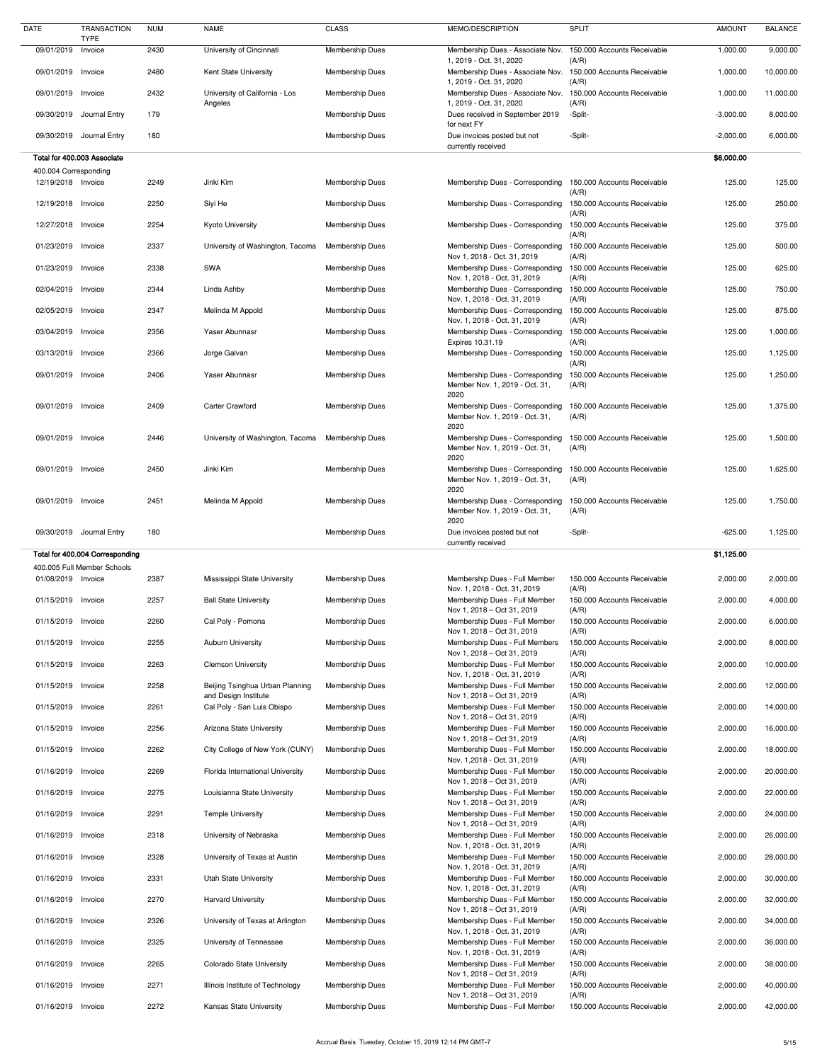| <b>DATE</b>                                 | <b>TRANSACTION</b><br><b>TYPE</b> | <b>NUM</b> | <b>NAME</b>                                             | <b>CLASS</b>           | MEMO/DESCRIPTION                                                          | <b>SPLIT</b>                                  | <b>AMOUNT</b> | <b>BALANCE</b> |
|---------------------------------------------|-----------------------------------|------------|---------------------------------------------------------|------------------------|---------------------------------------------------------------------------|-----------------------------------------------|---------------|----------------|
| 09/01/2019                                  | Invoice                           | 2430       | University of Cincinnati                                | Membership Dues        | Membership Dues - Associate Nov.                                          | 150.000 Accounts Receivable                   | 1,000.00      | 9,000.00       |
| 09/01/2019 Invoice                          |                                   | 2480       | Kent State University                                   | Membership Dues        | 1, 2019 - Oct. 31, 2020<br>Membership Dues - Associate Nov.               | (A/R)<br>150.000 Accounts Receivable          | 1,000.00      | 10,000.00      |
| 09/01/2019 Invoice                          |                                   | 2432       | University of California - Los                          | <b>Membership Dues</b> | 1, 2019 - Oct. 31, 2020<br>Membership Dues - Associate Nov.               | (A/R)<br>150.000 Accounts Receivable          | 1,000.00      | 11,000.00      |
|                                             | 09/30/2019 Journal Entry          | 179        | Angeles                                                 | <b>Membership Dues</b> | 1, 2019 - Oct. 31, 2020<br>Dues received in September 2019<br>for next FY | (A/R)<br>-Split-                              | $-3,000.00$   | 8,000.00       |
|                                             | 09/30/2019 Journal Entry          | 180        |                                                         | <b>Membership Dues</b> | Due invoices posted but not                                               | -Split-                                       | $-2,000.00$   | 6,000.00       |
|                                             | Total for 400.003 Associate       |            |                                                         |                        | currently received                                                        |                                               | \$6,000.00    |                |
| 400.004 Corresponding<br>12/19/2018 Invoice |                                   | 2249       | Jinki Kim                                               | <b>Membership Dues</b> | Membership Dues - Corresponding                                           | 150.000 Accounts Receivable                   | 125.00        | 125.00         |
| 12/19/2018 Invoice                          |                                   | 2250       | Siyi He                                                 | <b>Membership Dues</b> | Membership Dues - Corresponding                                           | (A/R)<br>150.000 Accounts Receivable          | 125.00        | 250.00         |
|                                             |                                   |            |                                                         |                        |                                                                           | (A/R)                                         |               |                |
| 12/27/2018 Invoice                          |                                   | 2254       | <b>Kyoto University</b>                                 | <b>Membership Dues</b> | Membership Dues - Corresponding                                           | 150.000 Accounts Receivable<br>(A/R)          | 125.00        | 375.00         |
| 01/23/2019 Invoice                          |                                   | 2337       | University of Washington, Tacoma                        | <b>Membership Dues</b> | Membership Dues - Corresponding<br>Nov 1, 2018 - Oct. 31, 2019            | 150.000 Accounts Receivable<br>(A/R)          | 125.00        | 500.00         |
| 01/23/2019 Invoice                          |                                   | 2338       | SWA                                                     | <b>Membership Dues</b> | Membership Dues - Corresponding<br>Nov. 1, 2018 - Oct. 31, 2019           | 150.000 Accounts Receivable<br>(A/R)          | 125.00        | 625.00         |
| 02/04/2019 Invoice                          |                                   | 2344       | Linda Ashby                                             | <b>Membership Dues</b> | Membership Dues - Corresponding<br>Nov. 1, 2018 - Oct. 31, 2019           | 150.000 Accounts Receivable<br>(A/R)          | 125.00        | 750.00         |
| 02/05/2019 Invoice                          |                                   | 2347       | Melinda M Appold                                        | <b>Membership Dues</b> | Membership Dues - Corresponding<br>Nov. 1, 2018 - Oct. 31, 2019           | 150.000 Accounts Receivable<br>(A/R)          | 125.00        | 875.00         |
| 03/04/2019 Invoice                          |                                   | 2356       | Yaser Abunnasr                                          | <b>Membership Dues</b> | Membership Dues - Corresponding<br>Expires 10.31.19                       | 150.000 Accounts Receivable<br>(A/R)          | 125.00        | 1,000.00       |
| 03/13/2019 Invoice                          |                                   | 2366       | Jorge Galvan                                            | <b>Membership Dues</b> | Membership Dues - Corresponding                                           | 150.000 Accounts Receivable                   | 125.00        | 1,125.00       |
| 09/01/2019 Invoice                          |                                   | 2406       | Yaser Abunnasr                                          | <b>Membership Dues</b> | Membership Dues - Corresponding<br>Member Nov. 1, 2019 - Oct. 31,<br>2020 | (A/R)<br>150.000 Accounts Receivable<br>(A/R) | 125.00        | 1,250.00       |
| 09/01/2019 Invoice                          |                                   | 2409       | <b>Carter Crawford</b>                                  | <b>Membership Dues</b> | Membership Dues - Corresponding<br>Member Nov. 1, 2019 - Oct. 31,<br>2020 | 150.000 Accounts Receivable<br>(A/R)          | 125.00        | 1,375.00       |
| 09/01/2019 Invoice                          |                                   | 2446       | University of Washington, Tacoma Membership Dues        |                        | Membership Dues - Corresponding<br>Member Nov. 1, 2019 - Oct. 31,<br>2020 | 150.000 Accounts Receivable<br>(A/R)          | 125.00        | 1,500.00       |
| 09/01/2019 Invoice                          |                                   | 2450       | Jinki Kim                                               | <b>Membership Dues</b> | Membership Dues - Corresponding<br>Member Nov. 1, 2019 - Oct. 31,<br>2020 | 150.000 Accounts Receivable<br>(A/R)          | 125.00        | 1,625.00       |
| 09/01/2019 Invoice                          |                                   | 2451       | Melinda M Appold                                        | <b>Membership Dues</b> | Membership Dues - Corresponding<br>Member Nov. 1, 2019 - Oct. 31,<br>2020 | 150.000 Accounts Receivable<br>(A/R)          | 125.00        | 1,750.00       |
|                                             |                                   |            |                                                         |                        |                                                                           |                                               |               |                |
|                                             | 09/30/2019 Journal Entry          | 180        |                                                         | Membership Dues        | Due invoices posted but not                                               | -Split-                                       | $-625.00$     | 1,125.00       |
|                                             | Total for 400.004 Corresponding   |            |                                                         |                        | currently received                                                        |                                               | \$1,125.00    |                |
| 01/08/2019 Invoice                          | 400.005 Full Member Schools       | 2387       | Mississippi State University                            | <b>Membership Dues</b> | Membership Dues - Full Member                                             | 150.000 Accounts Receivable                   | 2,000.00      | 2,000.00       |
|                                             |                                   |            |                                                         |                        | Nov. 1, 2018 - Oct. 31, 2019                                              | (A/R)                                         |               |                |
| 01/15/2019 Invoice                          |                                   | 2257       | <b>Ball State University</b>                            | <b>Membership Dues</b> | Membership Dues - Full Member<br>Nov 1, 2018 – Oct 31, 2019               | 150.000 Accounts Receivable<br>(A/R)          | 2,000.00      | 4,000.00       |
| 01/15/2019 Invoice                          |                                   | 2260       | Cal Poly - Pomona                                       | <b>Membership Dues</b> | Membership Dues - Full Member<br>Nov 1, 2018 – Oct 31, 2019               | 150.000 Accounts Receivable<br>(A/R)          | 2,000.00      | 6,000.00       |
| 01/15/2019 Invoice                          |                                   | 2255       | <b>Auburn University</b>                                | <b>Membership Dues</b> | Membership Dues - Full Members<br>Nov 1, 2018 – Oct 31, 2019              | 150.000 Accounts Receivable<br>(A/R)          | 2,000.00      | 8,000.00       |
| 01/15/2019 Invoice                          |                                   | 2263       | <b>Clemson University</b>                               | <b>Membership Dues</b> | Membership Dues - Full Member<br>Nov. 1, 2018 - Oct. 31, 2019             | 150.000 Accounts Receivable<br>(A/R)          | 2,000.00      | 10,000.00      |
| 01/15/2019 Invoice                          |                                   | 2258       | Beijing Tsinghua Urban Planning<br>and Design Institute | <b>Membership Dues</b> | Membership Dues - Full Member<br>Nov 1, 2018 – Oct 31, 2019               | 150.000 Accounts Receivable<br>(A/R)          | 2,000.00      | 12,000.00      |
| 01/15/2019 Invoice                          |                                   | 2261       | Cal Poly - San Luis Obispo                              | <b>Membership Dues</b> | Membership Dues - Full Member<br>Nov 1, 2018 – Oct 31, 2019               | 150.000 Accounts Receivable<br>(A/R)          | 2,000.00      | 14,000.00      |
| 01/15/2019 Invoice                          |                                   | 2256       | Arizona State University                                | <b>Membership Dues</b> | Membership Dues - Full Member                                             | 150.000 Accounts Receivable                   | 2,000.00      | 16,000.00      |
| 01/15/2019 Invoice                          |                                   | 2262       | City College of New York (CUNY)                         | <b>Membership Dues</b> | Nov 1, 2018 – Oct 31, 2019<br>Membership Dues - Full Member               | (A/R)<br>150.000 Accounts Receivable          | 2,000.00      | 18,000.00      |
| 01/16/2019 Invoice                          |                                   | 2269       | Florida International University                        | Membership Dues        | Nov. 1,2018 - Oct. 31, 2019<br>Membership Dues - Full Member              | (A/R)<br>150.000 Accounts Receivable          | 2,000.00      | 20,000.00      |
| 01/16/2019 Invoice                          |                                   | 2275       | Louisianna State University                             | <b>Membership Dues</b> | Nov 1, 2018 – Oct 31, 2019<br>Membership Dues - Full Member               | (A/R)<br>150.000 Accounts Receivable          | 2,000.00      | 22,000.00      |
| 01/16/2019 Invoice                          |                                   | 2291       | <b>Temple University</b>                                | <b>Membership Dues</b> | Nov 1, 2018 – Oct 31, 2019<br>Membership Dues - Full Member               | (A/R)<br>150.000 Accounts Receivable          | 2,000.00      | 24,000.00      |
| 01/16/2019 Invoice                          |                                   | 2318       | University of Nebraska                                  | <b>Membership Dues</b> | Nov 1, 2018 - Oct 31, 2019<br>Membership Dues - Full Member               | (A/R)<br>150.000 Accounts Receivable          | 2,000.00      | 26,000.00      |
| 01/16/2019 Invoice                          |                                   | 2328       | University of Texas at Austin                           | <b>Membership Dues</b> | Nov. 1, 2018 - Oct. 31, 2019<br>Membership Dues - Full Member             | (A/R)<br>150.000 Accounts Receivable          | 2,000.00      | 28,000.00      |
|                                             |                                   |            |                                                         | <b>Membership Dues</b> | Nov. 1, 2018 - Oct. 31, 2019<br>Membership Dues - Full Member             | (A/R)                                         |               |                |
| 01/16/2019 Invoice                          |                                   | 2331       | <b>Utah State University</b>                            |                        | Nov. 1, 2018 - Oct. 31, 2019                                              | 150.000 Accounts Receivable<br>(A/R)          | 2,000.00      | 30,000.00      |
| 01/16/2019 Invoice                          |                                   | 2270       | <b>Harvard University</b>                               | <b>Membership Dues</b> | Membership Dues - Full Member<br>Nov 1, 2018 - Oct 31, 2019               | 150.000 Accounts Receivable<br>(A/R)          | 2,000.00      | 32,000.00      |
| 01/16/2019 Invoice                          |                                   | 2326       | University of Texas at Arlington                        | <b>Membership Dues</b> | Membership Dues - Full Member<br>Nov. 1, 2018 - Oct. 31, 2019             | 150.000 Accounts Receivable<br>(A/R)          | 2,000.00      | 34,000.00      |
| 01/16/2019 Invoice                          |                                   | 2325       | University of Tennessee                                 | <b>Membership Dues</b> | Membership Dues - Full Member<br>Nov. 1, 2018 - Oct. 31, 2019             | 150.000 Accounts Receivable<br>(A/R)          | 2,000.00      | 36,000.00      |
| 01/16/2019 Invoice                          |                                   | 2265       | <b>Colorado State University</b>                        | <b>Membership Dues</b> | Membership Dues - Full Member<br>Nov 1, 2018 – Oct 31, 2019               | 150.000 Accounts Receivable<br>(A/R)          | 2,000.00      | 38,000.00      |
| 01/16/2019 Invoice                          |                                   | 2271       | Illinois Institute of Technology                        | <b>Membership Dues</b> | Membership Dues - Full Member<br>Nov 1, 2018 - Oct 31, 2019               | 150.000 Accounts Receivable<br>(A/R)          | 2,000.00      | 40,000.00      |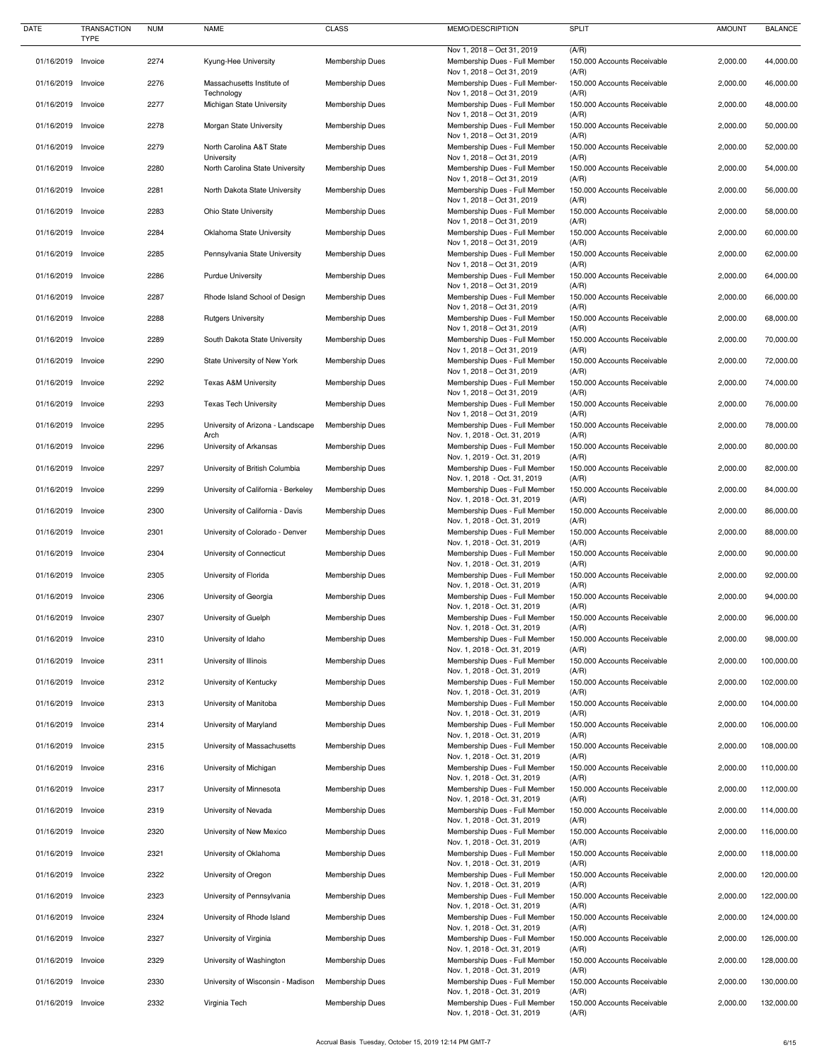| <b>DATE</b>        | <b>TRANSACTION</b><br><b>TYPE</b> | <b>NUM</b> | <b>NAME</b>                              | <b>CLASS</b>           | MEMO/DESCRIPTION                                              | <b>SPLIT</b>                         | <b>AMOUNT</b> | <b>BALANCE</b> |
|--------------------|-----------------------------------|------------|------------------------------------------|------------------------|---------------------------------------------------------------|--------------------------------------|---------------|----------------|
|                    |                                   |            |                                          |                        | Nov 1, 2018 - Oct 31, 2019                                    | (A/R)                                |               |                |
| 01/16/2019 Invoice |                                   | 2274       | Kyung-Hee University                     | <b>Membership Dues</b> | Membership Dues - Full Member<br>Nov 1, 2018 - Oct 31, 2019   | 150.000 Accounts Receivable<br>(A/R) | 2,000.00      | 44,000.00      |
| 01/16/2019         | Invoice                           | 2276       | Massachusetts Institute of<br>Technology | <b>Membership Dues</b> | Membership Dues - Full Member-<br>Nov 1, 2018 - Oct 31, 2019  | 150.000 Accounts Receivable<br>(A/R) | 2,000.00      | 46,000.00      |
| 01/16/2019         | Invoice                           | 2277       | Michigan State University                | <b>Membership Dues</b> | Membership Dues - Full Member                                 | 150.000 Accounts Receivable          | 2,000.00      | 48,000.00      |
| 01/16/2019 Invoice |                                   | 2278       | Morgan State University                  | <b>Membership Dues</b> | Nov 1, 2018 - Oct 31, 2019<br>Membership Dues - Full Member   | (A/R)<br>150.000 Accounts Receivable | 2,000.00      | 50,000.00      |
| 01/16/2019 Invoice |                                   | 2279       | North Carolina A&T State                 | <b>Membership Dues</b> | Nov 1, 2018 - Oct 31, 2019<br>Membership Dues - Full Member   | (A/R)<br>150.000 Accounts Receivable | 2,000.00      | 52,000.00      |
|                    |                                   |            | University                               |                        | Nov 1, 2018 - Oct 31, 2019                                    | (A/R)                                |               |                |
| 01/16/2019         | Invoice                           | 2280       | North Carolina State University          | <b>Membership Dues</b> | Membership Dues - Full Member<br>Nov 1, 2018 - Oct 31, 2019   | 150.000 Accounts Receivable<br>(A/R) | 2,000.00      | 54,000.00      |
| 01/16/2019 Invoice |                                   | 2281       | North Dakota State University            | <b>Membership Dues</b> | Membership Dues - Full Member<br>Nov 1, 2018 - Oct 31, 2019   | 150.000 Accounts Receivable<br>(A/R) | 2,000.00      | 56,000.00      |
| 01/16/2019 Invoice |                                   | 2283       | <b>Ohio State University</b>             | <b>Membership Dues</b> | Membership Dues - Full Member<br>Nov 1, 2018 - Oct 31, 2019   | 150.000 Accounts Receivable<br>(A/R) | 2,000.00      | 58,000.00      |
| 01/16/2019 Invoice |                                   | 2284       | Oklahoma State University                | <b>Membership Dues</b> | Membership Dues - Full Member<br>Nov 1, 2018 - Oct 31, 2019   | 150.000 Accounts Receivable<br>(A/R) | 2,000.00      | 60,000.00      |
| 01/16/2019 Invoice |                                   | 2285       | Pennsylvania State University            | <b>Membership Dues</b> | Membership Dues - Full Member                                 | 150.000 Accounts Receivable          | 2,000.00      | 62,000.00      |
| 01/16/2019         | Invoice                           | 2286       | <b>Purdue University</b>                 | <b>Membership Dues</b> | Nov 1, 2018 - Oct 31, 2019<br>Membership Dues - Full Member   | (A/R)<br>150.000 Accounts Receivable | 2,000.00      | 64,000.00      |
| 01/16/2019         | Invoice                           | 2287       | Rhode Island School of Design            | <b>Membership Dues</b> | Nov 1, 2018 - Oct 31, 2019<br>Membership Dues - Full Member   | (A/R)<br>150.000 Accounts Receivable | 2,000.00      | 66,000.00      |
|                    |                                   |            |                                          |                        | Nov 1, 2018 - Oct 31, 2019                                    | (A/R)                                |               |                |
| 01/16/2019 Invoice |                                   | 2288       | <b>Rutgers University</b>                | <b>Membership Dues</b> | Membership Dues - Full Member<br>Nov 1, 2018 - Oct 31, 2019   | 150.000 Accounts Receivable<br>(A/R) | 2,000.00      | 68,000.00      |
| 01/16/2019         | Invoice                           | 2289       | South Dakota State University            | <b>Membership Dues</b> | Membership Dues - Full Member<br>Nov 1, 2018 - Oct 31, 2019   | 150.000 Accounts Receivable<br>(A/R) | 2,000.00      | 70,000.00      |
| 01/16/2019 Invoice |                                   | 2290       | State University of New York             | <b>Membership Dues</b> | Membership Dues - Full Member<br>Nov 1, 2018 - Oct 31, 2019   | 150.000 Accounts Receivable<br>(A/R) | 2,000.00      | 72,000.00      |
| 01/16/2019 Invoice |                                   | 2292       | <b>Texas A&amp;M University</b>          | <b>Membership Dues</b> | Membership Dues - Full Member                                 | 150.000 Accounts Receivable          | 2,000.00      | 74,000.00      |
| 01/16/2019         | Invoice                           | 2293       | <b>Texas Tech University</b>             | <b>Membership Dues</b> | Nov 1, 2018 - Oct 31, 2019<br>Membership Dues - Full Member   | (A/R)<br>150.000 Accounts Receivable | 2,000.00      | 76,000.00      |
| 01/16/2019 Invoice |                                   | 2295       | University of Arizona - Landscape        | <b>Membership Dues</b> | Nov 1, 2018 - Oct 31, 2019<br>Membership Dues - Full Member   | (A/R)<br>150.000 Accounts Receivable | 2,000.00      | 78,000.00      |
| 01/16/2019 Invoice |                                   | 2296       | Arch<br>University of Arkansas           | <b>Membership Dues</b> | Nov. 1, 2018 - Oct. 31, 2019<br>Membership Dues - Full Member | (A/R)<br>150.000 Accounts Receivable | 2,000.00      | 80,000.00      |
|                    |                                   |            |                                          |                        | Nov. 1, 2019 - Oct. 31, 2019                                  | (A/R)                                |               |                |
| 01/16/2019 Invoice |                                   | 2297       | University of British Columbia           | <b>Membership Dues</b> | Membership Dues - Full Member<br>Nov. 1, 2018 - Oct. 31, 2019 | 150.000 Accounts Receivable<br>(A/R) | 2,000.00      | 82,000.00      |
| 01/16/2019 Invoice |                                   | 2299       | University of California - Berkeley      | <b>Membership Dues</b> | Membership Dues - Full Member<br>Nov. 1, 2018 - Oct. 31, 2019 | 150.000 Accounts Receivable<br>(A/R) | 2,000.00      | 84,000.00      |
| 01/16/2019         | Invoice                           | 2300       | University of California - Davis         | <b>Membership Dues</b> | Membership Dues - Full Member<br>Nov. 1, 2018 - Oct. 31, 2019 | 150.000 Accounts Receivable<br>(A/R) | 2,000.00      | 86,000.00      |
| 01/16/2019 Invoice |                                   | 2301       | University of Colorado - Denver          | <b>Membership Dues</b> | Membership Dues - Full Member                                 | 150.000 Accounts Receivable          | 2,000.00      | 88,000.00      |
| 01/16/2019 Invoice |                                   | 2304       | University of Connecticut                | <b>Membership Dues</b> | Nov. 1, 2018 - Oct. 31, 2019<br>Membership Dues - Full Member | (A/R)<br>150.000 Accounts Receivable | 2,000.00      | 90,000.00      |
| 01/16/2019         | Invoice                           | 2305       | University of Florida                    | <b>Membership Dues</b> | Nov. 1, 2018 - Oct. 31, 2019<br>Membership Dues - Full Member | (A/R)<br>150.000 Accounts Receivable | 2,000.00      | 92,000.00      |
| 01/16/2019 Invoice |                                   | 2306       | University of Georgia                    | <b>Membership Dues</b> | Nov. 1, 2018 - Oct. 31, 2019<br>Membership Dues - Full Member | (A/R)<br>150.000 Accounts Receivable | 2,000.00      | 94,000.00      |
|                    |                                   |            |                                          |                        | Nov. 1, 2018 - Oct. 31, 2019                                  | (A/R)                                |               |                |
| 01/16/2019 Invoice |                                   | 2307       | University of Guelph                     | <b>Membership Dues</b> | Membership Dues - Full Member<br>Nov. 1, 2018 - Oct. 31, 2019 | 150.000 Accounts Receivable<br>(A/R) | 2,000.00      | 96,000.00      |
| 01/16/2019 Invoice |                                   | 2310       | University of Idaho                      | <b>Membership Dues</b> | Membership Dues - Full Member<br>Nov. 1, 2018 - Oct. 31, 2019 | 150.000 Accounts Receivable<br>(A/R) | 2,000.00      | 98,000.00      |
| 01/16/2019 Invoice |                                   | 2311       | University of Illinois                   | <b>Membership Dues</b> | Membership Dues - Full Member<br>Nov. 1, 2018 - Oct. 31, 2019 | 150.000 Accounts Receivable<br>(A/R) | 2,000.00      | 100,000.00     |
| 01/16/2019         | Invoice                           | 2312       | University of Kentucky                   | <b>Membership Dues</b> | Membership Dues - Full Member                                 | 150.000 Accounts Receivable          | 2,000.00      | 102,000.00     |
| 01/16/2019 Invoice |                                   | 2313       | University of Manitoba                   | <b>Membership Dues</b> | Nov. 1, 2018 - Oct. 31, 2019<br>Membership Dues - Full Member | (A/R)<br>150.000 Accounts Receivable | 2,000.00      | 104,000.00     |
| 01/16/2019 Invoice |                                   | 2314       | University of Maryland                   | <b>Membership Dues</b> | Nov. 1, 2018 - Oct. 31, 2019<br>Membership Dues - Full Member | (A/R)<br>150.000 Accounts Receivable | 2,000.00      | 106,000.00     |
| 01/16/2019         | Invoice                           | 2315       | University of Massachusetts              | <b>Membership Dues</b> | Nov. 1, 2018 - Oct. 31, 2019<br>Membership Dues - Full Member | (A/R)<br>150.000 Accounts Receivable | 2,000.00      | 108,000.00     |
|                    |                                   |            |                                          |                        | Nov. 1, 2018 - Oct. 31, 2019                                  | (A/R)                                |               |                |
| 01/16/2019 Invoice |                                   | 2316       | University of Michigan                   | <b>Membership Dues</b> | Membership Dues - Full Member<br>Nov. 1, 2018 - Oct. 31, 2019 | 150,000 Accounts Receivable<br>(A/R) | 2,000.00      | 110,000.00     |
| 01/16/2019 Invoice |                                   | 2317       | University of Minnesota                  | <b>Membership Dues</b> | Membership Dues - Full Member<br>Nov. 1, 2018 - Oct. 31, 2019 | 150.000 Accounts Receivable<br>(A/R) | 2,000.00      | 112,000.00     |
| 01/16/2019         | Invoice                           | 2319       | University of Nevada                     | <b>Membership Dues</b> | Membership Dues - Full Member                                 | 150.000 Accounts Receivable          | 2,000.00      | 114,000.00     |
| 01/16/2019 Invoice |                                   | 2320       | University of New Mexico                 | <b>Membership Dues</b> | Nov. 1, 2018 - Oct. 31, 2019<br>Membership Dues - Full Member | (A/R)<br>150.000 Accounts Receivable | 2,000.00      | 116,000.00     |
| 01/16/2019         | Invoice                           | 2321       | University of Oklahoma                   | <b>Membership Dues</b> | Nov. 1, 2018 - Oct. 31, 2019<br>Membership Dues - Full Member | (A/R)<br>150.000 Accounts Receivable | 2,000.00      | 118,000.00     |
| 01/16/2019 Invoice |                                   | 2322       | University of Oregon                     | <b>Membership Dues</b> | Nov. 1, 2018 - Oct. 31, 2019<br>Membership Dues - Full Member | (A/R)<br>150.000 Accounts Receivable | 2,000.00      | 120,000.00     |
|                    |                                   |            |                                          |                        | Nov. 1, 2018 - Oct. 31, 2019                                  | (A/R)                                |               |                |
| 01/16/2019         | Invoice                           | 2323       | University of Pennsylvania               | <b>Membership Dues</b> | Membership Dues - Full Member<br>Nov. 1, 2018 - Oct. 31, 2019 | 150.000 Accounts Receivable<br>(A/R) | 2,000.00      | 122,000.00     |
| 01/16/2019         | Invoice                           | 2324       | University of Rhode Island               | <b>Membership Dues</b> | Membership Dues - Full Member<br>Nov. 1, 2018 - Oct. 31, 2019 | 150.000 Accounts Receivable<br>(A/R) | 2,000.00      | 124,000.00     |
| 01/16/2019         | Invoice                           | 2327       | University of Virginia                   | <b>Membership Dues</b> | Membership Dues - Full Member<br>Nov. 1, 2018 - Oct. 31, 2019 | 150.000 Accounts Receivable<br>(A/R) | 2,000.00      | 126,000.00     |
| 01/16/2019 Invoice |                                   | 2329       | University of Washington                 | <b>Membership Dues</b> | Membership Dues - Full Member                                 | 150.000 Accounts Receivable          | 2,000.00      | 128,000.00     |
| 01/16/2019         | Invoice                           | 2330       | University of Wisconsin - Madison        | <b>Membership Dues</b> | Nov. 1, 2018 - Oct. 31, 2019<br>Membership Dues - Full Member | (A/R)<br>150.000 Accounts Receivable | 2,000.00      | 130,000.00     |
| 01/16/2019         | Invoice                           | 2332       | Virginia Tech                            | <b>Membership Dues</b> | Nov. 1, 2018 - Oct. 31, 2019<br>Membership Dues - Full Member | (A/R)<br>150.000 Accounts Receivable | 2,000.00      | 132,000.00     |
|                    |                                   |            |                                          |                        | Nov. 1, 2018 - Oct. 31, 2019                                  | (A/R)                                |               |                |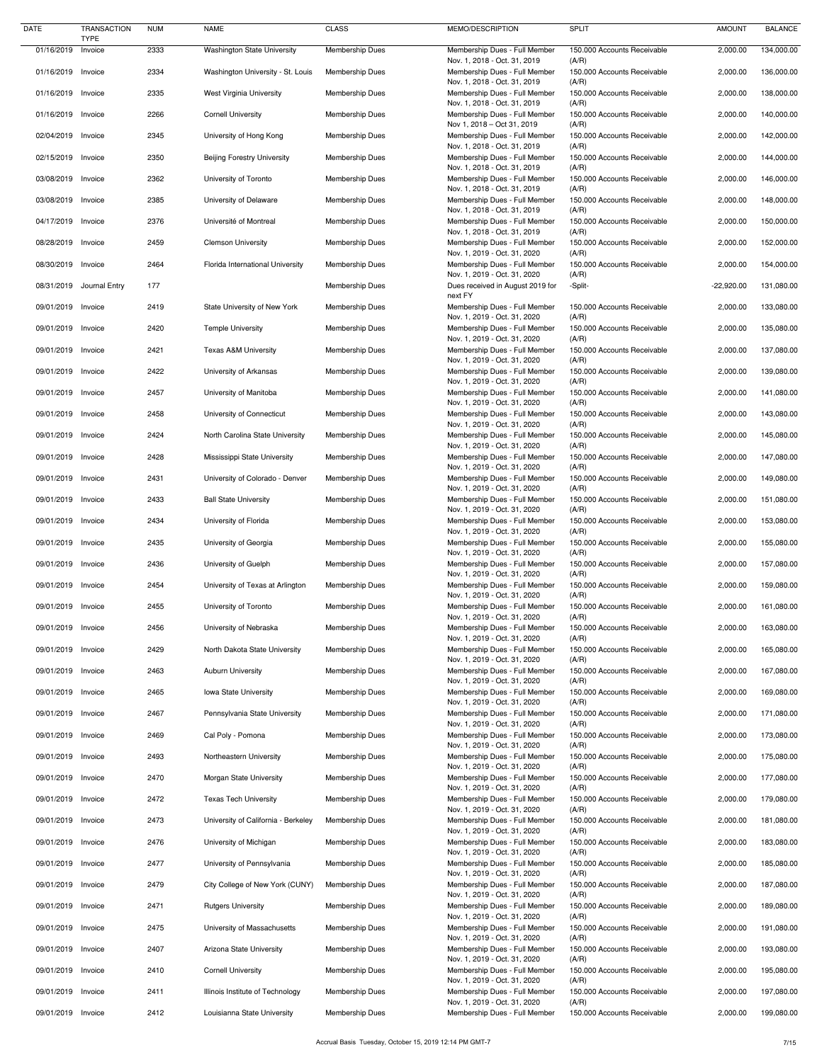| <b>DATE</b>        | <b>TRANSACTION</b>     | <b>NUM</b> | <b>NAME</b>                         | <b>CLASS</b>           | MEMO/DESCRIPTION                                              | <b>SPLIT</b>                         | <b>AMOUNT</b> | <b>BALANCE</b> |
|--------------------|------------------------|------------|-------------------------------------|------------------------|---------------------------------------------------------------|--------------------------------------|---------------|----------------|
| 01/16/2019         | <b>TYPE</b><br>Invoice | 2333       | <b>Washington State University</b>  | Membership Dues        | Membership Dues - Full Member                                 | 150.000 Accounts Receivable          | 2,000.00      | 134,000.00     |
|                    |                        |            |                                     |                        | Nov. 1, 2018 - Oct. 31, 2019                                  | (A/R)                                |               |                |
| 01/16/2019 Invoice |                        | 2334       | Washington University - St. Louis   | <b>Membership Dues</b> | Membership Dues - Full Member<br>Nov. 1, 2018 - Oct. 31, 2019 | 150.000 Accounts Receivable<br>(A/R) | 2,000.00      | 136,000.00     |
| 01/16/2019 Invoice |                        | 2335       | West Virginia University            | <b>Membership Dues</b> | Membership Dues - Full Member                                 | 150.000 Accounts Receivable          | 2,000.00      | 138,000.00     |
|                    |                        |            |                                     |                        | Nov. 1, 2018 - Oct. 31, 2019                                  | (A/R)                                |               |                |
| 01/16/2019 Invoice |                        | 2266       | <b>Cornell University</b>           | <b>Membership Dues</b> | Membership Dues - Full Member<br>Nov 1, 2018 - Oct 31, 2019   | 150.000 Accounts Receivable<br>(A/R) | 2,000.00      | 140,000.00     |
| 02/04/2019 Invoice |                        | 2345       | University of Hong Kong             | <b>Membership Dues</b> | Membership Dues - Full Member                                 | 150.000 Accounts Receivable          | 2,000.00      | 142,000.00     |
| 02/15/2019 Invoice |                        | 2350       | <b>Beijing Forestry University</b>  | <b>Membership Dues</b> | Nov. 1, 2018 - Oct. 31, 2019<br>Membership Dues - Full Member | (A/R)<br>150.000 Accounts Receivable | 2,000.00      | 144,000.00     |
|                    |                        |            |                                     |                        | Nov. 1, 2018 - Oct. 31, 2019                                  | (A/R)                                |               |                |
| 03/08/2019 Invoice |                        | 2362       | University of Toronto               | <b>Membership Dues</b> | Membership Dues - Full Member                                 | 150.000 Accounts Receivable          | 2,000.00      | 146,000.00     |
| 03/08/2019 Invoice |                        | 2385       | University of Delaware              | <b>Membership Dues</b> | Nov. 1, 2018 - Oct. 31, 2019<br>Membership Dues - Full Member | (A/R)<br>150.000 Accounts Receivable | 2,000.00      | 148,000.00     |
|                    |                        |            |                                     |                        | Nov. 1, 2018 - Oct. 31, 2019                                  | (A/R)                                |               |                |
| 04/17/2019 Invoice |                        | 2376       | Université of Montreal              | Membership Dues        | Membership Dues - Full Member<br>Nov. 1, 2018 - Oct. 31, 2019 | 150.000 Accounts Receivable<br>(A/R) | 2,000.00      | 150,000.00     |
| 08/28/2019 Invoice |                        | 2459       | <b>Clemson University</b>           | <b>Membership Dues</b> | Membership Dues - Full Member                                 | 150.000 Accounts Receivable          | 2,000.00      | 152,000.00     |
|                    |                        |            |                                     |                        | Nov. 1, 2019 - Oct. 31, 2020                                  | (A/R)                                |               |                |
| 08/30/2019 Invoice |                        | 2464       | Florida International University    | <b>Membership Dues</b> | Membership Dues - Full Member<br>Nov. 1, 2019 - Oct. 31, 2020 | 150.000 Accounts Receivable<br>(A/R) | 2,000.00      | 154,000.00     |
| 08/31/2019         | Journal Entry          | 177        |                                     | Membership Dues        | Dues received in August 2019 for                              | -Split-                              | $-22,920.00$  | 131,080.00     |
| 09/01/2019 Invoice |                        | 2419       |                                     | <b>Membership Dues</b> | next FY                                                       | 150.000 Accounts Receivable          |               | 133,080.00     |
|                    |                        |            | State University of New York        |                        | Membership Dues - Full Member<br>Nov. 1, 2019 - Oct. 31, 2020 | (A/R)                                | 2,000.00      |                |
| 09/01/2019 Invoice |                        | 2420       | <b>Temple University</b>            | <b>Membership Dues</b> | Membership Dues - Full Member                                 | 150.000 Accounts Receivable          | 2,000.00      | 135,080.00     |
| 09/01/2019 Invoice |                        | 2421       | <b>Texas A&amp;M University</b>     | Membership Dues        | Nov. 1, 2019 - Oct. 31, 2020<br>Membership Dues - Full Member | (A/R)<br>150.000 Accounts Receivable | 2,000.00      | 137,080.00     |
|                    |                        |            |                                     |                        | Nov. 1, 2019 - Oct. 31, 2020                                  | (A/R)                                |               |                |
| 09/01/2019 Invoice |                        | 2422       | University of Arkansas              | <b>Membership Dues</b> | Membership Dues - Full Member                                 | 150.000 Accounts Receivable          | 2,000.00      | 139,080.00     |
| 09/01/2019 Invoice |                        | 2457       | University of Manitoba              | <b>Membership Dues</b> | Nov. 1, 2019 - Oct. 31, 2020<br>Membership Dues - Full Member | (A/R)<br>150.000 Accounts Receivable | 2,000.00      | 141,080.00     |
|                    |                        |            |                                     |                        | Nov. 1, 2019 - Oct. 31, 2020                                  | (A/R)                                |               |                |
| 09/01/2019 Invoice |                        | 2458       | University of Connecticut           | <b>Membership Dues</b> | Membership Dues - Full Member<br>Nov. 1, 2019 - Oct. 31, 2020 | 150.000 Accounts Receivable<br>(A/R) | 2,000.00      | 143,080.00     |
| 09/01/2019 Invoice |                        | 2424       | North Carolina State University     | <b>Membership Dues</b> | Membership Dues - Full Member                                 | 150.000 Accounts Receivable          | 2,000.00      | 145,080.00     |
|                    |                        |            |                                     |                        | Nov. 1, 2019 - Oct. 31, 2020                                  | (A/R)                                |               |                |
| 09/01/2019 Invoice |                        | 2428       | Mississippi State University        | <b>Membership Dues</b> | Membership Dues - Full Member<br>Nov. 1, 2019 - Oct. 31, 2020 | 150.000 Accounts Receivable<br>(A/R) | 2,000.00      | 147,080.00     |
| 09/01/2019 Invoice |                        | 2431       | University of Colorado - Denver     | <b>Membership Dues</b> | Membership Dues - Full Member                                 | 150.000 Accounts Receivable          | 2,000.00      | 149,080.00     |
|                    |                        |            |                                     |                        | Nov. 1, 2019 - Oct. 31, 2020                                  | (A/R)                                |               |                |
| 09/01/2019 Invoice |                        | 2433       | <b>Ball State University</b>        | <b>Membership Dues</b> | Membership Dues - Full Member<br>Nov. 1, 2019 - Oct. 31, 2020 | 150.000 Accounts Receivable<br>(A/R) | 2,000.00      | 151,080.00     |
| 09/01/2019 Invoice |                        | 2434       | University of Florida               | <b>Membership Dues</b> | Membership Dues - Full Member                                 | 150.000 Accounts Receivable          | 2,000.00      | 153,080.00     |
| 09/01/2019 Invoice |                        | 2435       | University of Georgia               | <b>Membership Dues</b> | Nov. 1, 2019 - Oct. 31, 2020<br>Membership Dues - Full Member | (A/R)<br>150.000 Accounts Receivable | 2,000.00      | 155,080.00     |
|                    |                        |            |                                     |                        | Nov. 1, 2019 - Oct. 31, 2020                                  | (A/R)                                |               |                |
| 09/01/2019 Invoice |                        | 2436       | University of Guelph                | <b>Membership Dues</b> | Membership Dues - Full Member                                 | 150.000 Accounts Receivable          | 2,000.00      | 157,080.00     |
| 09/01/2019 Invoice |                        | 2454       | University of Texas at Arlington    | <b>Membership Dues</b> | Nov. 1, 2019 - Oct. 31, 2020<br>Membership Dues - Full Member | (A/R)<br>150.000 Accounts Receivable | 2,000.00      | 159,080.00     |
|                    |                        |            |                                     |                        | Nov. 1, 2019 - Oct. 31, 2020                                  | (A/R)                                |               |                |
| 09/01/2019 Invoice |                        | 2455       | University of Toronto               | <b>Membership Dues</b> | Membership Dues - Full Member<br>Nov. 1, 2019 - Oct. 31, 2020 | 150.000 Accounts Receivable<br>(A/R) | 2,000.00      | 161,080.00     |
| 09/01/2019 Invoice |                        | 2456       | University of Nebraska              | <b>Membership Dues</b> | Membership Dues - Full Member                                 | 150.000 Accounts Receivable          | 2,000.00      | 163,080.00     |
|                    |                        |            |                                     |                        | Nov. 1, 2019 - Oct. 31, 2020                                  | (A/R)                                |               |                |
| 09/01/2019 Invoice |                        | 2429       | North Dakota State University       | <b>Membership Dues</b> | Membership Dues - Full Member<br>Nov. 1, 2019 - Oct. 31, 2020 | 150.000 Accounts Receivable<br>(A/R) | 2,000.00      | 165,080.00     |
| 09/01/2019 Invoice |                        | 2463       | <b>Auburn University</b>            | <b>Membership Dues</b> | Membership Dues - Full Member                                 | 150.000 Accounts Receivable          | 2,000.00      | 167,080.00     |
| 09/01/2019 Invoice |                        |            |                                     |                        | Nov. 1, 2019 - Oct. 31, 2020                                  | (A/R)<br>150.000 Accounts Receivable |               | 169,080.00     |
|                    |                        | 2465       | Iowa State University               | <b>Membership Dues</b> | Membership Dues - Full Member<br>Nov. 1, 2019 - Oct. 31, 2020 | (A/R)                                | 2,000.00      |                |
| 09/01/2019 Invoice |                        | 2467       | Pennsylvania State University       | <b>Membership Dues</b> | Membership Dues - Full Member                                 | 150.000 Accounts Receivable          | 2,000.00      | 171,080.00     |
| 09/01/2019 Invoice |                        | 2469       | Cal Poly - Pomona                   | <b>Membership Dues</b> | Nov. 1, 2019 - Oct. 31, 2020<br>Membership Dues - Full Member | (A/R)<br>150.000 Accounts Receivable | 2,000.00      | 173,080.00     |
|                    |                        |            |                                     |                        | Nov. 1, 2019 - Oct. 31, 2020                                  | (A/R)                                |               |                |
| 09/01/2019 Invoice |                        | 2493       | Northeastern University             | <b>Membership Dues</b> | Membership Dues - Full Member<br>Nov. 1, 2019 - Oct. 31, 2020 | 150.000 Accounts Receivable          | 2,000.00      | 175,080.00     |
| 09/01/2019 Invoice |                        | 2470       | Morgan State University             | <b>Membership Dues</b> | Membership Dues - Full Member                                 | (A/R)<br>150.000 Accounts Receivable | 2,000.00      | 177,080.00     |
|                    |                        |            |                                     |                        | Nov. 1, 2019 - Oct. 31, 2020                                  | (A/R)                                |               |                |
| 09/01/2019 Invoice |                        | 2472       | <b>Texas Tech University</b>        | <b>Membership Dues</b> | Membership Dues - Full Member<br>Nov. 1, 2019 - Oct. 31, 2020 | 150.000 Accounts Receivable<br>(A/R) | 2,000.00      | 179,080.00     |
| 09/01/2019 Invoice |                        | 2473       | University of California - Berkeley | <b>Membership Dues</b> | Membership Dues - Full Member                                 | 150.000 Accounts Receivable          | 2,000.00      | 181,080.00     |
|                    |                        |            |                                     |                        | Nov. 1, 2019 - Oct. 31, 2020                                  | (A/R)                                |               |                |
| 09/01/2019 Invoice |                        | 2476       | University of Michigan              | <b>Membership Dues</b> | Membership Dues - Full Member<br>Nov. 1, 2019 - Oct. 31, 2020 | 150.000 Accounts Receivable<br>(A/R) | 2,000.00      | 183,080.00     |
| 09/01/2019 Invoice |                        | 2477       | University of Pennsylvania          | <b>Membership Dues</b> | Membership Dues - Full Member                                 | 150.000 Accounts Receivable          | 2,000.00      | 185,080.00     |
| 09/01/2019 Invoice |                        | 2479       | City College of New York (CUNY)     | <b>Membership Dues</b> | Nov. 1, 2019 - Oct. 31, 2020<br>Membership Dues - Full Member | (A/R)<br>150.000 Accounts Receivable | 2,000.00      | 187,080.00     |
|                    |                        |            |                                     |                        | Nov. 1, 2019 - Oct. 31, 2020                                  | (A/R)                                |               |                |
| 09/01/2019 Invoice |                        | 2471       | <b>Rutgers University</b>           | <b>Membership Dues</b> | Membership Dues - Full Member                                 | 150.000 Accounts Receivable          | 2,000.00      | 189,080.00     |
| 09/01/2019 Invoice |                        | 2475       | University of Massachusetts         | <b>Membership Dues</b> | Nov. 1, 2019 - Oct. 31, 2020<br>Membership Dues - Full Member | (A/R)<br>150.000 Accounts Receivable | 2,000.00      | 191,080.00     |
|                    |                        |            |                                     |                        | Nov. 1, 2019 - Oct. 31, 2020                                  | (A/R)                                |               |                |
| 09/01/2019 Invoice |                        | 2407       | Arizona State University            | <b>Membership Dues</b> | Membership Dues - Full Member<br>Nov. 1, 2019 - Oct. 31, 2020 | 150.000 Accounts Receivable<br>(A/R) | 2,000.00      | 193,080.00     |
| 09/01/2019 Invoice |                        | 2410       | <b>Cornell University</b>           | <b>Membership Dues</b> | Membership Dues - Full Member                                 | 150.000 Accounts Receivable          | 2,000.00      | 195,080.00     |
|                    |                        |            |                                     |                        | Nov. 1, 2019 - Oct. 31, 2020                                  | (A/R)                                |               |                |
| 09/01/2019 Invoice |                        | 2411       | Illinois Institute of Technology    | <b>Membership Dues</b> | Membership Dues - Full Member<br>Nov. 1, 2019 - Oct. 31, 2020 | 150.000 Accounts Receivable<br>(A/R) | 2,000.00      | 197,080.00     |
| 09/01/2019 Invoice |                        | 2412       | Louisianna State University         | <b>Membership Dues</b> | Membership Dues - Full Member                                 | 150.000 Accounts Receivable          | 2,000.00      | 199,080.00     |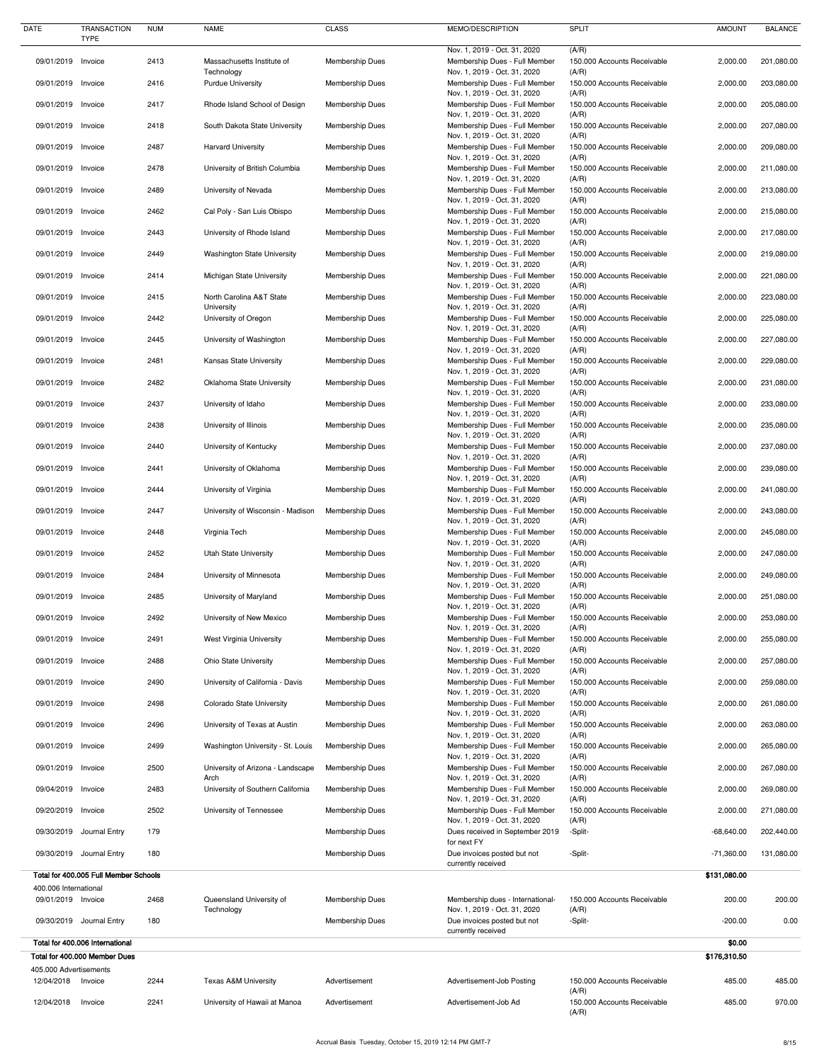| <b>DATE</b>            | <b>TRANSACTION</b><br><b>TYPE</b>     | <b>NUM</b> | <b>NAME</b>                               | <b>CLASS</b>           | MEMO/DESCRIPTION                                                | <b>SPLIT</b>                         | <b>AMOUNT</b>          | <b>BALANCE</b> |
|------------------------|---------------------------------------|------------|-------------------------------------------|------------------------|-----------------------------------------------------------------|--------------------------------------|------------------------|----------------|
|                        |                                       |            |                                           |                        | Nov. 1, 2019 - Oct. 31, 2020                                    | (A/R)                                |                        |                |
| 09/01/2019 Invoice     |                                       | 2413       | Massachusetts Institute of<br>Technology  | <b>Membership Dues</b> | Membership Dues - Full Member<br>Nov. 1, 2019 - Oct. 31, 2020   | 150.000 Accounts Receivable<br>(A/R) | 2,000.00               | 201,080.00     |
| 09/01/2019 Invoice     |                                       | 2416       | <b>Purdue University</b>                  | <b>Membership Dues</b> | Membership Dues - Full Member<br>Nov. 1, 2019 - Oct. 31, 2020   | 150.000 Accounts Receivable<br>(A/R) | 2,000.00               | 203,080.00     |
| 09/01/2019             | Invoice                               | 2417       | Rhode Island School of Design             | <b>Membership Dues</b> | Membership Dues - Full Member                                   | 150.000 Accounts Receivable          | 2,000.00               | 205,080.00     |
| 09/01/2019 Invoice     |                                       | 2418       | South Dakota State University             | <b>Membership Dues</b> | Nov. 1, 2019 - Oct. 31, 2020<br>Membership Dues - Full Member   | (A/R)<br>150.000 Accounts Receivable | 2,000.00               | 207,080.00     |
|                        |                                       |            |                                           |                        | Nov. 1, 2019 - Oct. 31, 2020                                    | (A/R)                                |                        |                |
| 09/01/2019 Invoice     |                                       | 2487       | <b>Harvard University</b>                 | <b>Membership Dues</b> | Membership Dues - Full Member<br>Nov. 1, 2019 - Oct. 31, 2020   | 150.000 Accounts Receivable<br>(A/R) | 2,000.00               | 209,080.00     |
| 09/01/2019             | Invoice                               | 2478       | University of British Columbia            | <b>Membership Dues</b> | Membership Dues - Full Member<br>Nov. 1, 2019 - Oct. 31, 2020   | 150.000 Accounts Receivable<br>(A/R) | 2,000.00               | 211,080.00     |
| 09/01/2019             | Invoice                               | 2489       | University of Nevada                      | <b>Membership Dues</b> | Membership Dues - Full Member<br>Nov. 1, 2019 - Oct. 31, 2020   | 150.000 Accounts Receivable<br>(A/R) | 2,000.00               | 213,080.00     |
| 09/01/2019             | Invoice                               | 2462       | Cal Poly - San Luis Obispo                | <b>Membership Dues</b> | Membership Dues - Full Member                                   | 150.000 Accounts Receivable          | 2,000.00               | 215,080.00     |
| 09/01/2019 Invoice     |                                       | 2443       | University of Rhode Island                | <b>Membership Dues</b> | Nov. 1, 2019 - Oct. 31, 2020<br>Membership Dues - Full Member   | (A/R)<br>150.000 Accounts Receivable | 2,000.00               | 217,080.00     |
|                        |                                       |            |                                           |                        | Nov. 1, 2019 - Oct. 31, 2020                                    | (A/R)                                |                        |                |
| 09/01/2019 Invoice     |                                       | 2449       | <b>Washington State University</b>        | <b>Membership Dues</b> | Membership Dues - Full Member<br>Nov. 1, 2019 - Oct. 31, 2020   | 150.000 Accounts Receivable<br>(A/R) | 2,000.00               | 219,080.00     |
| 09/01/2019             | Invoice                               | 2414       | Michigan State University                 | <b>Membership Dues</b> | Membership Dues - Full Member<br>Nov. 1, 2019 - Oct. 31, 2020   | 150.000 Accounts Receivable<br>(A/R) | 2,000.00               | 221,080.00     |
| 09/01/2019             | Invoice                               | 2415       | North Carolina A&T State                  | <b>Membership Dues</b> | Membership Dues - Full Member                                   | 150.000 Accounts Receivable          | 2,000.00               | 223,080.00     |
| 09/01/2019 Invoice     |                                       | 2442       | University<br>University of Oregon        | <b>Membership Dues</b> | Nov. 1, 2019 - Oct. 31, 2020<br>Membership Dues - Full Member   | (A/R)<br>150.000 Accounts Receivable | 2,000.00               | 225,080.00     |
| 09/01/2019             | Invoice                               | 2445       | University of Washington                  | <b>Membership Dues</b> | Nov. 1, 2019 - Oct. 31, 2020<br>Membership Dues - Full Member   | (A/R)<br>150.000 Accounts Receivable | 2,000.00               | 227,080.00     |
|                        |                                       |            |                                           |                        | Nov. 1, 2019 - Oct. 31, 2020                                    | (A/R)                                |                        |                |
| 09/01/2019             | Invoice                               | 2481       | Kansas State University                   | <b>Membership Dues</b> | Membership Dues - Full Member<br>Nov. 1, 2019 - Oct. 31, 2020   | 150.000 Accounts Receivable<br>(A/R) | 2,000.00               | 229,080.00     |
| 09/01/2019 Invoice     |                                       | 2482       | Oklahoma State University                 | <b>Membership Dues</b> | Membership Dues - Full Member<br>Nov. 1, 2019 - Oct. 31, 2020   | 150.000 Accounts Receivable<br>(A/R) | 2,000.00               | 231,080.00     |
| 09/01/2019             | Invoice                               | 2437       | University of Idaho                       | <b>Membership Dues</b> | Membership Dues - Full Member                                   | 150.000 Accounts Receivable          | 2,000.00               | 233,080.00     |
| 09/01/2019 Invoice     |                                       | 2438       | University of Illinois                    | <b>Membership Dues</b> | Nov. 1, 2019 - Oct. 31, 2020<br>Membership Dues - Full Member   | (A/R)<br>150.000 Accounts Receivable | 2,000.00               | 235,080.00     |
| 09/01/2019             | Invoice                               | 2440       | University of Kentucky                    | <b>Membership Dues</b> | Nov. 1, 2019 - Oct. 31, 2020<br>Membership Dues - Full Member   | (A/R)<br>150.000 Accounts Receivable | 2,000.00               | 237,080.00     |
|                        |                                       |            |                                           |                        | Nov. 1, 2019 - Oct. 31, 2020                                    | (A/R)                                |                        |                |
| 09/01/2019 Invoice     |                                       | 2441       | University of Oklahoma                    | <b>Membership Dues</b> | Membership Dues - Full Member<br>Nov. 1, 2019 - Oct. 31, 2020   | 150.000 Accounts Receivable<br>(A/R) | 2,000.00               | 239,080.00     |
| 09/01/2019 Invoice     |                                       | 2444       | University of Virginia                    | <b>Membership Dues</b> | Membership Dues - Full Member<br>Nov. 1, 2019 - Oct. 31, 2020   | 150.000 Accounts Receivable<br>(A/R) | 2,000.00               | 241,080.00     |
| 09/01/2019             | Invoice                               | 2447       | University of Wisconsin - Madison         | Membership Dues        | Membership Dues - Full Member                                   | 150.000 Accounts Receivable          | 2,000.00               | 243,080.00     |
| 09/01/2019 Invoice     |                                       | 2448       | Virginia Tech                             | <b>Membership Dues</b> | Nov. 1, 2019 - Oct. 31, 2020<br>Membership Dues - Full Member   | (A/R)<br>150.000 Accounts Receivable | 2,000.00               | 245,080.00     |
| 09/01/2019 Invoice     |                                       | 2452       | Utah State University                     | <b>Membership Dues</b> | Nov. 1, 2019 - Oct. 31, 2020<br>Membership Dues - Full Member   | (A/R)<br>150.000 Accounts Receivable | 2,000.00               | 247,080.00     |
|                        |                                       |            |                                           |                        | Nov. 1, 2019 - Oct. 31, 2020                                    | (A/R)                                |                        |                |
| 09/01/2019             | Invoice                               | 2484       | University of Minnesota                   | <b>Membership Dues</b> | Membership Dues - Full Member<br>Nov. 1, 2019 - Oct. 31, 2020   | 150.000 Accounts Receivable<br>(A/R) | 2,000.00               | 249,080.00     |
| 09/01/2019             | Invoice                               | 2485       | University of Maryland                    | <b>Membership Dues</b> | Membership Dues - Full Member<br>Nov. 1, 2019 - Oct. 31, 2020   | 150.000 Accounts Receivable<br>(A/R) | 2,000.00               | 251,080.00     |
| 09/01/2019             | Invoice                               | 2492       | University of New Mexico                  | <b>Membership Dues</b> | Membership Dues - Full Member                                   | 150.000 Accounts Receivable          | 2,000.00               | 253,080.00     |
| 09/01/2019 Invoice     |                                       | 2491       | West Virginia University                  | <b>Membership Dues</b> | Nov. 1, 2019 - Oct. 31, 2020<br>Membership Dues - Full Member   | (A/R)<br>150.000 Accounts Receivable | 2,000.00               | 255,080.00     |
| 09/01/2019 Invoice     |                                       |            |                                           |                        | Nov. 1, 2019 - Oct. 31, 2020                                    | (A/R)                                |                        |                |
|                        |                                       | 2488       | <b>Ohio State University</b>              | <b>Membership Dues</b> | Membership Dues - Full Member<br>Nov. 1, 2019 - Oct. 31, 2020   | 150.000 Accounts Receivable<br>(A/R) | 2,000.00               | 257,080.00     |
| 09/01/2019             | Invoice                               | 2490       | University of California - Davis          | <b>Membership Dues</b> | Membership Dues - Full Member<br>Nov. 1, 2019 - Oct. 31, 2020   | 150.000 Accounts Receivable<br>(A/R) | 2,000.00               | 259,080.00     |
| 09/01/2019             | Invoice                               | 2498       | <b>Colorado State University</b>          | <b>Membership Dues</b> | Membership Dues - Full Member                                   | 150.000 Accounts Receivable          | 2,000.00               | 261,080.00     |
| 09/01/2019 Invoice     |                                       | 2496       | University of Texas at Austin             | <b>Membership Dues</b> | Nov. 1, 2019 - Oct. 31, 2020<br>Membership Dues - Full Member   | (A/R)<br>150.000 Accounts Receivable | 2,000.00               | 263,080.00     |
| 09/01/2019 Invoice     |                                       | 2499       | Washington University - St. Louis         | Membership Dues        | Nov. 1, 2019 - Oct. 31, 2020<br>Membership Dues - Full Member   | (A/R)<br>150.000 Accounts Receivable | 2,000.00               | 265,080.00     |
|                        |                                       |            |                                           |                        | Nov. 1, 2019 - Oct. 31, 2020                                    | (A/R)                                |                        |                |
| 09/01/2019 Invoice     |                                       | 2500       | University of Arizona - Landscape<br>Arch | <b>Membership Dues</b> | Membership Dues - Full Member<br>Nov. 1, 2019 - Oct. 31, 2020   | 150.000 Accounts Receivable<br>(A/R) | 2,000.00               | 267,080.00     |
| 09/04/2019             | Invoice                               | 2483       | University of Southern California         | <b>Membership Dues</b> | Membership Dues - Full Member<br>Nov. 1, 2019 - Oct. 31, 2020   | 150.000 Accounts Receivable<br>(A/R) | 2,000.00               | 269,080.00     |
| 09/20/2019             | Invoice                               | 2502       | University of Tennessee                   | <b>Membership Dues</b> | Membership Dues - Full Member                                   | 150.000 Accounts Receivable          | 2,000.00               | 271,080.00     |
|                        | 09/30/2019 Journal Entry              | 179        |                                           | <b>Membership Dues</b> | Nov. 1, 2019 - Oct. 31, 2020<br>Dues received in September 2019 | (A/R)<br>-Split-                     | $-68,640.00$           | 202,440.00     |
|                        | 09/30/2019 Journal Entry              | 180        |                                           | <b>Membership Dues</b> | for next FY<br>Due invoices posted but not                      | -Split-                              | $-71,360.00$           | 131,080.00     |
|                        |                                       |            |                                           |                        | currently received                                              |                                      |                        |                |
| 400.006 International  | Total for 400.005 Full Member Schools |            |                                           |                        |                                                                 |                                      | \$131,080.00           |                |
| 09/01/2019 Invoice     |                                       | 2468       | Queensland University of                  | <b>Membership Dues</b> | Membership dues - International-                                | 150.000 Accounts Receivable          | 200.00                 | 200.00         |
|                        | 09/30/2019 Journal Entry              | 180        | Technology                                | <b>Membership Dues</b> | Nov. 1, 2019 - Oct. 31, 2020<br>Due invoices posted but not     | (A/R)<br>-Split-                     | $-200.00$              | 0.00           |
|                        | Total for 400.006 International       |            |                                           |                        | currently received                                              |                                      |                        |                |
|                        | Total for 400.000 Member Dues         |            |                                           |                        |                                                                 |                                      | \$0.00<br>\$176,310.50 |                |
| 405.000 Advertisements |                                       |            |                                           |                        |                                                                 |                                      |                        |                |
| 12/04/2018             | Invoice                               | 2244       | <b>Texas A&amp;M University</b>           | Advertisement          | Advertisement-Job Posting                                       | 150,000 Accounts Receivable<br>(A/R) | 485.00                 | 485.00         |
| 12/04/2018             | Invoice                               | 2241       | University of Hawaii at Manoa             | Advertisement          | Advertisement-Job Ad                                            | 150.000 Accounts Receivable<br>(A/R) | 485.00                 | 970.00         |
|                        |                                       |            |                                           |                        |                                                                 |                                      |                        |                |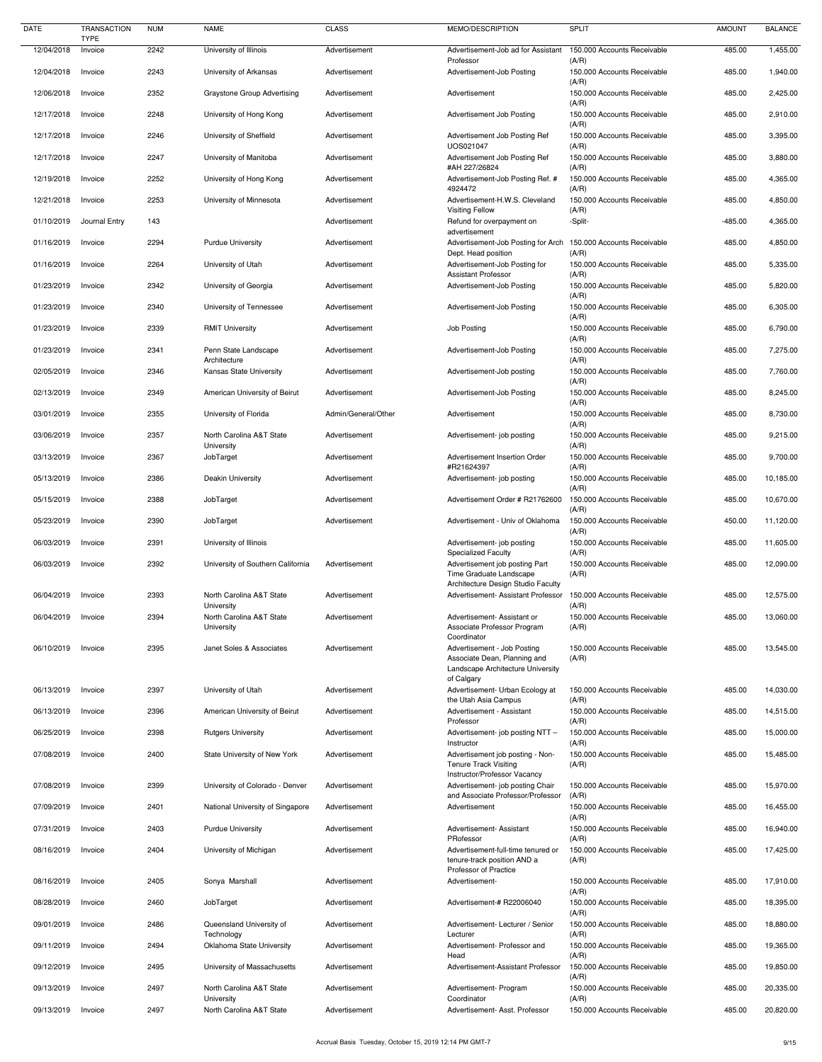| <b>DATE</b> | <b>TRANSACTION</b><br><b>TYPE</b> | <b>NUM</b> | <b>NAME</b>                            | <b>CLASS</b>        | MEMO/DESCRIPTION                                                                                 | <b>SPLIT</b>                                  | <b>AMOUNT</b> | <b>BALANCE</b> |
|-------------|-----------------------------------|------------|----------------------------------------|---------------------|--------------------------------------------------------------------------------------------------|-----------------------------------------------|---------------|----------------|
| 12/04/2018  | Invoice                           | 2242       | University of Illinois                 | Advertisement       | Advertisement-Job ad for Assistant                                                               | 150.000 Accounts Receivable                   | 485.00        | 1,455.00       |
| 12/04/2018  | Invoice                           | 2243       | University of Arkansas                 | Advertisement       | Professor<br>Advertisement-Job Posting                                                           | (A/R)<br>150.000 Accounts Receivable          | 485.00        | 1,940.00       |
| 12/06/2018  | Invoice                           | 2352       | <b>Graystone Group Advertising</b>     | Advertisement       | Advertisement                                                                                    | (A/R)<br>150.000 Accounts Receivable          | 485.00        | 2,425.00       |
| 12/17/2018  | Invoice                           | 2248       | University of Hong Kong                | Advertisement       | Advertisement Job Posting                                                                        | (A/R)<br>150.000 Accounts Receivable          | 485.00        | 2,910.00       |
| 12/17/2018  | Invoice                           | 2246       | University of Sheffield                | Advertisement       | Advertisement Job Posting Ref                                                                    | (A/R)<br>150.000 Accounts Receivable          | 485.00        | 3,395.00       |
| 12/17/2018  | Invoice                           | 2247       | University of Manitoba                 | Advertisement       | UOS021047<br>Advertisement Job Posting Ref                                                       | (A/R)<br>150.000 Accounts Receivable          | 485.00        | 3,880.00       |
| 12/19/2018  | Invoice                           | 2252       | University of Hong Kong                | Advertisement       | #AH 227/26824<br>Advertisement-Job Posting Ref. #                                                | (A/R)<br>150.000 Accounts Receivable          | 485.00        | 4,365.00       |
| 12/21/2018  | Invoice                           | 2253       | University of Minnesota                | Advertisement       | 4924472<br>Advertisement-H.W.S. Cleveland                                                        | (A/R)<br>150.000 Accounts Receivable          | 485.00        | 4,850.00       |
| 01/10/2019  | Journal Entry                     | 143        |                                        | Advertisement       | <b>Visiting Fellow</b><br>Refund for overpayment on                                              | (A/R)<br>-Split-                              | $-485.00$     | 4,365.00       |
| 01/16/2019  | Invoice                           | 2294       | <b>Purdue University</b>               | Advertisement       | advertisement<br>Advertisement-Job Posting for Arch                                              | 150.000 Accounts Receivable                   | 485.00        | 4,850.00       |
| 01/16/2019  | Invoice                           | 2264       | University of Utah                     | Advertisement       | Dept. Head position<br>Advertisement-Job Posting for                                             | (A/R)<br>150.000 Accounts Receivable          | 485.00        | 5,335.00       |
| 01/23/2019  | Invoice                           | 2342       | University of Georgia                  | Advertisement       | <b>Assistant Professor</b><br>Advertisement-Job Posting                                          | (A/R)<br>150.000 Accounts Receivable          | 485.00        | 5,820.00       |
| 01/23/2019  | Invoice                           | 2340       | University of Tennessee                | Advertisement       | Advertisement-Job Posting                                                                        | (A/R)<br>150.000 Accounts Receivable          | 485.00        | 6,305.00       |
| 01/23/2019  | Invoice                           | 2339       | <b>RMIT University</b>                 | Advertisement       | Job Posting                                                                                      | (A/R)<br>150.000 Accounts Receivable          | 485.00        | 6,790.00       |
|             |                                   |            |                                        |                     |                                                                                                  | (A/R)                                         |               |                |
| 01/23/2019  | Invoice                           | 2341       | Penn State Landscape<br>Architecture   | Advertisement       | Advertisement-Job Posting                                                                        | 150.000 Accounts Receivable<br>(A/R)          | 485.00        | 7,275.00       |
| 02/05/2019  | Invoice                           | 2346       | Kansas State University                | Advertisement       | Advertisement-Job posting                                                                        | 150.000 Accounts Receivable<br>(A/R)          | 485.00        | 7,760.00       |
| 02/13/2019  | Invoice                           | 2349       | American University of Beirut          | Advertisement       | Advertisement-Job Posting                                                                        | 150.000 Accounts Receivable<br>(A/R)          | 485.00        | 8,245.00       |
| 03/01/2019  | Invoice                           | 2355       | University of Florida                  | Admin/General/Other | Advertisement                                                                                    | 150.000 Accounts Receivable<br>(A/R)          | 485.00        | 8,730.00       |
| 03/06/2019  | Invoice                           | 2357       | North Carolina A&T State<br>University | Advertisement       | Advertisement- job posting                                                                       | 150.000 Accounts Receivable<br>(A/R)          | 485.00        | 9,215.00       |
| 03/13/2019  | Invoice                           | 2367       | JobTarget                              | Advertisement       | Advertisement Insertion Order<br>#R21624397                                                      | 150.000 Accounts Receivable<br>(A/R)          | 485.00        | 9,700.00       |
| 05/13/2019  | Invoice                           | 2386       | Deakin University                      | Advertisement       | Advertisement- job posting                                                                       | 150.000 Accounts Receivable<br>(A/R)          | 485.00        | 10,185.00      |
| 05/15/2019  | Invoice                           | 2388       | JobTarget                              | Advertisement       | Advertisement Order # R21762600                                                                  | 150.000 Accounts Receivable<br>(A/R)          | 485.00        | 10,670.00      |
| 05/23/2019  | Invoice                           | 2390       | JobTarget                              | Advertisement       | Advertisement - Univ of Oklahoma                                                                 | 150.000 Accounts Receivable<br>(A/R)          | 450.00        | 11,120.00      |
| 06/03/2019  | Invoice                           | 2391       | University of Illinois                 |                     | Advertisement- job posting<br><b>Specialized Faculty</b>                                         | 150.000 Accounts Receivable<br>(A/R)          | 485.00        | 11,605.00      |
| 06/03/2019  | Invoice                           | 2392       | University of Southern California      | Advertisement       | Advertisement job posting Part<br>Time Graduate Landscape<br>Architecture Design Studio Faculty  | 150.000 Accounts Receivable<br>(A/R)          | 485.00        | 12,090.00      |
| 06/04/2019  | Invoice                           | 2393       | North Carolina A&T State<br>University | Advertisement       | Advertisement- Assistant Professor                                                               | 150.000 Accounts Receivable<br>(A/R)          | 485.00        | 12,575.00      |
| 06/04/2019  | Invoice                           | 2394       | North Carolina A&T State<br>University | Advertisement       | Advertisement-Assistant or<br>Associate Professor Program<br>Coordinator                         | 150.000 Accounts Receivable<br>(A/R)          | 485.00        | 13,060.00      |
| 06/10/2019  | Invoice                           | 2395       | Janet Soles & Associates               | Advertisement       | Advertisement - Job Posting<br>Associate Dean, Planning and<br>Landscape Architecture University | 150.000 Accounts Receivable<br>(A/R)          | 485.00        | 13,545.00      |
| 06/13/2019  | Invoice                           | 2397       | University of Utah                     | Advertisement       | of Calgary<br>Advertisement- Urban Ecology at                                                    | 150.000 Accounts Receivable                   | 485.00        | 14,030.00      |
| 06/13/2019  | Invoice                           | 2396       | American University of Beirut          | Advertisement       | the Utah Asia Campus<br>Advertisement - Assistant                                                | (A/R)<br>150.000 Accounts Receivable          | 485.00        | 14,515.00      |
| 06/25/2019  | Invoice                           | 2398       | <b>Rutgers University</b>              | Advertisement       | Professor<br>Advertisement- job posting NTT -                                                    | (A/R)<br>150.000 Accounts Receivable          | 485.00        | 15,000.00      |
| 07/08/2019  | Invoice                           | 2400       | State University of New York           | Advertisement       | Instructor<br>Advertisement job posting - Non-<br><b>Tenure Track Visiting</b>                   | (A/R)<br>150.000 Accounts Receivable<br>(A/R) | 485.00        | 15,485.00      |
| 07/08/2019  | Invoice                           | 2399       | University of Colorado - Denver        | Advertisement       | Instructor/Professor Vacancy<br>Advertisement- job posting Chair                                 | 150.000 Accounts Receivable                   | 485.00        | 15,970.00      |
| 07/09/2019  | Invoice                           | 2401       | National University of Singapore       | Advertisement       | and Associate Professor/Professor<br>Advertisement                                               | (A/R)<br>150.000 Accounts Receivable          | 485.00        | 16,455.00      |
| 07/31/2019  | Invoice                           | 2403       | <b>Purdue University</b>               | Advertisement       | Advertisement- Assistant                                                                         | (A/R)<br>150.000 Accounts Receivable          | 485.00        | 16,940.00      |
| 08/16/2019  | Invoice                           | 2404       | University of Michigan                 | Advertisement       | PRofessor<br>Advertisement-full-time tenured or                                                  | (A/R)<br>150.000 Accounts Receivable          | 485.00        | 17,425.00      |
| 08/16/2019  | Invoice                           | 2405       | Sonya Marshall                         | Advertisement       | tenure-track position AND a<br>Professor of Practice<br>Advertisement-                           | (A/R)<br>150.000 Accounts Receivable          | 485.00        | 17,910.00      |
| 08/28/2019  |                                   | 2460       |                                        | Advertisement       | Advertisement-# R22006040                                                                        | (A/R)<br>150.000 Accounts Receivable          | 485.00        | 18,395.00      |
|             | Invoice                           |            | JobTarget                              |                     |                                                                                                  | (A/R)                                         |               |                |
| 09/01/2019  | Invoice                           | 2486       | Queensland University of<br>Technology | Advertisement       | Advertisement-Lecturer / Senior<br>Lecturer                                                      | 150.000 Accounts Receivable<br>(A/R)          | 485.00        | 18,880.00      |
| 09/11/2019  | Invoice                           | 2494       | Oklahoma State University              | Advertisement       | Advertisement- Professor and<br>Head                                                             | 150.000 Accounts Receivable<br>(A/R)          | 485.00        | 19,365.00      |
| 09/12/2019  | Invoice                           | 2495       | University of Massachusetts            | Advertisement       | Advertisement-Assistant Professor                                                                | 150.000 Accounts Receivable<br>(A/R)          | 485.00        | 19,850.00      |
| 09/13/2019  | Invoice                           | 2497       | North Carolina A&T State<br>University | Advertisement       | Advertisement- Program<br>Coordinator                                                            | 150.000 Accounts Receivable<br>(A/R)          | 485.00        | 20,335.00      |
| 09/13/2019  | Invoice                           | 2497       | North Carolina A&T State               | Advertisement       | Advertisement- Asst. Professor                                                                   | 150.000 Accounts Receivable                   | 485.00        | 20,820.00      |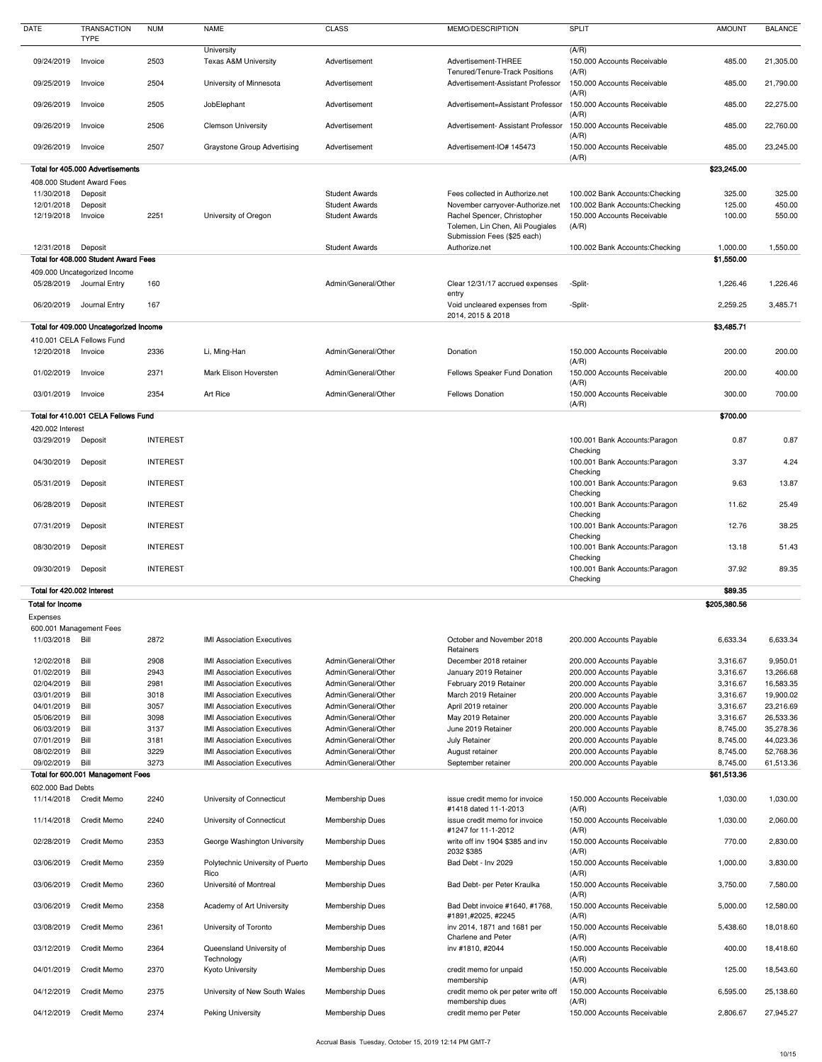Accrual Basis Tuesday, October 15, 2019 12:14 PM GMT-7

| DATE                           | TRANSACTION<br><b>TYPE</b>             | <b>NUM</b>      | <b>NAME</b>                                   | <b>CLASS</b>                                   | MEMO/DESCRIPTION                                                                                    | <b>SPLIT</b>                                                            | <b>AMOUNT</b>    | <b>BALANCE</b>   |
|--------------------------------|----------------------------------------|-----------------|-----------------------------------------------|------------------------------------------------|-----------------------------------------------------------------------------------------------------|-------------------------------------------------------------------------|------------------|------------------|
| 09/24/2019                     | Invoice                                | 2503            | University<br><b>Texas A&amp;M University</b> | Advertisement                                  | Advertisement-THREE                                                                                 | (A/R)<br>150.000 Accounts Receivable                                    | 485.00           |                  |
|                                |                                        |                 |                                               |                                                | Tenured/Tenure-Track Positions                                                                      | (A/R)                                                                   |                  | 21,305.00        |
| 09/25/2019                     | Invoice                                | 2504            | University of Minnesota                       | Advertisement                                  | Advertisement-Assistant Professor                                                                   | 150.000 Accounts Receivable<br>(A/R)                                    | 485.00           | 21,790.00        |
| 09/26/2019                     | Invoice                                | 2505            | JobElephant                                   | Advertisement                                  | Advertisement=Assistant Professor                                                                   | 150.000 Accounts Receivable<br>(A/R)                                    | 485.00           | 22,275.00        |
| 09/26/2019                     | Invoice                                | 2506            | <b>Clemson University</b>                     | Advertisement                                  | Advertisement- Assistant Professor                                                                  | 150,000 Accounts Receivable<br>(A/R)                                    | 485.00           | 22,760.00        |
| 09/26/2019                     | Invoice                                | 2507            | <b>Graystone Group Advertising</b>            | Advertisement                                  | Advertisement-IO# 145473                                                                            | 150.000 Accounts Receivable<br>(A/R)                                    | 485.00           | 23,245.00        |
|                                | Total for 405.000 Advertisements       |                 |                                               |                                                |                                                                                                     |                                                                         | \$23,245.00      |                  |
|                                | 408.000 Student Award Fees             |                 |                                               |                                                |                                                                                                     |                                                                         |                  |                  |
| 11/30/2018                     | Deposit                                |                 |                                               | <b>Student Awards</b>                          | Fees collected in Authorize.net                                                                     | 100.002 Bank Accounts: Checking                                         | 325.00           | 325.00           |
| 12/01/2018<br>12/19/2018       | Deposit<br>Invoice                     | 2251            | University of Oregon                          | <b>Student Awards</b><br><b>Student Awards</b> | November carryover-Authorize.net<br>Rachel Spencer, Christopher<br>Tolemen, Lin Chen, Ali Pougiales | 100.002 Bank Accounts: Checking<br>150.000 Accounts Receivable<br>(A/R) | 125.00<br>100.00 | 450.00<br>550.00 |
| 12/31/2018                     | Deposit                                |                 |                                               | <b>Student Awards</b>                          | Submission Fees (\$25 each)<br>Authorize.net                                                        | 100.002 Bank Accounts: Checking                                         | 1,000.00         | 1,550.00         |
|                                | Total for 408.000 Student Award Fees   |                 |                                               |                                                |                                                                                                     |                                                                         | \$1,550.00       |                  |
|                                | 409.000 Uncategorized Income           |                 |                                               |                                                |                                                                                                     |                                                                         |                  |                  |
| 05/28/2019                     | Journal Entry                          | 160             |                                               | Admin/General/Other                            | Clear 12/31/17 accrued expenses<br>entry                                                            | -Split-                                                                 | 1,226.46         | 1,226.46         |
| 06/20/2019                     | Journal Entry                          | 167             |                                               |                                                | Void uncleared expenses from<br>2014, 2015 & 2018                                                   | -Split-                                                                 | 2,259.25         | 3,485.71         |
|                                | Total for 409.000 Uncategorized Income |                 |                                               |                                                |                                                                                                     |                                                                         | \$3,485.71       |                  |
|                                | 410.001 CELA Fellows Fund              |                 |                                               |                                                |                                                                                                     |                                                                         |                  |                  |
| 12/20/2018                     | Invoice                                | 2336            | Li, Ming-Han                                  | Admin/General/Other                            | Donation                                                                                            | 150.000 Accounts Receivable<br>(A/R)                                    | 200.00           | 200.00           |
| 01/02/2019                     | Invoice                                | 2371            | Mark Elison Hoversten                         | Admin/General/Other                            | Fellows Speaker Fund Donation                                                                       | 150.000 Accounts Receivable<br>(A/R)                                    | 200.00           | 400.00           |
| 03/01/2019 Invoice             |                                        | 2354            | Art Rice                                      | Admin/General/Other                            | <b>Fellows Donation</b>                                                                             | 150.000 Accounts Receivable<br>(A/R)                                    | 300.00           | 700.00           |
|                                | Total for 410.001 CELA Fellows Fund    |                 |                                               |                                                |                                                                                                     |                                                                         | \$700.00         |                  |
| 420.002 Interest<br>03/29/2019 | Deposit                                | <b>INTEREST</b> |                                               |                                                |                                                                                                     | 100.001 Bank Accounts: Paragon                                          | 0.87             | 0.87             |
| 04/30/2019                     | Deposit                                | <b>INTEREST</b> |                                               |                                                |                                                                                                     | Checking<br>100.001 Bank Accounts: Paragon                              | 3.37             | 4.24             |
|                                |                                        |                 |                                               |                                                |                                                                                                     | Checking                                                                |                  |                  |
| 05/31/2019                     | Deposit                                | <b>INTEREST</b> |                                               |                                                |                                                                                                     | 100.001 Bank Accounts: Paragon<br>Checking                              | 9.63             | 13.87            |
| 06/28/2019                     | Deposit                                | <b>INTEREST</b> |                                               |                                                |                                                                                                     | 100.001 Bank Accounts: Paragon<br>Checking                              | 11.62            | 25.49            |
| 07/31/2019                     | Deposit                                | <b>INTEREST</b> |                                               |                                                |                                                                                                     | 100.001 Bank Accounts: Paragon<br>Checking                              | 12.76            | 38.25            |
| 08/30/2019                     | Deposit                                | <b>INTEREST</b> |                                               |                                                |                                                                                                     | 100.001 Bank Accounts: Paragon<br>Checking                              | 13.18            | 51.43            |
| 09/30/2019                     | Deposit                                | <b>INTEREST</b> |                                               |                                                |                                                                                                     | 100.001 Bank Accounts: Paragon<br>Checking                              | 37.92            | 89.35            |
| Total for 420.002 Interest     |                                        |                 |                                               |                                                |                                                                                                     |                                                                         | \$89.35          |                  |
| <b>Total for Income</b>        |                                        |                 |                                               |                                                |                                                                                                     |                                                                         | \$205,380.56     |                  |
| Expenses                       |                                        |                 |                                               |                                                |                                                                                                     |                                                                         |                  |                  |
| 11/03/2018                     | 600.001 Management Fees<br>Bill        | 2872            | <b>IMI Association Executives</b>             |                                                | October and November 2018                                                                           | 200.000 Accounts Payable                                                | 6,633.34         | 6,633.34         |
|                                |                                        |                 |                                               |                                                | Retainers                                                                                           |                                                                         |                  |                  |
| 12/02/2018                     | Bill                                   | 2908            | <b>IMI Association Executives</b>             | Admin/General/Other                            | December 2018 retainer                                                                              | 200.000 Accounts Payable                                                | 3,316.67         | 9,950.01         |
| 01/02/2019                     | Bill                                   | 2943            | <b>IMI Association Executives</b>             | Admin/General/Other                            | January 2019 Retainer                                                                               | 200.000 Accounts Payable                                                | 3,316.67         | 13,266.68        |
| 02/04/2019                     | Bill                                   | 2981            | <b>IMI Association Executives</b>             | Admin/General/Other                            | February 2019 Retainer                                                                              | 200.000 Accounts Payable                                                | 3,316.67         | 16,583.35        |
| 03/01/2019                     | Bill                                   | 3018            | <b>IMI Association Executives</b>             | Admin/General/Other                            | March 2019 Retainer                                                                                 | 200.000 Accounts Payable                                                | 3,316.67         | 19,900.02        |
| 04/01/2019                     | Bill                                   | 3057            | <b>IMI Association Executives</b>             | Admin/General/Other                            | April 2019 retainer                                                                                 | 200.000 Accounts Payable                                                | 3,316.67         | 23,216.69        |
| 05/06/2019                     | Bill                                   | 3098            | <b>IMI Association Executives</b>             | Admin/General/Other                            | May 2019 Retainer                                                                                   | 200.000 Accounts Payable                                                | 3,316.67         | 26,533.36        |
| 06/03/2019                     | Bill                                   | 3137            | <b>IMI Association Executives</b>             | Admin/General/Other                            | June 2019 Retainer                                                                                  | 200.000 Accounts Payable                                                | 8,745.00         | 35,278.36        |
| 07/01/2019                     | Bill                                   | 3181            | <b>IMI Association Executives</b>             | Admin/General/Other                            | July Retainer                                                                                       | 200.000 Accounts Payable                                                | 8,745.00         | 44,023.36        |
| 08/02/2019                     | Bill                                   | 3229            | <b>IMI Association Executives</b>             | Admin/General/Other                            | August retainer                                                                                     | 200.000 Accounts Payable                                                | 8,745.00         | 52,768.36        |
| 09/02/2019 Bill                |                                        | 3273            | <b>IMI Association Executives</b>             | Admin/General/Other                            | September retainer                                                                                  | 200.000 Accounts Payable                                                | 8,745.00         | 61,513.36        |
|                                | Total for 600.001 Management Fees      |                 |                                               |                                                |                                                                                                     |                                                                         | \$61,513.36      |                  |
| 602.000 Bad Debts              |                                        |                 |                                               |                                                |                                                                                                     |                                                                         |                  |                  |
|                                | 11/14/2018 Credit Memo                 | 2240            | University of Connecticut                     | <b>Membership Dues</b>                         | issue credit memo for invoice<br>#1418 dated 11-1-2013                                              | 150.000 Accounts Receivable<br>(A/R)                                    | 1,030.00         | 1,030.00         |
| 11/14/2018                     | Credit Memo                            | 2240            | University of Connecticut                     | <b>Membership Dues</b>                         | issue credit memo for invoice<br>#1247 for 11-1-2012                                                | 150.000 Accounts Receivable<br>(A/R)                                    | 1,030.00         | 2,060.00         |
| 02/28/2019                     | Credit Memo                            | 2353            | George Washington University                  | <b>Membership Dues</b>                         | write off inv 1904 \$385 and inv                                                                    | 150.000 Accounts Receivable                                             | 770.00           | 2,830.00         |
| 03/06/2019                     | Credit Memo                            | 2359            | Polytechnic University of Puerto              | <b>Membership Dues</b>                         | 2032 \$385<br>Bad Debt - Inv 2029                                                                   | (A/R)<br>150.000 Accounts Receivable                                    | 1,000.00         | 3,830.00         |
| 03/06/2019                     | Credit Memo                            | 2360            | Rico<br>Université of Montreal                | <b>Membership Dues</b>                         | Bad Debt- per Peter Kraulka                                                                         | (A/R)<br>150.000 Accounts Receivable                                    | 3,750.00         | 7,580.00         |
| 03/06/2019                     | <b>Credit Memo</b>                     | 2358            | Academy of Art University                     | <b>Membership Dues</b>                         | Bad Debt invoice #1640, #1768,                                                                      | (A/R)<br>150.000 Accounts Receivable                                    | 5,000.00         | 12,580.00        |
| 03/08/2019                     | Credit Memo                            | 2361            | University of Toronto                         | <b>Membership Dues</b>                         | #1891,#2025, #2245<br>inv 2014, 1871 and 1681 per                                                   | (A/R)<br>150.000 Accounts Receivable                                    | 5,438.60         | 18,018.60        |
| 03/12/2019                     | Credit Memo                            | 2364            | Queensland University of                      | <b>Membership Dues</b>                         | Charlene and Peter<br>inv #1810, #2044                                                              | (A/R)<br>150.000 Accounts Receivable                                    | 400.00           | 18,418.60        |
| 04/01/2019                     | Credit Memo                            | 2370            | Technology<br>Kyoto University                | <b>Membership Dues</b>                         | credit memo for unpaid                                                                              | (A/R)<br>150.000 Accounts Receivable                                    | 125.00           | 18,543.60        |
| 04/12/2019                     | Credit Memo                            | 2375            | University of New South Wales                 | <b>Membership Dues</b>                         | membership<br>credit memo ok per peter write off                                                    | (A/R)<br>150.000 Accounts Receivable                                    | 6,595.00         | 25,138.60        |
| 04/12/2019                     | Credit Memo                            | 2374            | <b>Peking University</b>                      | Membership Dues                                | membership dues<br>credit memo per Peter                                                            | (A/R)<br>150.000 Accounts Receivable                                    | 2,806.67         | 27,945.27        |
|                                |                                        |                 |                                               |                                                |                                                                                                     |                                                                         |                  |                  |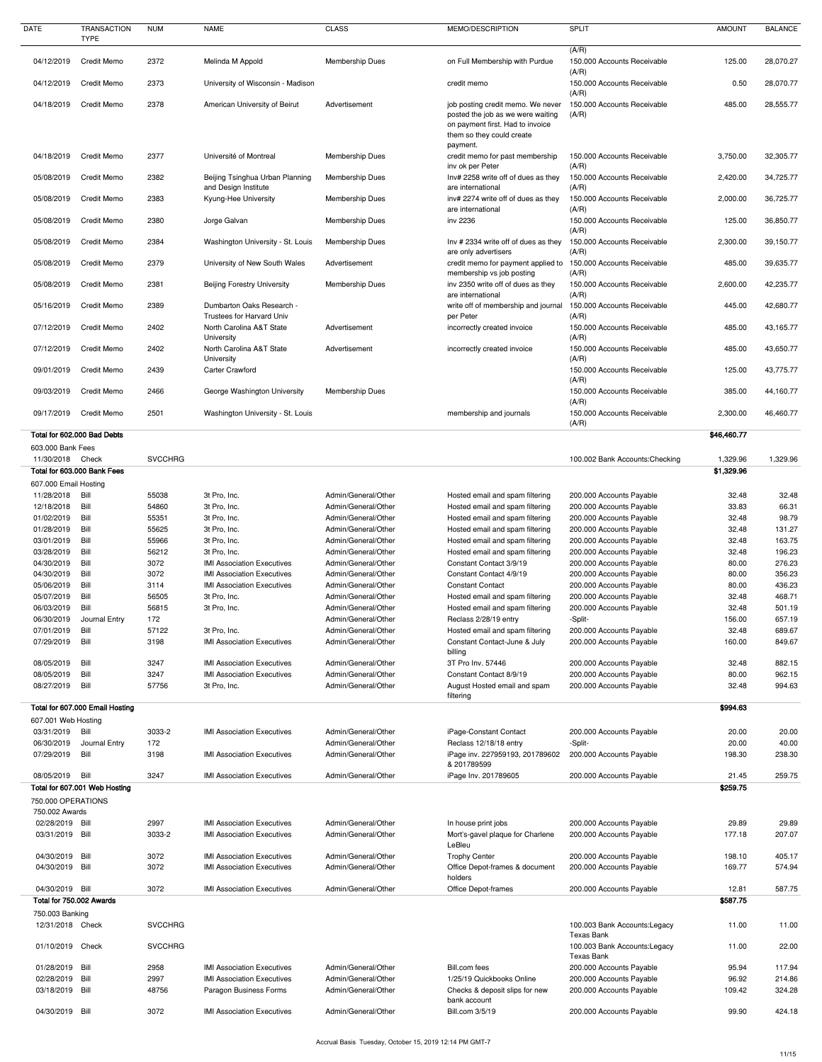| <b>DATE</b>                                                              | <b>TRANSACTION</b><br><b>TYPE</b> | <b>NUM</b>     | <b>NAME</b>                                                            | <b>CLASS</b>                               | MEMO/DESCRIPTION                                                                                                                        | <b>SPLIT</b>                                         | <b>AMOUNT</b>          | <b>BALANCE</b>   |
|--------------------------------------------------------------------------|-----------------------------------|----------------|------------------------------------------------------------------------|--------------------------------------------|-----------------------------------------------------------------------------------------------------------------------------------------|------------------------------------------------------|------------------------|------------------|
| 04/12/2019                                                               | Credit Memo                       | 2372           | Melinda M Appold                                                       | Membership Dues                            | on Full Membership with Purdue                                                                                                          | (A/R)<br>150.000 Accounts Receivable                 | 125.00                 | 28,070.27        |
| 04/12/2019                                                               | <b>Credit Memo</b>                | 2373           | University of Wisconsin - Madison                                      |                                            | credit memo                                                                                                                             | (A/R)<br>150.000 Accounts Receivable                 | 0.50                   | 28,070.77        |
| 04/18/2019                                                               | <b>Credit Memo</b>                | 2378           | American University of Beirut                                          | Advertisement                              | job posting credit memo. We never<br>posted the job as we were waiting<br>on payment first. Had to invoice<br>them so they could create | (A/R)<br>150.000 Accounts Receivable<br>(A/R)        | 485.00                 | 28,555.77        |
| 04/18/2019                                                               | <b>Credit Memo</b>                | 2377           | Université of Montreal                                                 | Membership Dues                            | payment.<br>credit memo for past membership                                                                                             | 150.000 Accounts Receivable                          | 3,750.00               | 32,305.77        |
| 05/08/2019                                                               | <b>Credit Memo</b>                | 2382           | Beijing Tsinghua Urban Planning                                        | <b>Membership Dues</b>                     | inv ok per Peter<br>Inv# 2258 write off of dues as they                                                                                 | (A/R)<br>150.000 Accounts Receivable                 | 2,420.00               | 34,725.77        |
| 05/08/2019                                                               | <b>Credit Memo</b>                | 2383           | and Design Institute<br>Kyung-Hee University                           | <b>Membership Dues</b>                     | are international<br>inv# 2274 write off of dues as they                                                                                | (A/R)<br>150.000 Accounts Receivable                 | 2,000.00               | 36,725.77        |
| 05/08/2019                                                               | Credit Memo                       | 2380           | Jorge Galvan                                                           | Membership Dues                            | are international<br>inv 2236                                                                                                           | (A/R)<br>150.000 Accounts Receivable<br>(A/R)        | 125.00                 | 36,850.77        |
| 05/08/2019                                                               | <b>Credit Memo</b>                | 2384           | Washington University - St. Louis                                      | <b>Membership Dues</b>                     | Inv # 2334 write off of dues as they<br>are only advertisers                                                                            | 150.000 Accounts Receivable<br>(A/R)                 | 2,300.00               | 39,150.77        |
| 05/08/2019                                                               | <b>Credit Memo</b>                | 2379           | University of New South Wales                                          | Advertisement                              | credit memo for payment applied to<br>membership vs job posting                                                                         | 150.000 Accounts Receivable<br>(A/R)                 | 485.00                 | 39,635.77        |
| 05/08/2019                                                               | <b>Credit Memo</b>                | 2381           | <b>Beijing Forestry University</b>                                     | Membership Dues                            | inv 2350 write off of dues as they<br>are international                                                                                 | 150.000 Accounts Receivable<br>(A/R)                 | 2,600.00               | 42,235.77        |
| 05/16/2019                                                               | <b>Credit Memo</b>                | 2389           | Dumbarton Oaks Research -<br><b>Trustees for Harvard Univ</b>          |                                            | write off of membership and journal<br>per Peter                                                                                        | 150.000 Accounts Receivable<br>(A/R)                 | 445.00                 | 42,680.77        |
| 07/12/2019                                                               | <b>Credit Memo</b>                | 2402           | North Carolina A&T State<br>University                                 | Advertisement                              | incorrectly created invoice                                                                                                             | 150.000 Accounts Receivable<br>(A/R)                 | 485.00                 | 43,165.77        |
| 07/12/2019                                                               | Credit Memo                       | 2402           | North Carolina A&T State<br>University                                 | Advertisement                              | incorrectly created invoice                                                                                                             | 150.000 Accounts Receivable<br>(A/R)                 | 485.00                 | 43,650.77        |
| 09/01/2019                                                               | <b>Credit Memo</b>                | 2439           | <b>Carter Crawford</b>                                                 |                                            |                                                                                                                                         | 150.000 Accounts Receivable<br>(A/R)                 | 125.00                 | 43,775.77        |
| 09/03/2019 Credit Memo                                                   |                                   | 2466           | George Washington University                                           | <b>Membership Dues</b>                     |                                                                                                                                         | 150.000 Accounts Receivable<br>(A/R)                 | 385.00                 | 44,160.77        |
| 09/17/2019                                                               | <b>Credit Memo</b>                | 2501           | Washington University - St. Louis                                      |                                            | membership and journals                                                                                                                 | 150.000 Accounts Receivable<br>(A/R)                 | 2,300.00               | 46,460.77        |
| Total for 602.000 Bad Debts<br>603.000 Bank Fees                         |                                   |                |                                                                        |                                            |                                                                                                                                         |                                                      | \$46,460.77            |                  |
| 11/30/2018 Check<br>Total for 603.000 Bank Fees<br>607.000 Email Hosting |                                   | <b>SVCCHRG</b> |                                                                        |                                            |                                                                                                                                         | 100.002 Bank Accounts: Checking                      | 1,329.96<br>\$1,329.96 | 1,329.96         |
| 11/28/2018                                                               | Bill                              | 55038          | 3t Pro, Inc.                                                           | Admin/General/Other                        | Hosted email and spam filtering                                                                                                         | 200.000 Accounts Payable                             | 32.48                  | 32.48            |
| 12/18/2018                                                               | Bill                              | 54860          | 3t Pro, Inc.                                                           | Admin/General/Other                        | Hosted email and spam filtering                                                                                                         | 200.000 Accounts Payable                             | 33.83                  | 66.31            |
| 01/02/2019                                                               | Bill                              | 55351          | 3t Pro, Inc.                                                           | Admin/General/Other                        | Hosted email and spam filtering                                                                                                         | 200.000 Accounts Payable                             | 32.48                  | 98.79            |
| 01/28/2019                                                               | Bill                              | 55625          | 3t Pro, Inc.                                                           | Admin/General/Other                        | Hosted email and spam filtering                                                                                                         | 200.000 Accounts Payable                             | 32.48                  | 131.27           |
| 03/01/2019                                                               | Bill                              | 55966          | 3t Pro, Inc.                                                           | Admin/General/Other                        | Hosted email and spam filtering                                                                                                         | 200.000 Accounts Payable                             | 32.48                  | 163.75           |
| 03/28/2019<br>04/30/2019                                                 | Bill                              | 56212<br>3072  | 3t Pro, Inc.                                                           | Admin/General/Other                        | Hosted email and spam filtering                                                                                                         | 200.000 Accounts Payable                             | 32.48                  | 196.23           |
| 04/30/2019                                                               | Bill<br>Bill                      | 3072           | <b>IMI Association Executives</b><br><b>IMI Association Executives</b> | Admin/General/Other<br>Admin/General/Other | Constant Contact 3/9/19<br>Constant Contact 4/9/19                                                                                      | 200.000 Accounts Payable<br>200.000 Accounts Payable | 80.00<br>80.00         | 276.23<br>356.23 |
| 05/06/2019                                                               | Bill                              | 3114           | <b>IMI Association Executives</b>                                      | Admin/General/Other                        | <b>Constant Contact</b>                                                                                                                 | 200.000 Accounts Payable                             | 80.00                  | 436.23           |
| 05/07/2019                                                               | Bill                              | 56505          | 3t Pro, Inc.                                                           | Admin/General/Other                        | Hosted email and spam filtering                                                                                                         | 200.000 Accounts Payable                             | 32.48                  | 468.71           |
| 06/03/2019                                                               | Bill                              | 56815          | 3t Pro, Inc.                                                           | Admin/General/Other                        | Hosted email and spam filtering                                                                                                         | 200.000 Accounts Payable                             | 32.48                  | 501.19           |
| 06/30/2019                                                               | Journal Entry                     | 172            |                                                                        | Admin/General/Other                        | Reclass 2/28/19 entry                                                                                                                   | -Split-                                              | 156.00                 | 657.19           |
| 07/01/2019                                                               | Bill                              | 57122          | 3t Pro, Inc.                                                           | Admin/General/Other                        | Hosted email and spam filtering                                                                                                         | 200.000 Accounts Payable                             | 32.48                  | 689.67           |
| 07/29/2019                                                               | Bill                              | 3198           | <b>IMI Association Executives</b>                                      | Admin/General/Other                        | Constant Contact-June & July<br>billing                                                                                                 | 200.000 Accounts Payable                             | 160.00                 | 849.67           |
| 08/05/2019<br>08/05/2019                                                 | Bill<br>Bill                      | 3247<br>3247   | <b>IMI Association Executives</b><br><b>IMI Association Executives</b> | Admin/General/Other<br>Admin/General/Other | 3T Pro Inv. 57446<br>Constant Contact 8/9/19                                                                                            | 200.000 Accounts Payable<br>200.000 Accounts Payable | 32.48<br>80.00         | 882.15<br>962.15 |
| 08/27/2019                                                               | Bill                              | 57756          | 3t Pro, Inc.                                                           | Admin/General/Other                        | August Hosted email and spam<br>filtering                                                                                               | 200.000 Accounts Payable                             | 32.48                  | 994.63           |
|                                                                          | Total for 607.000 Email Hosting   |                |                                                                        |                                            |                                                                                                                                         |                                                      | \$994.63               |                  |
| 607.001 Web Hosting<br>03/31/2019                                        | Bill                              | 3033-2         | <b>IMI Association Executives</b>                                      | Admin/General/Other                        | iPage-Constant Contact                                                                                                                  | 200.000 Accounts Payable                             | 20.00                  | 20.00            |
| 06/30/2019<br>07/29/2019                                                 | Journal Entry<br>Bill             | 172<br>3198    | <b>IMI Association Executives</b>                                      | Admin/General/Other<br>Admin/General/Other | Reclass 12/18/18 entry<br>iPage inv. 227959193, 201789602                                                                               | -Split-<br>200.000 Accounts Payable                  | 20.00<br>198.30        | 40.00<br>238.30  |
| 08/05/2019                                                               | Bill                              | 3247           | <b>IMI Association Executives</b>                                      | Admin/General/Other                        | & 201789599<br>iPage Inv. 201789605                                                                                                     | 200.000 Accounts Payable                             | 21.45                  | 259.75           |
| Total for 607.001 Web Hosting                                            |                                   |                |                                                                        |                                            |                                                                                                                                         |                                                      | \$259.75               |                  |
| 750.000 OPERATIONS<br>750.002 Awards                                     |                                   |                |                                                                        |                                            |                                                                                                                                         |                                                      |                        |                  |
| 02/28/2019 Bill                                                          |                                   | 2997           | <b>IMI Association Executives</b>                                      | Admin/General/Other                        | In house print jobs                                                                                                                     | 200.000 Accounts Payable                             | 29.89                  | 29.89            |
| 03/31/2019 Bill                                                          |                                   | 3033-2         | <b>IMI Association Executives</b>                                      | Admin/General/Other                        | Mort's-gavel plaque for Charlene<br>LeBleu                                                                                              | 200.000 Accounts Payable                             | 177.18                 | 207.07           |
| 04/30/2019 Bill<br>04/30/2019 Bill                                       |                                   | 3072<br>3072   | <b>IMI Association Executives</b><br><b>IMI Association Executives</b> | Admin/General/Other<br>Admin/General/Other | <b>Trophy Center</b><br>Office Depot-frames & document<br>holders                                                                       | 200.000 Accounts Payable<br>200.000 Accounts Payable | 198.10<br>169.77       | 405.17<br>574.94 |
| 04/30/2019 Bill<br>Total for 750.002 Awards                              |                                   | 3072           | <b>IMI Association Executives</b>                                      | Admin/General/Other                        | <b>Office Depot-frames</b>                                                                                                              | 200.000 Accounts Payable                             | 12.81<br>\$587.75      | 587.75           |
| 750.003 Banking                                                          |                                   |                |                                                                        |                                            |                                                                                                                                         |                                                      |                        |                  |
| 12/31/2018 Check                                                         |                                   | <b>SVCCHRG</b> |                                                                        |                                            |                                                                                                                                         | 100.003 Bank Accounts: Legacy<br>Texas Bank          | 11.00                  | 11.00            |
| 01/10/2019 Check                                                         |                                   | <b>SVCCHRG</b> |                                                                        |                                            |                                                                                                                                         | 100.003 Bank Accounts: Legacy<br><b>Texas Bank</b>   | 11.00                  | 22.00            |
| 01/28/2019 Bill                                                          |                                   | 2958           | <b>IMI Association Executives</b>                                      | Admin/General/Other                        | Bill.com fees                                                                                                                           | 200.000 Accounts Payable                             | 95.94                  | 117.94           |
| 02/28/2019<br>03/18/2019 Bill                                            | Bill                              | 2997<br>48756  | <b>IMI Association Executives</b><br>Paragon Business Forms            | Admin/General/Other<br>Admin/General/Other | 1/25/19 Quickbooks Online<br>Checks & deposit slips for new<br>bank account                                                             | 200.000 Accounts Payable<br>200.000 Accounts Payable | 96.92<br>109.42        | 214.86<br>324.28 |
| 04/30/2019 Bill                                                          |                                   | 3072           | <b>IMI Association Executives</b>                                      | Admin/General/Other                        | Bill.com 3/5/19                                                                                                                         | 200.000 Accounts Payable                             | 99.90                  | 424.18           |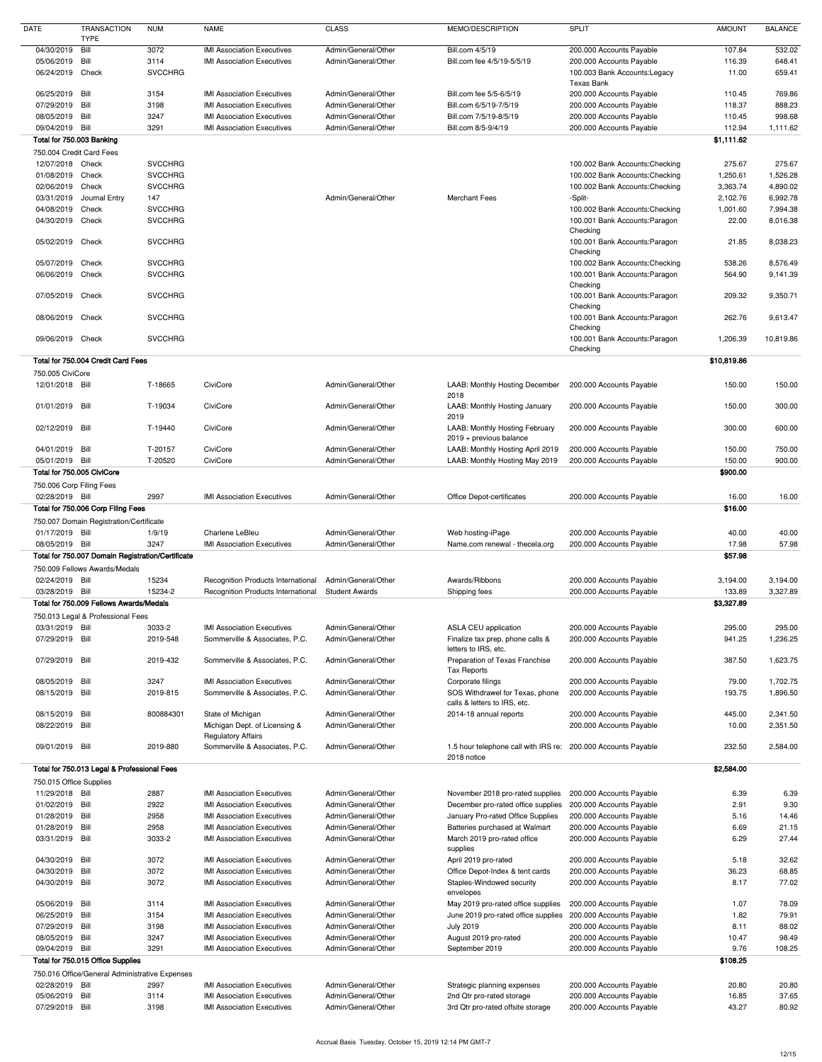| <b>DATE</b>                                                                                    | <b>TRANSACTION</b><br><b>TYPE</b>                 | <b>NUM</b>     | <b>NAME</b>                                                            | <b>CLASS</b>                               | MEMO/DESCRIPTION                                                 | <b>SPLIT</b>                                         | <b>AMOUNT</b>      | <b>BALANCE</b>       |
|------------------------------------------------------------------------------------------------|---------------------------------------------------|----------------|------------------------------------------------------------------------|--------------------------------------------|------------------------------------------------------------------|------------------------------------------------------|--------------------|----------------------|
| 04/30/2019                                                                                     | Bill                                              | 3072           | <b>IMI Association Executives</b>                                      | Admin/General/Other                        | Bill.com 4/5/19                                                  | 200.000 Accounts Payable                             | 107.84             | 532.02               |
| 05/06/2019                                                                                     | Bill                                              | 3114           | <b>IMI Association Executives</b>                                      | Admin/General/Other                        | Bill.com fee 4/5/19-5/5/19                                       | 200.000 Accounts Payable                             | 116.39             | 648.41               |
| 06/24/2019                                                                                     | Check                                             | <b>SVCCHRG</b> |                                                                        |                                            |                                                                  | 100.003 Bank Accounts: Legacy<br>Texas Bank          | 11.00              | 659.41               |
| 06/25/2019                                                                                     | Bill                                              | 3154           | <b>IMI Association Executives</b>                                      | Admin/General/Other                        | Bill.com fee 5/5-6/5/19                                          | 200.000 Accounts Payable                             | 110.45             | 769.86               |
| 07/29/2019                                                                                     | Bill                                              | 3198           | <b>IMI Association Executives</b>                                      | Admin/General/Other                        | Bill.com 6/5/19-7/5/19                                           | 200.000 Accounts Payable                             | 118.37             | 888.23               |
| 08/05/2019                                                                                     | Bill                                              | 3247           | <b>IMI Association Executives</b>                                      | Admin/General/Other                        | Bill.com 7/5/19-8/5/19                                           | 200.000 Accounts Payable                             | 110.45             | 998.68               |
| 09/04/2019                                                                                     | Bill                                              | 3291           | <b>IMI Association Executives</b>                                      | Admin/General/Other                        | Bill.com 8/5-9/4/19                                              | 200.000 Accounts Payable                             | 112.94             | 1,111.62             |
| Total for 750.003 Banking                                                                      |                                                   |                |                                                                        |                                            |                                                                  |                                                      | \$1,111.62         |                      |
| 750.004 Credit Card Fees                                                                       |                                                   |                |                                                                        |                                            |                                                                  |                                                      |                    |                      |
| 12/07/2018 Check                                                                               |                                                   | <b>SVCCHRG</b> |                                                                        |                                            |                                                                  | 100.002 Bank Accounts: Checking                      | 275.67             | 275.67               |
| 01/08/2019                                                                                     | Check                                             | <b>SVCCHRG</b> |                                                                        |                                            |                                                                  | 100.002 Bank Accounts: Checking                      | 1,250.61           | 1,526.28             |
| 02/06/2019                                                                                     | Check                                             | <b>SVCCHRG</b> |                                                                        |                                            |                                                                  | 100.002 Bank Accounts: Checking                      | 3,363.74           | 4,890.02             |
| 03/31/2019                                                                                     | Journal Entry                                     | 147            |                                                                        | Admin/General/Other                        | <b>Merchant Fees</b>                                             | -Split-                                              | 2,102.76           | 6,992.78             |
| 04/08/2019                                                                                     | Check                                             | <b>SVCCHRG</b> |                                                                        |                                            |                                                                  | 100.002 Bank Accounts: Checking                      | 1,001.60           | 7,994.38             |
| 04/30/2019                                                                                     | Check                                             | <b>SVCCHRG</b> |                                                                        |                                            |                                                                  | 100.001 Bank Accounts: Paragon<br>Checking           | 22.00              | 8,016.38             |
| 05/02/2019                                                                                     | Check                                             | <b>SVCCHRG</b> |                                                                        |                                            |                                                                  | 100.001 Bank Accounts: Paragon<br>Checking           | 21.85              | 8,038.23             |
| 05/07/2019                                                                                     | Check                                             | <b>SVCCHRG</b> |                                                                        |                                            |                                                                  | 100.002 Bank Accounts: Checking                      | 538.26             | 8,576.49             |
| 06/06/2019                                                                                     | Check                                             | <b>SVCCHRG</b> |                                                                        |                                            |                                                                  | 100.001 Bank Accounts: Paragon<br>Checking           | 564.90             | 9,141.39             |
| 07/05/2019                                                                                     | Check                                             | <b>SVCCHRG</b> |                                                                        |                                            |                                                                  | 100.001 Bank Accounts: Paragon<br>Checking           | 209.32             | 9,350.71             |
| 08/06/2019                                                                                     | Check                                             | <b>SVCCHRG</b> |                                                                        |                                            |                                                                  | 100.001 Bank Accounts: Paragon<br>Checking           | 262.76             | 9,613.47             |
| 09/06/2019                                                                                     | Check                                             | <b>SVCCHRG</b> |                                                                        |                                            |                                                                  | 100.001 Bank Accounts: Paragon<br>Checking           | 1,206.39           | 10,819.86            |
|                                                                                                | Total for 750.004 Credit Card Fees                |                |                                                                        |                                            |                                                                  |                                                      | \$10,819.86        |                      |
| 750.005 CiviCore                                                                               |                                                   |                |                                                                        |                                            |                                                                  |                                                      |                    |                      |
| 12/01/2018 Bill                                                                                |                                                   | T-18665        | CiviCore                                                               | Admin/General/Other                        | <b>LAAB: Monthly Hosting December</b><br>2018                    | 200.000 Accounts Payable                             | 150.00             | 150.00               |
| 01/01/2019                                                                                     | Bill                                              | T-19034        | CiviCore                                                               | Admin/General/Other                        | LAAB: Monthly Hosting January<br>2019                            | 200.000 Accounts Payable                             | 150.00             | 300.00               |
| 02/12/2019                                                                                     | Bill                                              | T-19440        | CiviCore                                                               | Admin/General/Other                        | <b>LAAB: Monthly Hosting February</b><br>2019 + previous balance | 200.000 Accounts Payable                             | 300.00             | 600.00               |
| 04/01/2019 Bill                                                                                |                                                   | T-20157        | CiviCore                                                               | Admin/General/Other                        | LAAB: Monthly Hosting April 2019                                 | 200.000 Accounts Payable                             | 150.00             | 750.00               |
| 05/01/2019 Bill                                                                                | Total for 750.005 CiviCore                        | T-20520        | CiviCore                                                               | Admin/General/Other                        | LAAB: Monthly Hosting May 2019                                   | 200.000 Accounts Payable                             | 150.00<br>\$900.00 | 900.00               |
| 750.006 Corp Filing Fees                                                                       |                                                   |                |                                                                        |                                            |                                                                  |                                                      |                    |                      |
| 02/28/2019 Bill                                                                                | Total for 750.006 Corp Filing Fees                | 2997           | <b>IMI Association Executives</b>                                      | Admin/General/Other                        | Office Depot-certificates                                        | 200.000 Accounts Payable                             | 16.00<br>\$16.00   | 16.00                |
|                                                                                                | 750.007 Domain Registration/Certificate           |                |                                                                        |                                            |                                                                  |                                                      |                    |                      |
| 01/17/2019 Bill                                                                                |                                                   | 1/9/19         | Charlene LeBleu                                                        | Admin/General/Other                        | Web hosting-iPage                                                | 200.000 Accounts Payable                             | 40.00              | 40.00                |
| 08/05/2019 Bill                                                                                | Total for 750.007 Domain Registration/Certificate | 3247           | <b>IMI Association Executives</b>                                      | Admin/General/Other                        | Name.com renewal - thecela.org                                   | 200.000 Accounts Payable                             | 17.98<br>\$57.98   | 57.98                |
|                                                                                                | 750,009 Fellows Awards/Medals                     |                |                                                                        |                                            |                                                                  |                                                      |                    |                      |
| 02/24/2019 Bill                                                                                |                                                   | 15234          | Recognition Products International                                     | Admin/General/Other                        | Awards/Ribbons                                                   | 200.000 Accounts Payable                             | 3,194.00           | 3,194.00             |
| 03/28/2019                                                                                     | Bill                                              | 15234-2        | Recognition Products International                                     | <b>Student Awards</b>                      | Shipping fees                                                    | 200.000 Accounts Payable                             | 133.89             | 3,327.89             |
|                                                                                                | Total for 750.009 Fellows Awards/Medals           |                |                                                                        |                                            |                                                                  |                                                      | \$3,327.89         |                      |
|                                                                                                | 750.013 Legal & Professional Fees                 |                |                                                                        |                                            |                                                                  |                                                      |                    |                      |
| 03/31/2019 Bill                                                                                |                                                   | 3033-2         | <b>IMI Association Executives</b>                                      | Admin/General/Other                        | ASLA CEU application                                             | 200.000 Accounts Payable                             | 295.00             | 295.00               |
| 07/29/2019                                                                                     | Bill                                              | 2019-548       | Sommerville & Associates, P.C.                                         | Admin/General/Other                        | Finalize tax prep, phone calls &<br>letters to IRS, etc.         | 200.000 Accounts Payable                             | 941.25             | 1,236.25             |
| 07/29/2019 Bill                                                                                |                                                   | 2019-432       | Sommerville & Associates, P.C.                                         | Admin/General/Other                        | Preparation of Texas Franchise<br>Tax Reports                    | 200.000 Accounts Payable                             | 387.50             | 1,623.75             |
| 08/05/2019                                                                                     | Bill                                              | 3247           | <b>IMI Association Executives</b>                                      | Admin/General/Other                        | Corporate filings                                                | 200.000 Accounts Payable                             | 79.00              | 1,702.75             |
| 08/15/2019                                                                                     | Bill                                              | 2019-815       | Sommerville & Associates, P.C.                                         | Admin/General/Other                        | SOS Withdrawel for Texas, phone                                  | 200.000 Accounts Payable                             | 193.75             | 1,896.50             |
|                                                                                                |                                                   |                |                                                                        |                                            | calls & letters to IRS, etc.                                     |                                                      |                    |                      |
| 08/15/2019<br>08/22/2019                                                                       | Bill<br>Bill                                      | 800884301      | State of Michigan<br>Michigan Dept. of Licensing &                     | Admin/General/Other<br>Admin/General/Other | 2014-18 annual reports                                           | 200.000 Accounts Payable<br>200.000 Accounts Payable | 445.00<br>10.00    | 2,341.50<br>2,351.50 |
| 09/01/2019                                                                                     | Bill                                              | 2019-880       | <b>Regulatory Affairs</b><br>Sommerville & Associates, P.C.            | Admin/General/Other                        | 1.5 hour telephone call with IRS re: 200.000 Accounts Payable    |                                                      | 232.50             | 2,584.00             |
|                                                                                                | Total for 750.013 Legal & Professional Fees       |                |                                                                        |                                            | 2018 notice                                                      |                                                      | \$2,584.00         |                      |
| 750.015 Office Supplies                                                                        |                                                   |                |                                                                        |                                            |                                                                  |                                                      |                    |                      |
| 11/29/2018 Bill                                                                                |                                                   | 2887           | <b>IMI Association Executives</b>                                      | Admin/General/Other                        | November 2018 pro-rated supplies                                 | 200.000 Accounts Payable                             | 6.39               | 6.39                 |
| 01/02/2019                                                                                     | Bill                                              | 2922           | <b>IMI Association Executives</b>                                      | Admin/General/Other                        | December pro-rated office supplies                               | 200.000 Accounts Payable                             | 2.91               | 9.30                 |
| 01/28/2019                                                                                     | Bill                                              | 2958           | <b>IMI Association Executives</b>                                      | Admin/General/Other                        | January Pro-rated Office Supplies                                | 200.000 Accounts Payable                             | 5.16               | 14.46                |
| 01/28/2019                                                                                     | Bill                                              | 2958           | <b>IMI Association Executives</b>                                      | Admin/General/Other                        | Batteries purchased at Walmart                                   | 200.000 Accounts Payable                             | 6.69               | 21.15                |
| 03/31/2019                                                                                     | Bill                                              | 3033-2         | <b>IMI Association Executives</b>                                      | Admin/General/Other                        | March 2019 pro-rated office                                      | 200.000 Accounts Payable                             | 6.29               | 27.44                |
| 04/30/2019                                                                                     | Bill                                              | 3072           | <b>IMI Association Executives</b>                                      | Admin/General/Other                        | supplies<br>April 2019 pro-rated                                 | 200.000 Accounts Payable                             | 5.18               | 32.62                |
| 04/30/2019                                                                                     | Bill                                              | 3072           | <b>IMI Association Executives</b>                                      | Admin/General/Other                        | Office Depot-Index & tent cards                                  | 200.000 Accounts Payable                             | 36.23              | 68.85                |
| 04/30/2019                                                                                     | Bill                                              | 3072           | <b>IMI Association Executives</b>                                      | Admin/General/Other                        | Staples-Windowed security<br>envelopes                           | 200.000 Accounts Payable                             | 8.17               | 77.02                |
|                                                                                                | Bill                                              | 3114           | <b>IMI Association Executives</b>                                      | Admin/General/Other                        | May 2019 pro-rated office supplies                               | 200.000 Accounts Payable                             | 1.07               | 78.09                |
|                                                                                                |                                                   |                | <b>IMI Association Executives</b>                                      | Admin/General/Other                        | June 2019 pro-rated office supplies                              | 200.000 Accounts Payable                             | 1.82               | 79.91                |
|                                                                                                | Bill                                              |                |                                                                        |                                            |                                                                  |                                                      |                    | 88.02                |
|                                                                                                | Bill                                              | 3154<br>3198   | <b>IMI Association Executives</b>                                      | Admin/General/Other                        | <b>July 2019</b>                                                 | 200.000 Accounts Payable                             | 8.11               |                      |
|                                                                                                | Bill                                              | 3247           | <b>IMI Association Executives</b>                                      | Admin/General/Other                        | August 2019 pro-rated                                            | 200.000 Accounts Payable                             | 10.47              | 98.49                |
|                                                                                                | Bill                                              | 3291           | <b>IMI Association Executives</b>                                      | Admin/General/Other                        | September 2019                                                   | 200.000 Accounts Payable                             | 9.76               | 108.25               |
|                                                                                                | Total for 750.015 Office Supplies                 |                |                                                                        |                                            |                                                                  |                                                      | \$108.25           |                      |
|                                                                                                | 750.016 Office/General Administrative Expenses    |                |                                                                        |                                            |                                                                  |                                                      |                    |                      |
| 05/06/2019<br>06/25/2019<br>07/29/2019<br>08/05/2019<br>09/04/2019<br>02/28/2019<br>05/06/2019 | Bill<br>Bill                                      | 2997<br>3114   | <b>IMI Association Executives</b><br><b>IMI Association Executives</b> | Admin/General/Other<br>Admin/General/Other | Strategic planning expenses<br>2nd Qtr pro-rated storage         | 200.000 Accounts Payable<br>200.000 Accounts Payable | 20.80<br>16.85     | 20.80<br>37.65       |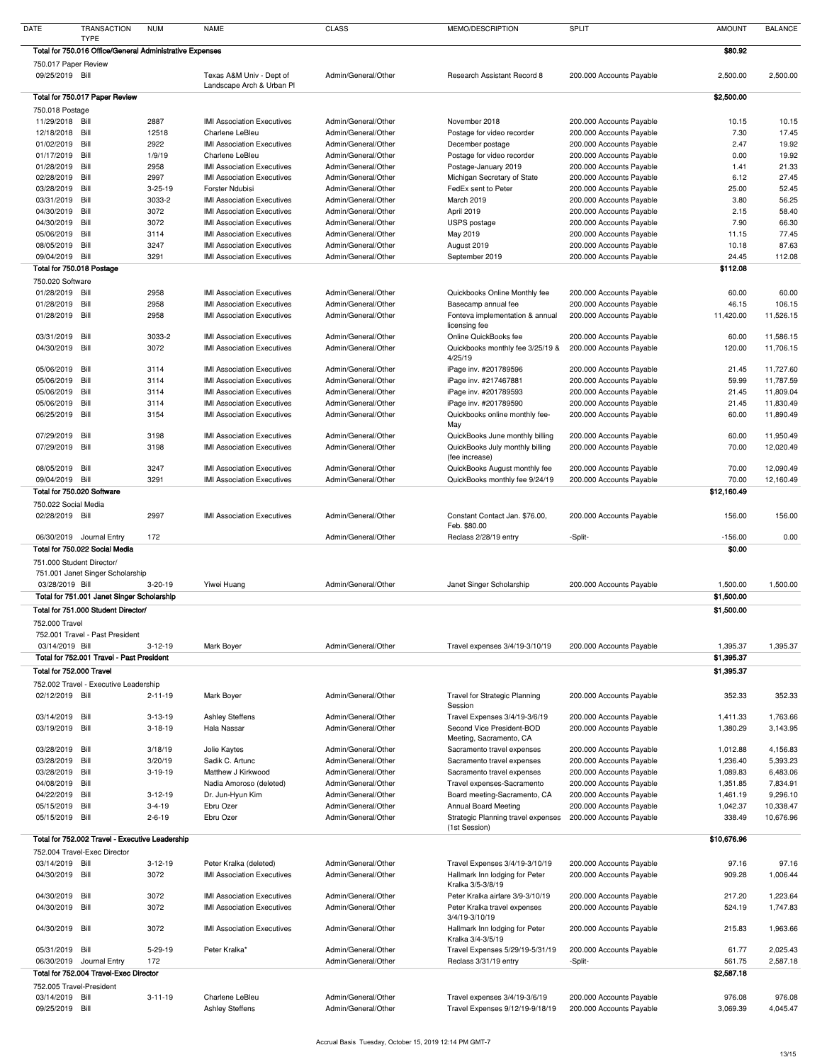| <b>DATE</b>                        | <b>TRANSACTION</b>                                       | <b>NUM</b>    | <b>NAME</b>                                           | <b>CLASS</b>        | MEMO/DESCRIPTION                     | <b>SPLIT</b>             | <b>AMOUNT</b> | <b>BALANCE</b> |
|------------------------------------|----------------------------------------------------------|---------------|-------------------------------------------------------|---------------------|--------------------------------------|--------------------------|---------------|----------------|
|                                    | <b>TYPE</b>                                              |               |                                                       |                     |                                      |                          |               |                |
|                                    | Total for 750.016 Office/General Administrative Expenses |               |                                                       |                     |                                      |                          | \$80.92       |                |
|                                    | 750.017 Paper Review                                     |               |                                                       |                     |                                      |                          |               |                |
| 09/25/2019 Bill                    |                                                          |               | Texas A&M Univ - Dept of<br>Landscape Arch & Urban PI | Admin/General/Other | <b>Research Assistant Record 8</b>   | 200.000 Accounts Payable | 2,500.00      | 2,500.00       |
|                                    | Total for 750.017 Paper Review                           |               |                                                       |                     |                                      |                          | \$2,500.00    |                |
|                                    |                                                          |               |                                                       |                     |                                      |                          |               |                |
| 750.018 Postage<br>11/29/2018 Bill |                                                          | 2887          | <b>IMI Association Executives</b>                     | Admin/General/Other | November 2018                        | 200.000 Accounts Payable | 10.15         | 10.15          |
| 12/18/2018                         | Bill                                                     | 12518         | Charlene LeBleu                                       | Admin/General/Other | Postage for video recorder           | 200.000 Accounts Payable | 7.30          | 17.45          |
| 01/02/2019                         | Bill                                                     | 2922          | <b>IMI Association Executives</b>                     | Admin/General/Other | December postage                     | 200.000 Accounts Payable | 2.47          | 19.92          |
| 01/17/2019                         | Bill                                                     | 1/9/19        | Charlene LeBleu                                       | Admin/General/Other |                                      |                          | 0.00          | 19.92          |
|                                    | Bill                                                     |               |                                                       | Admin/General/Other | Postage for video recorder           | 200.000 Accounts Payable |               |                |
| 01/28/2019                         | Bill                                                     | 2958          | <b>IMI Association Executives</b>                     | Admin/General/Other | Postage-January 2019                 | 200.000 Accounts Payable | 1.41          | 21.33<br>27.45 |
| 02/28/2019                         |                                                          | 2997          | <b>IMI Association Executives</b>                     |                     | Michigan Secretary of State          | 200.000 Accounts Payable | 6.12          |                |
| 03/28/2019                         | Bill                                                     | $3 - 25 - 19$ | Forster Ndubisi                                       | Admin/General/Other | FedEx sent to Peter<br>March 2019    | 200.000 Accounts Payable | 25.00         | 52.45          |
| 03/31/2019                         | Bill                                                     | 3033-2        | <b>IMI Association Executives</b>                     | Admin/General/Other |                                      | 200.000 Accounts Payable | 3.80          | 56.25          |
| 04/30/2019                         | Bill                                                     | 3072          | <b>IMI Association Executives</b>                     | Admin/General/Other | April 2019                           | 200.000 Accounts Payable | 2.15          | 58.40          |
| 04/30/2019                         | Bill                                                     | 3072          | <b>IMI Association Executives</b>                     | Admin/General/Other | USPS postage                         | 200.000 Accounts Payable | 7.90          | 66.30          |
| 05/06/2019                         | Bill                                                     | 3114          | <b>IMI Association Executives</b>                     | Admin/General/Other | May 2019                             | 200.000 Accounts Payable | 11.15         | 77.45          |
| 08/05/2019                         | Bill                                                     | 3247          | <b>IMI Association Executives</b>                     | Admin/General/Other | August 2019                          | 200.000 Accounts Payable | 10.18         | 87.63          |
| 09/04/2019 Bill                    |                                                          | 3291          | <b>IMI Association Executives</b>                     | Admin/General/Other | September 2019                       | 200.000 Accounts Payable | 24.45         | 112.08         |
|                                    | Total for 750.018 Postage                                |               |                                                       |                     |                                      |                          | \$112.08      |                |
| 750.020 Software                   |                                                          |               |                                                       |                     |                                      |                          |               |                |
| 01/28/2019                         | Bill                                                     | 2958          | <b>IMI Association Executives</b>                     | Admin/General/Other | Quickbooks Online Monthly fee        | 200.000 Accounts Payable | 60.00         | 60.00          |
| 01/28/2019                         | Bill                                                     | 2958          | <b>IMI Association Executives</b>                     | Admin/General/Other | Basecamp annual fee                  | 200.000 Accounts Payable | 46.15         | 106.15         |
| 01/28/2019                         | Bill                                                     | 2958          | <b>IMI Association Executives</b>                     | Admin/General/Other | Fonteva implementation & annual      | 200.000 Accounts Payable | 11,420.00     | 11,526.15      |
|                                    |                                                          |               |                                                       |                     | licensing fee                        |                          |               |                |
| 03/31/2019                         | Bill                                                     | 3033-2        | <b>IMI Association Executives</b>                     | Admin/General/Other | Online QuickBooks fee                | 200.000 Accounts Payable | 60.00         | 11,586.15      |
| 04/30/2019                         | Bill                                                     | 3072          | <b>IMI Association Executives</b>                     | Admin/General/Other | Quickbooks monthly fee 3/25/19 &     | 200.000 Accounts Payable | 120.00        | 11,706.15      |
|                                    |                                                          |               |                                                       |                     | 4/25/19                              |                          |               |                |
| 05/06/2019                         | Bill                                                     | 3114          | <b>IMI Association Executives</b>                     | Admin/General/Other | iPage inv. #201789596                | 200.000 Accounts Payable | 21.45         | 11,727.60      |
| 05/06/2019                         | Bill                                                     | 3114          | <b>IMI Association Executives</b>                     | Admin/General/Other | iPage inv. #217467881                | 200.000 Accounts Payable | 59.99         | 11,787.59      |
| 05/06/2019 Bill                    |                                                          | 3114          | <b>IMI Association Executives</b>                     | Admin/General/Other | iPage inv. #201789593                | 200.000 Accounts Payable | 21.45         | 11,809.04      |
| 05/06/2019                         | Bill                                                     | 3114          | <b>IMI Association Executives</b>                     | Admin/General/Other | iPage inv. #201789590                | 200.000 Accounts Payable | 21.45         | 11,830.49      |
| 06/25/2019                         | Bill                                                     | 3154          | <b>IMI Association Executives</b>                     | Admin/General/Other | Quickbooks online monthly fee-       | 200.000 Accounts Payable | 60.00         | 11,890.49      |
|                                    |                                                          |               |                                                       |                     | May                                  |                          |               |                |
| 07/29/2019                         | Bill                                                     | 3198          | <b>IMI Association Executives</b>                     | Admin/General/Other | QuickBooks June monthly billing      | 200.000 Accounts Payable | 60.00         | 11,950.49      |
| 07/29/2019                         | Bill                                                     | 3198          | <b>IMI Association Executives</b>                     | Admin/General/Other | QuickBooks July monthly billing      | 200.000 Accounts Payable | 70.00         | 12,020.49      |
|                                    |                                                          |               |                                                       |                     | (fee increase)                       |                          |               |                |
| 08/05/2019                         | Bill                                                     | 3247          | <b>IMI Association Executives</b>                     | Admin/General/Other | QuickBooks August monthly fee        | 200.000 Accounts Payable | 70.00         | 12,090.49      |
| 09/04/2019 Bill                    |                                                          | 3291          | <b>IMI Association Executives</b>                     | Admin/General/Other | QuickBooks monthly fee 9/24/19       | 200.000 Accounts Payable | 70.00         | 12,160.49      |
|                                    | Total for 750.020 Software                               |               |                                                       |                     |                                      |                          | \$12,160.49   |                |
|                                    | 750.022 Social Media                                     |               |                                                       |                     |                                      |                          |               |                |
| 02/28/2019 Bill                    |                                                          | 2997          | <b>IMI Association Executives</b>                     | Admin/General/Other | Constant Contact Jan. \$76.00,       | 200.000 Accounts Payable | 156.00        | 156.00         |
|                                    |                                                          |               |                                                       |                     | Feb. \$80.00                         |                          |               |                |
|                                    | 06/30/2019 Journal Entry                                 | 172           |                                                       | Admin/General/Other | Reclass 2/28/19 entry                | -Split-                  | $-156.00$     | 0.00           |
|                                    | Total for 750.022 Social Media                           |               |                                                       |                     |                                      |                          | \$0.00        |                |
|                                    | 751.000 Student Director/                                |               |                                                       |                     |                                      |                          |               |                |
|                                    | 751.001 Janet Singer Scholarship                         |               |                                                       |                     |                                      |                          |               |                |
| 03/28/2019 Bill                    |                                                          | $3 - 20 - 19$ | Yiwei Huang                                           | Admin/General/Other | Janet Singer Scholarship             | 200.000 Accounts Payable | 1,500.00      | 1,500.00       |
|                                    | Total for 751.001 Janet Singer Scholarship               |               |                                                       |                     |                                      |                          | \$1,500.00    |                |
|                                    | Total for 751.000 Student Director/                      |               |                                                       |                     |                                      |                          | \$1,500.00    |                |
|                                    |                                                          |               |                                                       |                     |                                      |                          |               |                |
| 752.000 Travel                     |                                                          |               |                                                       |                     |                                      |                          |               |                |
|                                    | 752.001 Travel - Past President                          |               |                                                       |                     |                                      |                          |               |                |
| 03/14/2019 Bill                    |                                                          | $3-12-19$     | Mark Boyer                                            | Admin/General/Other | Travel expenses 3/4/19-3/10/19       | 200.000 Accounts Payable | 1,395.37      | 1,395.37       |
|                                    | Total for 752.001 Travel - Past President                |               |                                                       |                     |                                      |                          | \$1,395.37    |                |
|                                    | Total for 752.000 Travel                                 |               |                                                       |                     |                                      |                          | \$1,395.37    |                |
|                                    | 752.002 Travel - Executive Leadership                    |               |                                                       |                     |                                      |                          |               |                |
| 02/12/2019 Bill                    |                                                          | $2 - 11 - 19$ | Mark Boyer                                            | Admin/General/Other | <b>Travel for Strategic Planning</b> | 200.000 Accounts Payable | 352.33        | 352.33         |
|                                    |                                                          |               |                                                       |                     | Session                              |                          |               |                |
| 03/14/2019                         | Bill                                                     | $3 - 13 - 19$ | <b>Ashley Steffens</b>                                | Admin/General/Other | Travel Expenses 3/4/19-3/6/19        | 200.000 Accounts Payable | 1,411.33      | 1,763.66       |
| 03/19/2019                         | Bill                                                     | $3-18-19$     | Hala Nassar                                           | Admin/General/Other | Second Vice President-BOD            | 200.000 Accounts Payable | 1,380.29      | 3,143.95       |
|                                    |                                                          |               |                                                       |                     | Meeting, Sacramento, CA              |                          |               |                |
| 03/28/2019 Bill                    |                                                          | 3/18/19       | Jolie Kaytes                                          | Admin/General/Other | Sacramento travel expenses           | 200.000 Accounts Payable | 1,012.88      | 4,156.83       |
| 03/28/2019                         | Bill                                                     | 3/20/19       | Sadik C. Artunc                                       | Admin/General/Other | Sacramento travel expenses           | 200.000 Accounts Payable | 1,236.40      | 5,393.23       |
| 03/28/2019                         | Bill                                                     | $3-19-19$     | Matthew J Kirkwood                                    | Admin/General/Other | Sacramento travel expenses           | 200.000 Accounts Payable | 1,089.83      | 6,483.06       |
| 04/08/2019                         | Bill                                                     |               | Nadia Amoroso (deleted)                               | Admin/General/Other | Travel expenses-Sacramento           | 200.000 Accounts Payable | 1,351.85      | 7,834.91       |
| 04/22/2019                         | Bill                                                     | $3-12-19$     | Dr. Jun-Hyun Kim                                      | Admin/General/Other | Board meeting-Sacramento, CA         | 200.000 Accounts Payable | 1,461.19      | 9,296.10       |
| 05/15/2019                         | Bill                                                     | $3 - 4 - 19$  | Ebru Ozer                                             | Admin/General/Other | <b>Annual Board Meeting</b>          | 200.000 Accounts Payable | 1,042.37      | 10,338.47      |
| 05/15/2019                         | Bill                                                     | $2 - 6 - 19$  | Ebru Ozer                                             | Admin/General/Other | Strategic Planning travel expenses   | 200.000 Accounts Payable | 338.49        | 10,676.96      |
|                                    |                                                          |               |                                                       |                     | (1st Session)                        |                          |               |                |
|                                    | Total for 752.002 Travel - Executive Leadership          |               |                                                       |                     |                                      |                          | \$10,676.96   |                |
|                                    | 752.004 Travel-Exec Director                             |               |                                                       |                     |                                      |                          |               |                |
| 03/14/2019 Bill                    |                                                          | $3-12-19$     | Peter Kralka (deleted)                                | Admin/General/Other | Travel Expenses 3/4/19-3/10/19       | 200.000 Accounts Payable | 97.16         | 97.16          |
| 04/30/2019                         | Bill                                                     | 3072          | <b>IMI Association Executives</b>                     | Admin/General/Other | Hallmark Inn lodging for Peter       | 200.000 Accounts Payable | 909.28        | 1,006.44       |
|                                    |                                                          |               |                                                       |                     | Kralka 3/5-3/8/19                    |                          |               |                |
| 04/30/2019                         | Bill                                                     | 3072          | <b>IMI Association Executives</b>                     | Admin/General/Other | Peter Kralka airfare 3/9-3/10/19     | 200.000 Accounts Payable | 217.20        | 1,223.64       |
| 04/30/2019                         | Bill                                                     | 3072          | <b>IMI Association Executives</b>                     | Admin/General/Other | Peter Kralka travel expenses         | 200.000 Accounts Payable | 524.19        | 1,747.83       |
|                                    |                                                          |               |                                                       |                     | 3/4/19-3/10/19                       |                          |               |                |
| 04/30/2019 Bill                    |                                                          | 3072          | <b>IMI Association Executives</b>                     | Admin/General/Other | Hallmark Inn lodging for Peter       | 200.000 Accounts Payable | 215.83        | 1,963.66       |
|                                    |                                                          |               |                                                       |                     | Kralka 3/4-3/5/19                    |                          |               |                |
| 05/31/2019                         | Bill                                                     | 5-29-19       | Peter Kralka*                                         | Admin/General/Other | Travel Expenses 5/29/19-5/31/19      | 200.000 Accounts Payable | 61.77         | 2,025.43       |
|                                    | 06/30/2019 Journal Entry                                 | 172           |                                                       | Admin/General/Other | Reclass 3/31/19 entry                | -Split-                  | 561.75        | 2,587.18       |
|                                    | Total for 752.004 Travel-Exec Director                   |               |                                                       |                     |                                      |                          | \$2,587.18    |                |
|                                    | 752.005 Travel-President                                 |               |                                                       |                     |                                      |                          |               |                |
| 03/14/2019 Bill                    |                                                          | $3 - 11 - 19$ | Charlene LeBleu                                       | Admin/General/Other | Travel expenses 3/4/19-3/6/19        | 200.000 Accounts Payable | 976.08        | 976.08         |
| 09/25/2019 Bill                    |                                                          |               | <b>Ashley Steffens</b>                                | Admin/General/Other | Travel Expenses 9/12/19-9/18/19      | 200.000 Accounts Payable | 3,069.39      | 4,045.47       |
|                                    |                                                          |               |                                                       |                     |                                      |                          |               |                |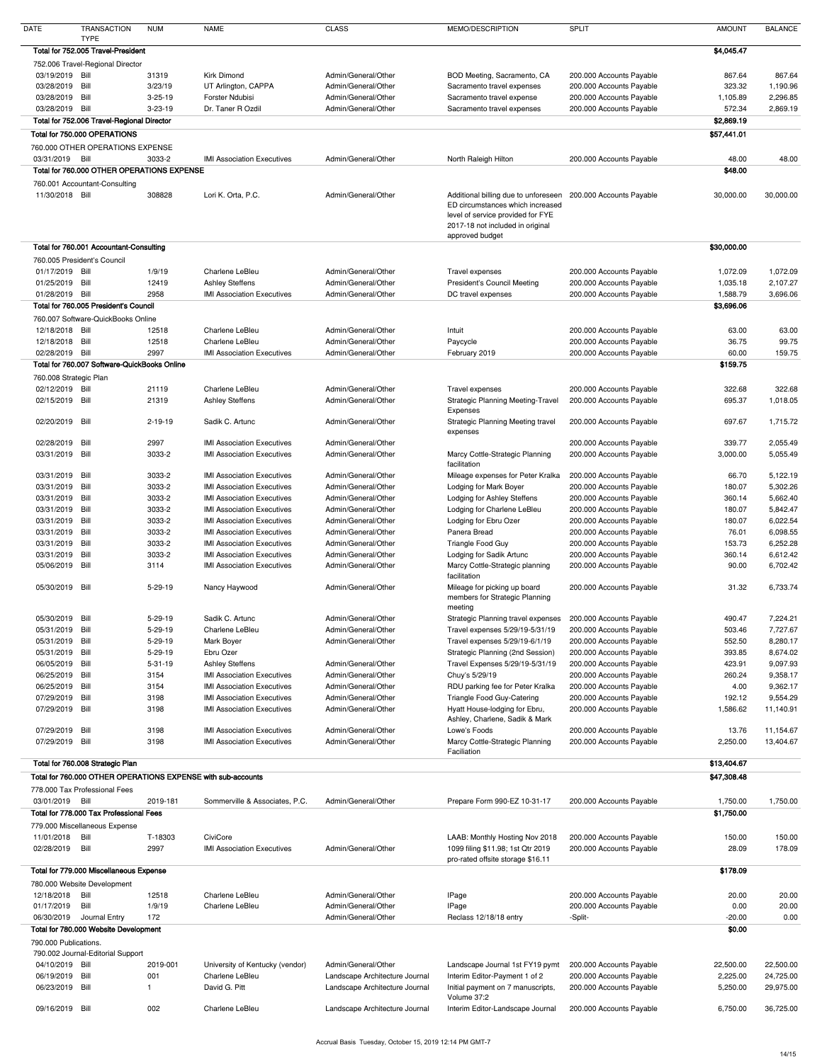| <b>DATE</b>                   | <b>TRANSACTION</b>                                | <b>NUM</b>     | <b>NAME</b>                                                  | <b>CLASS</b>                               | MEMO/DESCRIPTION                                                                                                             | <b>SPLIT</b>                                         | <b>AMOUNT</b>          | <b>BALANCE</b> |
|-------------------------------|---------------------------------------------------|----------------|--------------------------------------------------------------|--------------------------------------------|------------------------------------------------------------------------------------------------------------------------------|------------------------------------------------------|------------------------|----------------|
|                               | <b>TYPE</b><br>Total for 752.005 Travel-President |                |                                                              |                                            |                                                                                                                              |                                                      | \$4,045.47             |                |
|                               | 752.006 Travel-Regional Director                  |                |                                                              |                                            |                                                                                                                              |                                                      |                        |                |
| 03/19/2019 Bill               |                                                   | 31319          | <b>Kirk Dimond</b>                                           | Admin/General/Other                        | BOD Meeting, Sacramento, CA                                                                                                  | 200.000 Accounts Payable                             | 867.64                 | 867.64         |
| 03/28/2019                    | Bill                                              | 3/23/19        | UT Arlington, CAPPA                                          | Admin/General/Other                        | Sacramento travel expenses                                                                                                   | 200.000 Accounts Payable                             | 323.32                 | 1,190.96       |
| 03/28/2019                    | Bill                                              | $3 - 25 - 19$  | Forster Ndubisi                                              | Admin/General/Other                        | Sacramento travel expense                                                                                                    | 200.000 Accounts Payable                             | 1,105.89               | 2,296.85       |
| 03/28/2019 Bill               |                                                   | $3 - 23 - 19$  | Dr. Taner R Ozdil                                            | Admin/General/Other                        | Sacramento travel expenses                                                                                                   | 200.000 Accounts Payable                             | 572.34                 | 2,869.19       |
|                               | Total for 752.006 Travel-Regional Director        |                |                                                              |                                            |                                                                                                                              |                                                      | \$2,869.19             |                |
|                               | Total for 750.000 OPERATIONS                      |                |                                                              |                                            |                                                                                                                              |                                                      | \$57,441.01            |                |
|                               | 760.000 OTHER OPERATIONS EXPENSE                  |                |                                                              |                                            |                                                                                                                              |                                                      |                        |                |
| 03/31/2019                    | Bill                                              | 3033-2         | <b>IMI Association Executives</b>                            | Admin/General/Other                        | North Raleigh Hilton                                                                                                         | 200.000 Accounts Payable                             | 48.00                  | 48.00          |
|                               | Total for 760,000 OTHER OPERATIONS EXPENSE        |                |                                                              |                                            |                                                                                                                              |                                                      | \$48.00                |                |
| 11/30/2018 Bill               | 760.001 Accountant-Consulting                     | 308828         | Lori K. Orta, P.C.                                           | Admin/General/Other                        | Additional billing due to unforeseen 200.000 Accounts Payable                                                                |                                                      | 30,000.00              | 30,000.00      |
|                               |                                                   |                |                                                              |                                            | ED circumstances which increased<br>level of service provided for FYE<br>2017-18 not included in original<br>approved budget |                                                      |                        |                |
|                               | Total for 760.001 Accountant-Consulting           |                |                                                              |                                            |                                                                                                                              |                                                      | \$30,000.00            |                |
|                               | 760.005 President's Council                       |                |                                                              |                                            |                                                                                                                              |                                                      |                        |                |
| 01/17/2019 Bill               |                                                   | 1/9/19         | Charlene LeBleu                                              | Admin/General/Other                        | Travel expenses                                                                                                              | 200.000 Accounts Payable                             | 1,072.09               | 1,072.09       |
| 01/25/2019                    | Bill                                              | 12419          | <b>Ashley Steffens</b>                                       | Admin/General/Other                        | <b>President's Council Meeting</b>                                                                                           | 200.000 Accounts Payable                             | 1,035.18               | 2,107.27       |
| 01/28/2019 Bill               |                                                   | 2958           | <b>IMI Association Executives</b>                            | Admin/General/Other                        | DC travel expenses                                                                                                           | 200.000 Accounts Payable                             | 1,588.79               | 3,696.06       |
|                               | Total for 760.005 President's Council             |                |                                                              |                                            |                                                                                                                              |                                                      | \$3,696.06             |                |
|                               | 760.007 Software-QuickBooks Online                |                |                                                              |                                            |                                                                                                                              |                                                      |                        |                |
| 12/18/2018 Bill<br>12/18/2018 | Bill                                              | 12518<br>12518 | Charlene LeBleu<br>Charlene LeBleu                           | Admin/General/Other<br>Admin/General/Other | Intuit                                                                                                                       | 200.000 Accounts Payable<br>200.000 Accounts Payable | 63.00<br>36.75         | 63.00<br>99.75 |
| 02/28/2019 Bill               |                                                   | 2997           | <b>IMI Association Executives</b>                            | Admin/General/Other                        | Paycycle<br>February 2019                                                                                                    | 200.000 Accounts Payable                             | 60.00                  | 159.75         |
|                               | Total for 760.007 Software-QuickBooks Online      |                |                                                              |                                            |                                                                                                                              |                                                      | \$159.75               |                |
| 760.008 Strategic Plan        |                                                   |                |                                                              |                                            |                                                                                                                              |                                                      |                        |                |
| 02/12/2019 Bill               |                                                   | 21119          | Charlene LeBleu                                              | Admin/General/Other                        | Travel expenses                                                                                                              | 200.000 Accounts Payable                             | 322.68                 | 322.68         |
| 02/15/2019                    | Bill                                              | 21319          | <b>Ashley Steffens</b>                                       | Admin/General/Other                        | <b>Strategic Planning Meeting-Travel</b><br>Expenses                                                                         | 200.000 Accounts Payable                             | 695.37                 | 1,018.05       |
| 02/20/2019 Bill               |                                                   | $2 - 19 - 19$  | Sadik C. Artunc                                              | Admin/General/Other                        | <b>Strategic Planning Meeting travel</b><br>expenses                                                                         | 200.000 Accounts Payable                             | 697.67                 | 1,715.72       |
| 02/28/2019                    | Bill                                              | 2997           | <b>IMI Association Executives</b>                            | Admin/General/Other                        |                                                                                                                              | 200.000 Accounts Payable                             | 339.77                 | 2,055.49       |
| 03/31/2019                    | Bill                                              | 3033-2         | <b>IMI Association Executives</b>                            | Admin/General/Other                        | Marcy Cottle-Strategic Planning                                                                                              | 200.000 Accounts Payable                             | 3,000.00               | 5,055.49       |
| 03/31/2019                    | Bill                                              | 3033-2         | <b>IMI Association Executives</b>                            | Admin/General/Other                        | facilitation<br>Mileage expenses for Peter Kralka                                                                            | 200.000 Accounts Payable                             | 66.70                  | 5,122.19       |
| 03/31/2019                    | Bill                                              | 3033-2         | <b>IMI Association Executives</b>                            | Admin/General/Other                        | Lodging for Mark Boyer                                                                                                       | 200.000 Accounts Payable                             | 180.07                 | 5,302.26       |
| 03/31/2019                    | Bill                                              | 3033-2         | <b>IMI Association Executives</b>                            | Admin/General/Other                        | Lodging for Ashley Steffens                                                                                                  | 200.000 Accounts Payable                             | 360.14                 | 5,662.40       |
| 03/31/2019                    | Bill                                              | 3033-2         | <b>IMI Association Executives</b>                            | Admin/General/Other                        | Lodging for Charlene LeBleu                                                                                                  | 200.000 Accounts Payable                             | 180.07                 | 5,842.47       |
| 03/31/2019                    | Bill                                              | 3033-2         | <b>IMI Association Executives</b>                            | Admin/General/Other                        | Lodging for Ebru Ozer                                                                                                        | 200.000 Accounts Payable                             | 180.07                 | 6,022.54       |
| 03/31/2019                    | Bill                                              | 3033-2         | <b>IMI Association Executives</b>                            | Admin/General/Other                        | Panera Bread                                                                                                                 | 200.000 Accounts Payable                             | 76.01                  | 6,098.55       |
| 03/31/2019                    | Bill                                              | 3033-2         | <b>IMI Association Executives</b>                            | Admin/General/Other                        | <b>Triangle Food Guy</b>                                                                                                     | 200.000 Accounts Payable                             | 153.73                 | 6,252.28       |
| 03/31/2019                    | Bill                                              | 3033-2         | <b>IMI Association Executives</b>                            | Admin/General/Other                        | Lodging for Sadik Artunc                                                                                                     | 200.000 Accounts Payable                             | 360.14                 | 6,612.42       |
| 05/06/2019                    | Bill                                              | 3114           | <b>IMI Association Executives</b>                            | Admin/General/Other                        | Marcy Cottle-Strategic planning<br>facilitation                                                                              | 200.000 Accounts Payable                             | 90.00                  | 6,702.42       |
| 05/30/2019                    | Bill                                              | $5 - 29 - 19$  | Nancy Haywood                                                | Admin/General/Other                        | Mileage for picking up board<br>members for Strategic Planning<br>meeting                                                    | 200.000 Accounts Payable                             | 31.32                  | 6,733.74       |
| 05/30/2019                    | Bill                                              | $5-29-19$      | Sadik C. Artunc                                              | Admin/General/Other                        | Strategic Planning travel expenses                                                                                           | 200.000 Accounts Payable                             | 490.47                 | 7,224.21       |
| 05/31/2019                    | Bill                                              | $5-29-19$      | Charlene LeBleu                                              | Admin/General/Other                        | Travel expenses 5/29/19-5/31/19                                                                                              | 200.000 Accounts Payable                             | 503.46                 | 7,727.67       |
| 05/31/2019                    | Bill                                              | $5 - 29 - 19$  | Mark Boyer                                                   | Admin/General/Other                        | Travel expenses 5/29/19-6/1/19                                                                                               | 200.000 Accounts Payable                             | 552.50                 | 8,280.17       |
| 05/31/2019                    | Bill                                              | $5 - 29 - 19$  | Ebru Ozer                                                    |                                            | Strategic Planning (2nd Session)                                                                                             | 200.000 Accounts Payable                             | 393.85                 | 8,674.02       |
| 06/05/2019                    | Bill                                              | $5 - 31 - 19$  | <b>Ashley Steffens</b>                                       | Admin/General/Other                        | Travel Expenses 5/29/19-5/31/19                                                                                              | 200.000 Accounts Payable                             | 423.91                 | 9,097.93       |
| 06/25/2019                    | Bill                                              | 3154           | <b>IMI Association Executives</b>                            | Admin/General/Other                        | Chuy's 5/29/19                                                                                                               | 200.000 Accounts Payable                             | 260.24                 | 9,358.17       |
| 06/25/2019                    | Bill                                              | 3154           | <b>IMI Association Executives</b>                            | Admin/General/Other                        | RDU parking fee for Peter Kralka                                                                                             | 200.000 Accounts Payable                             | 4.00                   | 9,362.17       |
| 07/29/2019                    | Bill                                              | 3198           | <b>IMI Association Executives</b>                            | Admin/General/Other                        | Triangle Food Guy-Catering                                                                                                   | 200.000 Accounts Payable                             | 192.12                 | 9,554.29       |
| 07/29/2019                    | Bill                                              | 3198           | <b>IMI Association Executives</b>                            | Admin/General/Other                        | Hyatt House-lodging for Ebru,<br>Ashley, Charlene, Sadik & Mark                                                              | 200.000 Accounts Payable                             | 1,586.62               | 11,140.91      |
| 07/29/2019                    | Bill                                              | 3198           | <b>IMI Association Executives</b>                            | Admin/General/Other                        | Lowe's Foods                                                                                                                 | 200.000 Accounts Payable                             | 13.76                  | 11,154.67      |
| 07/29/2019                    | Bill                                              | 3198           | <b>IMI Association Executives</b>                            | Admin/General/Other                        | Marcy Cottle-Strategic Planning                                                                                              | 200.000 Accounts Payable                             | 2,250.00               | 13,404.67      |
|                               |                                                   |                |                                                              |                                            | Faciliation                                                                                                                  |                                                      |                        |                |
|                               | Total for 760.008 Strategic Plan                  |                |                                                              |                                            |                                                                                                                              |                                                      | \$13,404.67            |                |
|                               |                                                   |                | Total for 760.000 OTHER OPERATIONS EXPENSE with sub-accounts |                                            |                                                                                                                              |                                                      | \$47,308.48            |                |
|                               | 778.000 Tax Professional Fees                     |                |                                                              |                                            |                                                                                                                              |                                                      |                        |                |
| 03/01/2019                    | Bill<br>Total for 778.000 Tax Professional Fees   | 2019-181       | Sommerville & Associates, P.C.                               | Admin/General/Other                        | Prepare Form 990-EZ 10-31-17                                                                                                 | 200.000 Accounts Payable                             | 1,750.00<br>\$1,750.00 | 1,750.00       |
|                               | 779.000 Miscellaneous Expense                     |                |                                                              |                                            |                                                                                                                              |                                                      |                        |                |
| 11/01/2018                    | Bill                                              | T-18303        | CiviCore                                                     |                                            | LAAB: Monthly Hosting Nov 2018                                                                                               | 200.000 Accounts Payable                             | 150.00                 | 150.00         |
| 02/28/2019                    | Bill                                              | 2997           | <b>IMI Association Executives</b>                            | Admin/General/Other                        | 1099 filing \$11.98; 1st Qtr 2019                                                                                            | 200.000 Accounts Payable                             | 28.09                  | 178.09         |
|                               | Total for 779.000 Miscellaneous Expense           |                |                                                              |                                            | pro-rated offsite storage \$16.11                                                                                            |                                                      | \$178.09               |                |
|                               | 780.000 Website Development                       |                |                                                              |                                            |                                                                                                                              |                                                      |                        |                |
| 12/18/2018                    | Bill                                              | 12518          | Charlene LeBleu                                              | Admin/General/Other                        | IPage                                                                                                                        | 200.000 Accounts Payable                             | 20.00                  | 20.00          |
| 01/17/2019                    | Bill                                              | 1/9/19         | Charlene LeBleu                                              | Admin/General/Other                        | IPage                                                                                                                        | 200.000 Accounts Payable                             | 0.00                   | 20.00          |
| 06/30/2019                    | Journal Entry                                     | 172            |                                                              | Admin/General/Other                        | Reclass 12/18/18 entry                                                                                                       | -Split-                                              | $-20.00$               | 0.00           |
|                               | Total for 780.000 Website Development             |                |                                                              |                                            |                                                                                                                              |                                                      | \$0.00                 |                |
| 790.000 Publications.         |                                                   |                |                                                              |                                            |                                                                                                                              |                                                      |                        |                |
|                               | 790.002 Journal-Editorial Support                 |                |                                                              |                                            |                                                                                                                              |                                                      |                        |                |
| 04/10/2019 Bill               |                                                   | 2019-001       | University of Kentucky (vendor)                              | Admin/General/Other                        | Landscape Journal 1st FY19 pymt                                                                                              | 200.000 Accounts Payable                             | 22,500.00              | 22,500.00      |
| 06/19/2019                    | Bill                                              | 001            | Charlene LeBleu                                              | Landscape Architecture Journal             | Interim Editor-Payment 1 of 2                                                                                                | 200.000 Accounts Payable                             | 2,225.00               | 24,725.00      |
| 06/23/2019                    | Bill                                              |                | David G. Pitt                                                | Landscape Architecture Journal             | Initial payment on 7 manuscripts,                                                                                            | 200.000 Accounts Payable                             | 5,250.00               | 29,975.00      |
|                               |                                                   |                |                                                              |                                            | Volume 37:2                                                                                                                  |                                                      |                        |                |
| 09/16/2019 Bill               |                                                   | 002            | Charlene LeBleu                                              | Landscape Architecture Journal             | Interim Editor-Landscape Journal                                                                                             | 200.000 Accounts Payable                             | 6,750.00               | 36,725.00      |